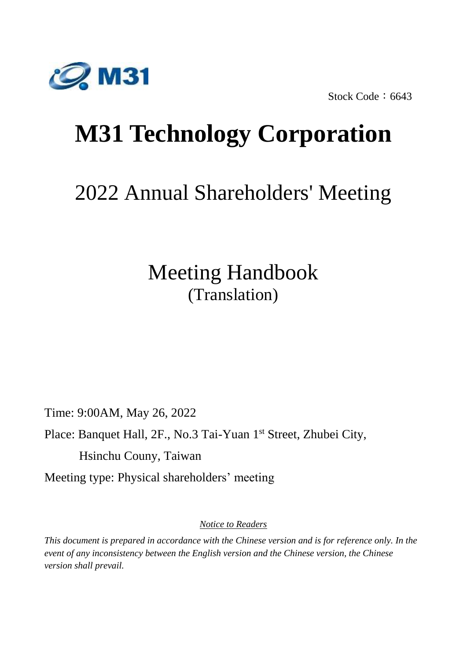

Stock Code: 6643

# **M31 Technology Corporation**

# 2022 Annual Shareholders' Meeting

# Meeting Handbook (Translation)

Time: 9:00AM, May 26, 2022

Place: Banquet Hall, 2F., No.3 Tai-Yuan 1st Street, Zhubei City,

Hsinchu Couny, Taiwan

Meeting type: Physical shareholders' meeting

*Notice to Readers*

*This document is prepared in accordance with the Chinese version and is for reference only. In the event of any inconsistency between the English version and the Chinese version, the Chinese version shall prevail.*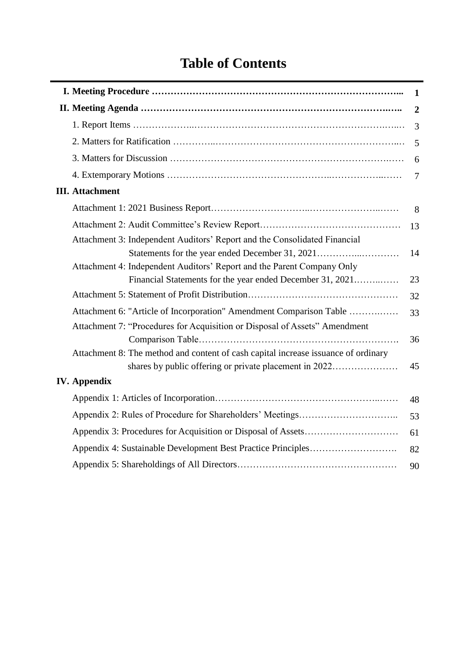# **Table of Contents**

|                                                                                    | $\mathbf{1}$     |
|------------------------------------------------------------------------------------|------------------|
|                                                                                    | $\boldsymbol{2}$ |
|                                                                                    | 3                |
|                                                                                    | 5                |
|                                                                                    | 6                |
|                                                                                    | $\tau$           |
| <b>III.</b> Attachment                                                             |                  |
|                                                                                    | 8                |
|                                                                                    | 13               |
| Attachment 3: Independent Auditors' Report and the Consolidated Financial          |                  |
| Statements for the year ended December 31, 2021                                    | 14               |
| Attachment 4: Independent Auditors' Report and the Parent Company Only             |                  |
| Financial Statements for the year ended December 31, 2021                          | 23               |
|                                                                                    | 32               |
| Attachment 6: "Article of Incorporation" Amendment Comparison Table                | 33               |
| Attachment 7: "Procedures for Acquisition or Disposal of Assets" Amendment         |                  |
|                                                                                    | 36               |
| Attachment 8: The method and content of cash capital increase issuance of ordinary |                  |
| shares by public offering or private placement in 2022                             | 45               |
| <b>IV.</b> Appendix                                                                |                  |
|                                                                                    | 48               |
|                                                                                    | 53               |
|                                                                                    | 61               |
|                                                                                    | 82               |
|                                                                                    | 90               |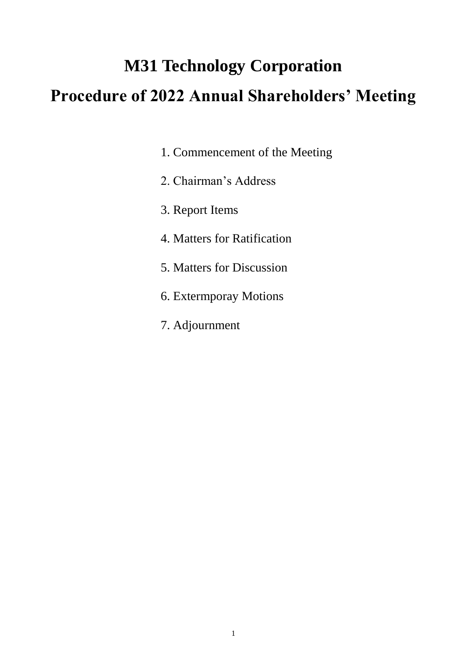# **M31 Technology Corporation Procedure of 2022 Annual Shareholders' Meeting**

- 1. Commencement of the Meeting
- 2. Chairman's Address
- 3. Report Items
- 4. Matters for Ratification
- 5. Matters for Discussion
- 6. Extermporay Motions
- 7. Adjournment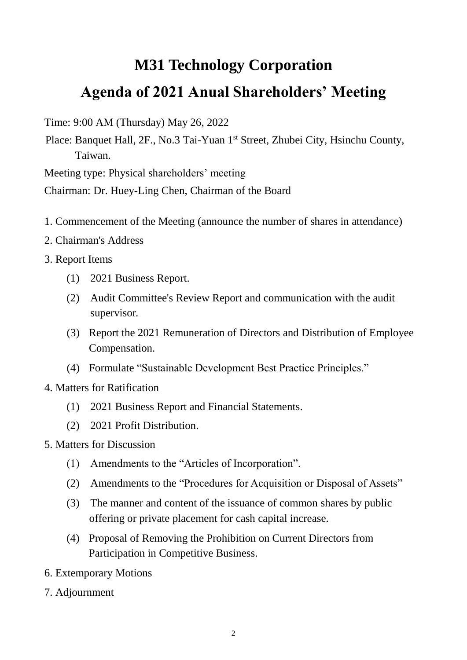# **M31 Technology Corporation Agenda of 2021 Anual Shareholders' Meeting**

Time: 9:00 AM (Thursday) May 26, 2022

Place: Banquet Hall, 2F., No.3 Tai-Yuan 1<sup>st</sup> Street, Zhubei City, Hsinchu County, Taiwan.

Meeting type: Physical shareholders' meeting

Chairman: Dr. Huey-Ling Chen, Chairman of the Board

- 1. Commencement of the Meeting (announce the number of shares in attendance)
- 2. Chairman's Address
- 3. Report Items
	- (1) 2021 Business Report.
	- (2) Audit Committee's Review Report and communication with the audit supervisor.
	- (3) Report the 2021 Remuneration of Directors and Distribution of Employee Compensation.
	- (4) Formulate "Sustainable Development Best Practice Principles."
- 4. Matters for Ratification
	- (1) 2021 Business Report and Financial Statements.
	- (2) 2021 Profit Distribution.
- 5. Matters for Discussion
	- (1) Amendments to the "Articles of Incorporation".
	- (2) Amendments to the "Procedures for Acquisition or Disposal of Assets"
	- (3) The manner and content of the issuance of common shares by public offering or private placement for cash capital increase.
	- (4) Proposal of Removing the Prohibition on Current Directors from Participation in Competitive Business.
- 6. Extemporary Motions
- 7. Adjournment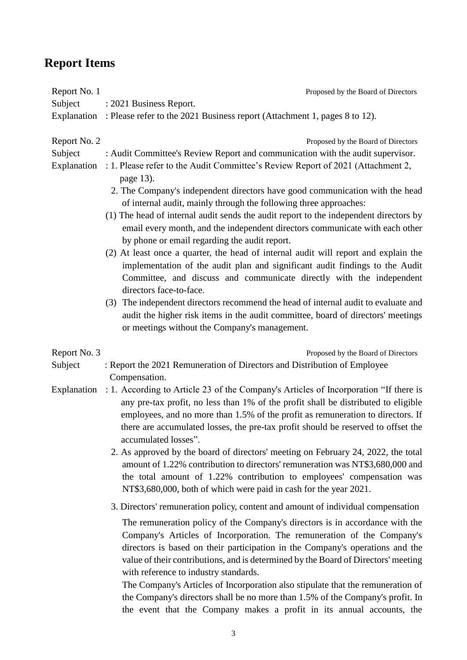# **Report Items**

| Report No. 1<br>Subject                | Proposed by the Board of Directors<br>: 2021 Business Report.                                                                                                                                                                                                                                                                                                                                                                                                                                                                                                                                                                                                                                                   |
|----------------------------------------|-----------------------------------------------------------------------------------------------------------------------------------------------------------------------------------------------------------------------------------------------------------------------------------------------------------------------------------------------------------------------------------------------------------------------------------------------------------------------------------------------------------------------------------------------------------------------------------------------------------------------------------------------------------------------------------------------------------------|
| Explanation                            | : Please refer to the 2021 Business report (Attachment 1, pages 8 to 12).                                                                                                                                                                                                                                                                                                                                                                                                                                                                                                                                                                                                                                       |
| Report No. 2<br>Subject<br>Explanation | Proposed by the Board of Directors<br>: Audit Committee's Review Report and communication with the audit supervisor.<br>: 1. Please refer to the Audit Committee's Review Report of 2021 (Attachment 2,<br>page 13).<br>2. The Company's independent directors have good communication with the head                                                                                                                                                                                                                                                                                                                                                                                                            |
|                                        | of internal audit, mainly through the following three approaches:<br>(1) The head of internal audit sends the audit report to the independent directors by<br>email every month, and the independent directors communicate with each other<br>by phone or email regarding the audit report.                                                                                                                                                                                                                                                                                                                                                                                                                     |
|                                        | (2) At least once a quarter, the head of internal audit will report and explain the<br>implementation of the audit plan and significant audit findings to the Audit<br>Committee, and discuss and communicate directly with the independent<br>directors face-to-face.                                                                                                                                                                                                                                                                                                                                                                                                                                          |
|                                        | (3) The independent directors recommend the head of internal audit to evaluate and<br>audit the higher risk items in the audit committee, board of directors' meetings<br>or meetings without the Company's management.                                                                                                                                                                                                                                                                                                                                                                                                                                                                                         |
| Report No. 3<br>Subject                | Proposed by the Board of Directors<br>: Report the 2021 Remuneration of Directors and Distribution of Employee                                                                                                                                                                                                                                                                                                                                                                                                                                                                                                                                                                                                  |
| Explanation                            | Compensation.<br>: 1. According to Article 23 of the Company's Articles of Incorporation "If there is<br>any pre-tax profit, no less than 1% of the profit shall be distributed to eligible<br>employees, and no more than 1.5% of the profit as remuneration to directors. If<br>there are accumulated losses, the pre-tax profit should be reserved to offset the<br>accumulated losses".<br>2. As approved by the board of directors' meeting on February 24, 2022, the total<br>amount of 1.22% contribution to directors' remuneration was NT\$3,680,000 and<br>the total amount of 1.22% contribution to employees' compensation was<br>NT\$3,680,000, both of which were paid in cash for the year 2021. |
|                                        | 3. Directors' remuneration policy, content and amount of individual compensation                                                                                                                                                                                                                                                                                                                                                                                                                                                                                                                                                                                                                                |
|                                        | The remuneration policy of the Company's directors is in accordance with the<br>Company's Articles of Incorporation. The remuneration of the Company's<br>directors is based on their participation in the Company's operations and the<br>value of their contributions, and is determined by the Board of Directors' meeting<br>with reference to industry standards.<br>The Company's Articles of Incorporation also stipulate that the remuneration of<br>the Company's directors shall be no more than 1.5% of the Company's profit. In<br>the event that the Company makes a profit in its annual accounts, the                                                                                            |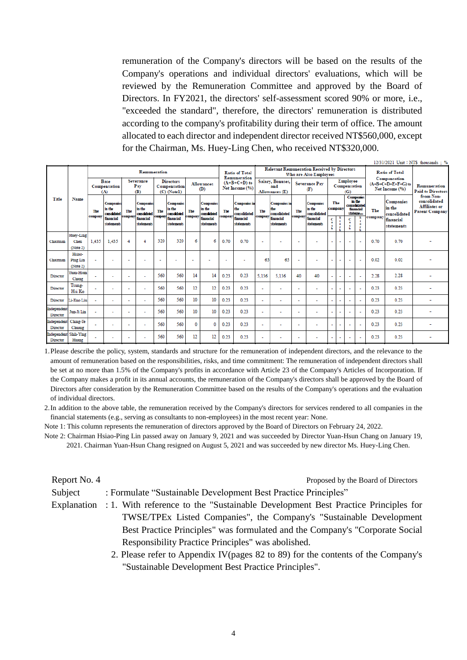remuneration of the Company's directors will be based on the results of the Company's operations and individual directors' evaluations, which will be reviewed by the Remuneration Committee and approved by the Board of Directors. In FY2021, the directors' self-assessment scored 90% or more, i.e., "exceeded the standard", therefore, the directors' remuneration is distributed according to the company's profitability during their term of office. The amount allocated to each director and independent director received NT\$560,000, except for the Chairman, Ms. Huey-Ling Chen, who received NT\$320,000.

|                         |                           |                          |                                     |                      |                                            |         |                                                 |                |                                     |         |                                            |                |                                                    |                          |                                            |                          |                                                       |                                 |                                                                                  |         |                                                        | $12/31/2021$ Unit: NTS thousands : %                                |
|-------------------------|---------------------------|--------------------------|-------------------------------------|----------------------|--------------------------------------------|---------|-------------------------------------------------|----------------|-------------------------------------|---------|--------------------------------------------|----------------|----------------------------------------------------|--------------------------|--------------------------------------------|--------------------------|-------------------------------------------------------|---------------------------------|----------------------------------------------------------------------------------|---------|--------------------------------------------------------|---------------------------------------------------------------------|
|                         |                           |                          |                                     |                      | Remuneration                               |         |                                                 |                |                                     |         | <b>Ratio of Total</b><br>Remuneration      |                | <b>Relevant Remuneration Received by Directors</b> |                          | Who are Also Employees                     |                          |                                                       |                                 |                                                                                  |         | <b>Ratio of Total</b>                                  |                                                                     |
|                         |                           |                          | Base<br>Compensation<br>(A)         |                      | Severance<br>Pay<br>(B)                    |         | <b>Directors</b><br>Compensation<br>(C) (Notel) |                | <b>Allowances</b><br>(D)            |         | $(A+B+C+D)$ to<br>Net Income (%)           |                | Salary, Bonuses,<br>and<br>Allowances (E)          |                          | <b>Severance Pay</b><br>Œ                  |                          |                                                       | Employee<br>Compensation<br>(G) |                                                                                  |         | Compensation<br>$(A+B+C+D+E+F+C)$ to<br>Net Income (%) | Remuneration<br><b>Paid to Directors</b>                            |
| Title                   | Name                      | The                      | Companies<br>in the<br>consciidated | The                  | <b>Companies</b><br>in the<br>consolidated | The     | <b>Companies</b><br>in the<br>consolidated      | The            | Companies<br>in the<br>corrolidated | The     | <b>Companies</b> in<br>the<br>consolidated | The<br>сошрану | <b>Companies</b> in<br>the<br>consolidated         | The                      | <b>Companies</b><br>in the<br>consolidated | company                  | The                                                   |                                 | <b>Companies</b><br>in the<br>consolidated<br>financial<br>stateme <sub>re</sub> | The     | Companies<br>in the<br>consolidated                    | from Non-<br>consolidated<br>Affiliates or<br><b>Parent Company</b> |
|                         |                           | company                  | financial<br>statements             | сошрацу              | financial<br>statements                    | company | financial<br>statements                         | <b>company</b> | financial<br>statements             | сошрацу | financial<br>statements                    |                | financial<br>statements                            | сошрану                  | financial<br>statements                    | c<br>$\mathbf{a}$        | s<br>$\mathbf{r}$<br>$\ddot{\phantom{a}}$<br><b>e</b> | Ċ<br>$\mathbf{a}$               | s<br>$\bullet$<br>$\epsilon$                                                     | company | financial<br>statements                                |                                                                     |
|                         | Huey-Ling                 |                          |                                     |                      |                                            |         |                                                 |                |                                     |         |                                            |                |                                                    |                          |                                            |                          |                                                       |                                 |                                                                                  |         |                                                        |                                                                     |
| Chairman                | Chen                      | 1.435                    | 1.435                               | 4                    | 4                                          | 320     | 320                                             | 6              | 6                                   | 0.70    | 0.70                                       | ٠              |                                                    | ٠                        |                                            | $\overline{\phantom{a}}$ | ٠                                                     | ٠                               | ÷                                                                                | 0.70    | 0.70                                                   |                                                                     |
|                         | (Note 2)                  |                          |                                     |                      |                                            |         |                                                 |                |                                     |         |                                            |                |                                                    |                          |                                            |                          |                                                       |                                 |                                                                                  |         |                                                        |                                                                     |
| Chairman                | Hsiao-<br><b>Ping Lin</b> | $\overline{\phantom{a}}$ | ٠                                   |                      |                                            |         |                                                 |                |                                     | ٠       |                                            | 63             | 63                                                 |                          |                                            | ٠                        | $\overline{\phantom{a}}$                              | ٠                               | $\overline{\phantom{a}}$                                                         | 0.02    | 0.02                                                   |                                                                     |
|                         | (Note 2)                  |                          |                                     |                      |                                            |         |                                                 |                |                                     |         |                                            |                |                                                    |                          |                                            |                          |                                                       |                                 |                                                                                  |         |                                                        |                                                                     |
| Director                | Yuan-Hsun<br>Chang        |                          | ٠                                   | ٠                    | ÷                                          | 560     | 560                                             | 14             | 14                                  | 0.23    | 0.23                                       | 5.136          | 5.136                                              | 40                       | 40                                         |                          | ٠                                                     | ÷                               | $\overline{\phantom{a}}$                                                         | 2.28    | 2.28                                                   |                                                                     |
| Director                | Tsung-<br>Hsi Ko          |                          | ٠                                   | ٠                    | ٠                                          | 560     | 560                                             | 12             | 12                                  | 0.23    | 0.23                                       | ×.             |                                                    | ÷                        |                                            | ÷                        | ÷                                                     | $\overline{a}$                  | ÷                                                                                | 0.23    | 0.23                                                   |                                                                     |
| Director                | Li-Kuo Liu                | $\sim$                   | ÷,                                  | $\ddot{\phantom{0}}$ | ٠                                          | 560     | 560                                             | 10             | 10                                  | 0.23    | 0.23                                       | $\sim$         | ٠                                                  | $\ddot{\phantom{0}}$     | $\overline{\phantom{a}}$                   | $\sim$                   | $\overline{\phantom{a}}$                              | $\overline{\phantom{a}}$        | $\overline{\phantom{a}}$                                                         | 0.23    | 0.23                                                   |                                                                     |
| Independent<br>Director | Jun-Ji Lin                | $\sim$                   | ٠                                   | $\overline{a}$       | ٠                                          | 560     | 560                                             | 10             | 10                                  | 0.23    | 0.23                                       | ٠              |                                                    | $\overline{a}$           |                                            |                          | $\overline{a}$                                        | $\ddot{\phantom{0}}$            | ÷                                                                                | 0.23    | 0.23                                                   |                                                                     |
| Independent<br>Director | Ching-Te<br>Chuang        | ÷                        | ٠                                   | ٠                    | ٠                                          | 560     | 560                                             | 0              | 0                                   | 0.23    | 0.23                                       | ٠              |                                                    | ÷                        | $\sim$                                     | ÷                        | $\sim$                                                | $\overline{\phantom{a}}$        | $\sim$                                                                           | 0.23    | 0.23                                                   |                                                                     |
| Independent<br>Director | Shih-Ying<br>Huang        |                          | ٠                                   | $\blacksquare$       | ٠                                          | 560     | 560                                             | 12             | 12                                  | 0.23    | 0.23                                       | ٠              | $\overline{\phantom{a}}$                           | $\overline{\phantom{a}}$ |                                            | $\overline{\phantom{a}}$ | $\overline{\phantom{a}}$                              | ÷                               | $\sim$                                                                           | 0.23    | 0.23                                                   |                                                                     |

1.Please describe the policy, system, standards and structure for the remuneration of independent directors, and the relevance to the amount of remuneration based on the responsibilities, risks, and time commitment: The remuneration of independent directors shall be set at no more than 1.5% of the Company's profits in accordance with Article 23 of the Company's Articles of Incorporation. If the Company makes a profit in its annual accounts, the remuneration of the Company's directors shall be approved by the Board of Directors after consideration by the Remuneration Committee based on the results of the Company's operations and the evaluation of individual directors.

2.In addition to the above table, the remuneration received by the Company's directors for services rendered to all companies in the financial statements (e.g., serving as consultants to non-employees) in the most recent year: None.

Note 1: This column represents the remuneration of directors approved by the Board of Directors on February 24, 2022.

Note 2: Chairman Hsiao-Ping Lin passed away on January 9, 2021 and was succeeded by Director Yuan-Hsun Chang on January 19, 2021. Chairman Yuan-Hsun Chang resigned on August 5, 2021 and was succeeded by new director Ms. Huey-Ling Chen.

Report No. 4 Proposed by the Board of Directors

Subject : Formulate "Sustainable Development Best Practice Principles"

- Explanation : 1. With reference to the "Sustainable Development Best Practice Principles for TWSE/TPEx Listed Companies", the Company's "Sustainable Development Best Practice Principles" was formulated and the Company's "Corporate Social Responsibility Practice Principles" was abolished.
	- 2. Please refer to Appendix IV(pages 82 to 89) for the contents of the Company's "Sustainable Development Best Practice Principles".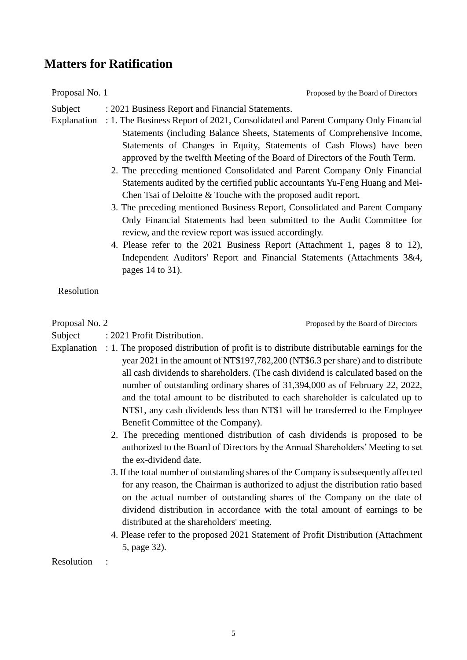### **Matters for Ratification**

Proposal No. 1 Proposed by the Board of Directors

Subject : 2021 Business Report and Financial Statements.

- Explanation : 1. The Business Report of 2021, Consolidated and Parent Company Only Financial Statements (including Balance Sheets, Statements of Comprehensive Income, Statements of Changes in Equity, Statements of Cash Flows) have been approved by the twelfth Meeting of the Board of Directors of the Fouth Term.
	- 2. The preceding mentioned Consolidated and Parent Company Only Financial Statements audited by the certified public accountants Yu-Feng Huang and Mei-Chen Tsai of Deloitte & Touche with the proposed audit report.
	- 3. The preceding mentioned Business Report, Consolidated and Parent Company Only Financial Statements had been submitted to the Audit Committee for review, and the review report was issued accordingly.
	- 4. Please refer to the 2021 Business Report (Attachment 1, pages 8 to 12), Independent Auditors' Report and Financial Statements (Attachments 3&4, pages 14 to 31).

Resolution

Proposal No. 2 Proposed by the Board of Directors

- Subject : 2021 Profit Distribution.
- Explanation : 1. The proposed distribution of profit is to distribute distributable earnings for the year 2021 in the amount of NT\$197,782,200 (NT\$6.3 per share) and to distribute all cash dividends to shareholders. (The cash dividend is calculated based on the number of outstanding ordinary shares of 31,394,000 as of February 22, 2022, and the total amount to be distributed to each shareholder is calculated up to NT\$1, any cash dividends less than NT\$1 will be transferred to the Employee Benefit Committee of the Company).
	- 2. The preceding mentioned distribution of cash dividends is proposed to be authorized to the Board of Directors by the Annual Shareholders' Meeting to set the ex-dividend date.
	- 3. If the total number of outstanding shares of the Company is subsequently affected for any reason, the Chairman is authorized to adjust the distribution ratio based on the actual number of outstanding shares of the Company on the date of dividend distribution in accordance with the total amount of earnings to be distributed at the shareholders' meeting.
	- 4. Please refer to the proposed 2021 Statement of Profit Distribution (Attachment 5, page 32).

Resolution :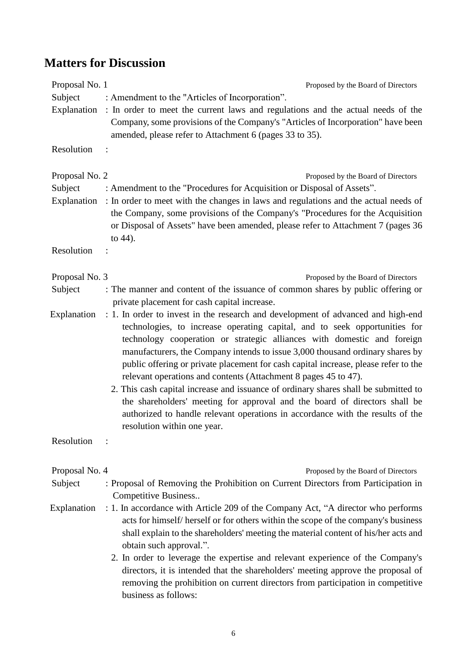# **Matters for Discussion**

| Proposal No. 1            | Proposed by the Board of Directors                                                                                                                                                                                                                                                                                                                                                                                                                                                                                                                                                                                                                                                                                                                                         |
|---------------------------|----------------------------------------------------------------------------------------------------------------------------------------------------------------------------------------------------------------------------------------------------------------------------------------------------------------------------------------------------------------------------------------------------------------------------------------------------------------------------------------------------------------------------------------------------------------------------------------------------------------------------------------------------------------------------------------------------------------------------------------------------------------------------|
| Subject                   | : Amendment to the "Articles of Incorporation".                                                                                                                                                                                                                                                                                                                                                                                                                                                                                                                                                                                                                                                                                                                            |
|                           | Explanation : In order to meet the current laws and regulations and the actual needs of the<br>Company, some provisions of the Company's "Articles of Incorporation" have been<br>amended, please refer to Attachment 6 (pages 33 to 35).                                                                                                                                                                                                                                                                                                                                                                                                                                                                                                                                  |
| Resolution                |                                                                                                                                                                                                                                                                                                                                                                                                                                                                                                                                                                                                                                                                                                                                                                            |
| Proposal No. 2<br>Subject | Proposed by the Board of Directors<br>: Amendment to the "Procedures for Acquisition or Disposal of Assets".                                                                                                                                                                                                                                                                                                                                                                                                                                                                                                                                                                                                                                                               |
|                           | Explanation : In order to meet with the changes in laws and regulations and the actual needs of<br>the Company, some provisions of the Company's "Procedures for the Acquisition<br>or Disposal of Assets" have been amended, please refer to Attachment 7 (pages 36<br>to 44).                                                                                                                                                                                                                                                                                                                                                                                                                                                                                            |
| Resolution                |                                                                                                                                                                                                                                                                                                                                                                                                                                                                                                                                                                                                                                                                                                                                                                            |
| Proposal No. 3            | Proposed by the Board of Directors                                                                                                                                                                                                                                                                                                                                                                                                                                                                                                                                                                                                                                                                                                                                         |
| Subject                   | : The manner and content of the issuance of common shares by public offering or<br>private placement for cash capital increase.                                                                                                                                                                                                                                                                                                                                                                                                                                                                                                                                                                                                                                            |
| Explanation               | : 1. In order to invest in the research and development of advanced and high-end<br>technologies, to increase operating capital, and to seek opportunities for<br>technology cooperation or strategic alliances with domestic and foreign<br>manufacturers, the Company intends to issue 3,000 thousand ordinary shares by<br>public offering or private placement for cash capital increase, please refer to the<br>relevant operations and contents (Attachment 8 pages 45 to 47).<br>2. This cash capital increase and issuance of ordinary shares shall be submitted to<br>the shareholders' meeting for approval and the board of directors shall be<br>authorized to handle relevant operations in accordance with the results of the<br>resolution within one year. |
| Resolution                |                                                                                                                                                                                                                                                                                                                                                                                                                                                                                                                                                                                                                                                                                                                                                                            |
| Proposal No. 4            | Proposed by the Board of Directors                                                                                                                                                                                                                                                                                                                                                                                                                                                                                                                                                                                                                                                                                                                                         |
| Subject                   | : Proposal of Removing the Prohibition on Current Directors from Participation in<br>Competitive Business                                                                                                                                                                                                                                                                                                                                                                                                                                                                                                                                                                                                                                                                  |
| Explanation               | : 1. In accordance with Article 209 of the Company Act, "A director who performs<br>acts for himself/herself or for others within the scope of the company's business<br>shall explain to the shareholders' meeting the material content of his/her acts and<br>obtain such approval.".                                                                                                                                                                                                                                                                                                                                                                                                                                                                                    |
|                           | 2. In order to leverage the expertise and relevant experience of the Company's<br>directors, it is intended that the shareholders' meeting approve the proposal of<br>removing the prohibition on current directors from participation in competitive<br>business as follows:                                                                                                                                                                                                                                                                                                                                                                                                                                                                                              |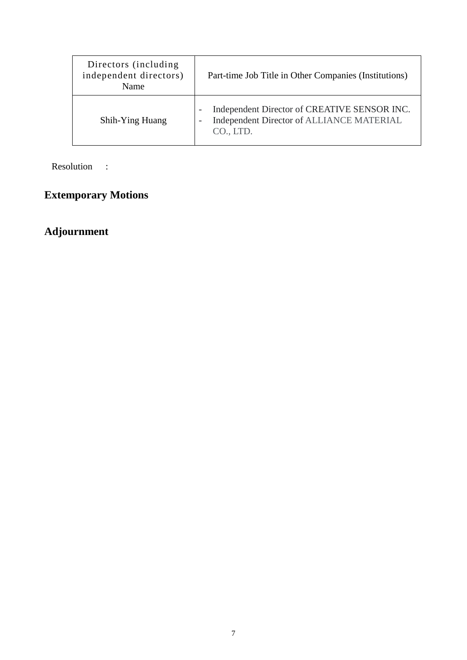| Directors (including)<br>independent directors)<br>Name | Part-time Job Title in Other Companies (Institutions)                                                                                                          |
|---------------------------------------------------------|----------------------------------------------------------------------------------------------------------------------------------------------------------------|
| Shih-Ying Huang                                         | Independent Director of CREATIVE SENSOR INC.<br>$\overline{\phantom{m}}$<br>Independent Director of ALLIANCE MATERIAL<br>$\overline{\phantom{0}}$<br>CO., LTD. |

Resolution :

# **Extemporary Motions**

# **Adjournment**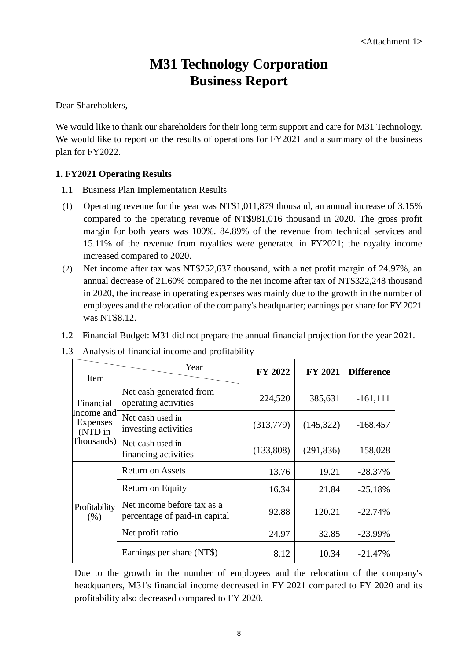# **M31 Technology Corporation Business Report**

Dear Shareholders,

We would like to thank our shareholders for their long term support and care for M31 Technology. We would like to report on the results of operations for FY2021 and a summary of the business plan for FY2022.

#### **1. FY2021 Operating Results**

- 1.1 Business Plan Implementation Results
- (1) Operating revenue for the year was NT\$1,011,879 thousand, an annual increase of 3.15% compared to the operating revenue of NT\$981,016 thousand in 2020. The gross profit margin for both years was 100%. 84.89% of the revenue from technical services and 15.11% of the revenue from royalties were generated in FY2021; the royalty income increased compared to 2020.
- (2) Net income after tax was NT\$252,637 thousand, with a net profit margin of 24.97%, an annual decrease of 21.60% compared to the net income after tax of NT\$322,248 thousand in 2020, the increase in operating expenses was mainly due to the growth in the number of employees and the relocation of the company's headquarter; earnings per share for FY 2021 was NT\$8.12.
- 1.2 Financial Budget: M31 did not prepare the annual financial projection for the year 2021.

| Item                              | Year                                                        | <b>FY 2022</b> | <b>FY 2021</b> | <b>Difference</b> |
|-----------------------------------|-------------------------------------------------------------|----------------|----------------|-------------------|
| Financial                         | Net cash generated from<br>operating activities             | 224,520        | 385,631        | $-161, 111$       |
| Income and<br>Expenses<br>(NTD in | Net cash used in<br>investing activities                    | (313,779)      | (145,322)      | $-168,457$        |
| Thousands)                        | Net cash used in<br>financing activities                    | (133,808)      | (291, 836)     | 158,028           |
|                                   | <b>Return on Assets</b>                                     | 13.76          | 19.21          | $-28.37%$         |
|                                   | Return on Equity                                            | 16.34          | 21.84          | $-25.18%$         |
| Profitability<br>(% )             | Net income before tax as a<br>percentage of paid-in capital | 92.88          | 120.21         | $-22.74%$         |
|                                   | Net profit ratio                                            | 24.97          | 32.85          | $-23.99%$         |
|                                   | Earnings per share (NT\$)                                   | 8.12           | 10.34          | $-21.47%$         |

1.3 Analysis of financial income and profitability

Due to the growth in the number of employees and the relocation of the company's headquarters, M31's financial income decreased in FY 2021 compared to FY 2020 and its profitability also decreased compared to FY 2020.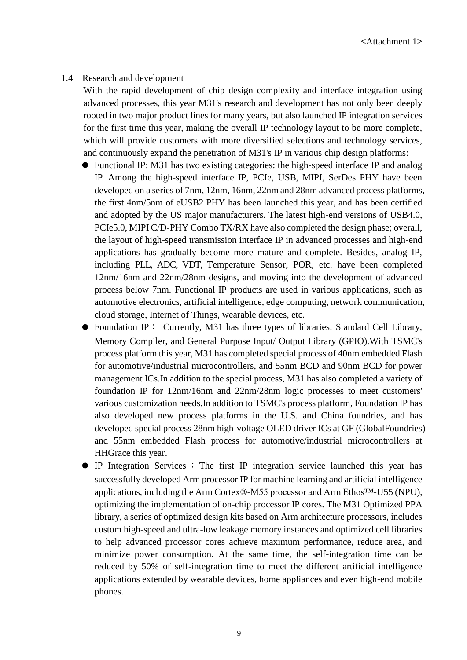#### 1.4 Research and development

With the rapid development of chip design complexity and interface integration using advanced processes, this year M31's research and development has not only been deeply rooted in two major product lines for many years, but also launched IP integration services for the first time this year, making the overall IP technology layout to be more complete, which will provide customers with more diversified selections and technology services, and continuously expand the penetration of M31's IP in various chip design platforms:

- Functional IP: M31 has two existing categories: the high-speed interface IP and analog IP. Among the high-speed interface IP, PCIe, USB, MIPI, SerDes PHY have been developed on a series of 7nm, 12nm, 16nm, 22nm and 28nm advanced process platforms, the first 4nm/5nm of eUSB2 PHY has been launched this year, and has been certified and adopted by the US major manufacturers. The latest high-end versions of USB4.0, PCIe5.0, MIPI C/D-PHY Combo TX/RX have also completed the design phase; overall, the layout of high-speed transmission interface IP in advanced processes and high-end applications has gradually become more mature and complete. Besides, analog IP, including PLL, ADC, VDT, Temperature Sensor, POR, etc. have been completed 12nm/16nm and 22nm/28nm designs, and moving into the development of advanced process below 7nm. Functional IP products are used in various applications, such as automotive electronics, artificial intelligence, edge computing, network communication, cloud storage, Internet of Things, wearable devices, etc.
- Foundation IP: Currently, M31 has three types of libraries: Standard Cell Library, Memory Compiler, and General Purpose Input/ Output Library (GPIO).With TSMC's process platform this year, M31 has completed special process of 40nm embedded Flash for automotive/industrial microcontrollers, and 55nm BCD and 90nm BCD for power management ICs.In addition to the special process, M31 has also completed a variety of foundation IP for 12nm/16nm and 22nm/28nm logic processes to meet customers' various customization needs.In addition to TSMC's process platform, Foundation IP has also developed new process platforms in the U.S. and China foundries, and has developed special process 28nm high-voltage OLED driver ICs at GF (GlobalFoundries) and 55nm embedded Flash process for automotive/industrial microcontrollers at HHGrace this year.
- IP Integration Services : The first IP integration service launched this year has successfully developed Arm processor IP for machine learning and artificial intelligence applications, including the Arm Cortex® -M55 processor and Arm Ethos™-U55 (NPU), optimizing the implementation of on-chip processor IP cores. The M31 Optimized PPA library, a series of optimized design kits based on Arm architecture processors, includes custom high-speed and ultra-low leakage memory instances and optimized cell libraries to help advanced processor cores achieve maximum performance, reduce area, and minimize power consumption. At the same time, the self-integration time can be reduced by 50% of self-integration time to meet the different artificial intelligence applications extended by wearable devices, home appliances and even high-end mobile phones.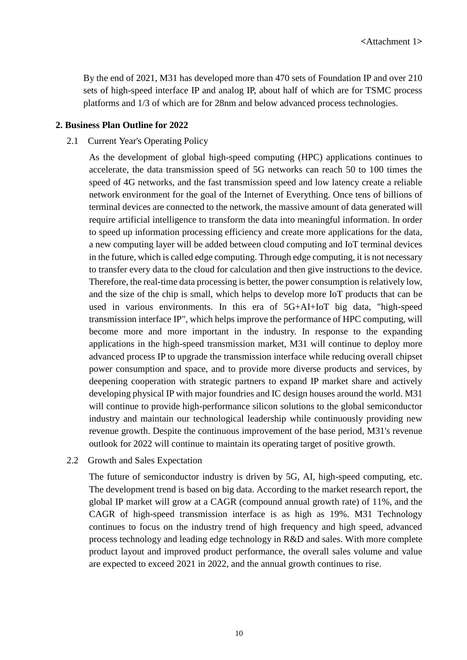By the end of 2021, M31 has developed more than 470 sets of Foundation IP and over 210 sets of high-speed interface IP and analog IP, about half of which are for TSMC process platforms and 1/3 of which are for 28nm and below advanced process technologies.

#### **2. Business Plan Outline for 2022**

#### 2.1 Current Year's Operating Policy

As the development of global high-speed computing (HPC) applications continues to accelerate, the data transmission speed of 5G networks can reach 50 to 100 times the speed of 4G networks, and the fast transmission speed and low latency create a reliable network environment for the goal of the Internet of Everything. Once tens of billions of terminal devices are connected to the network, the massive amount of data generated will require artificial intelligence to transform the data into meaningful information. In order to speed up information processing efficiency and create more applications for the data, a new computing layer will be added between cloud computing and IoT terminal devices in the future, which is called edge computing. Through edge computing, it is not necessary to transfer every data to the cloud for calculation and then give instructions to the device. Therefore, the real-time data processing is better, the power consumption is relatively low, and the size of the chip is small, which helps to develop more IoT products that can be used in various environments. In this era of 5G+AI+IoT big data, "high-speed transmission interface IP", which helps improve the performance of HPC computing, will become more and more important in the industry. In response to the expanding applications in the high-speed transmission market, M31 will continue to deploy more advanced process IP to upgrade the transmission interface while reducing overall chipset power consumption and space, and to provide more diverse products and services, by deepening cooperation with strategic partners to expand IP market share and actively developing physical IP with major foundries and IC design houses around the world. M31 will continue to provide high-performance silicon solutions to the global semiconductor industry and maintain our technological leadership while continuously providing new revenue growth. Despite the continuous improvement of the base period, M31's revenue outlook for 2022 will continue to maintain its operating target of positive growth.

#### 2.2 Growth and Sales Expectation

The future of semiconductor industry is driven by 5G, AI, high-speed computing, etc. The development trend is based on big data. According to the market research report, the global IP market will grow at a CAGR (compound annual growth rate) of 11%, and the CAGR of high-speed transmission interface is as high as 19%. M31 Technology continues to focus on the industry trend of high frequency and high speed, advanced process technology and leading edge technology in R&D and sales. With more complete product layout and improved product performance, the overall sales volume and value are expected to exceed 2021 in 2022, and the annual growth continues to rise.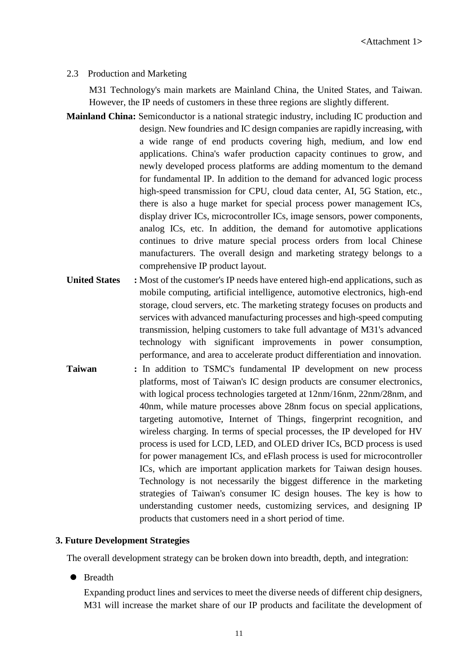#### 2.3 Production and Marketing

M31 Technology's main markets are Mainland China, the United States, and Taiwan. However, the IP needs of customers in these three regions are slightly different.

- **Mainland China:** Semiconductor is a national strategic industry, including IC production and design. New foundries and IC design companies are rapidly increasing, with a wide range of end products covering high, medium, and low end applications. China's wafer production capacity continues to grow, and newly developed process platforms are adding momentum to the demand for fundamental IP. In addition to the demand for advanced logic process high-speed transmission for CPU, cloud data center, AI, 5G Station, etc., there is also a huge market for special process power management ICs, display driver ICs, microcontroller ICs, image sensors, power components, analog ICs, etc. In addition, the demand for automotive applications continues to drive mature special process orders from local Chinese manufacturers. The overall design and marketing strategy belongs to a comprehensive IP product layout.
- **United States :** Most of the customer's IP needs have entered high-end applications, such as mobile computing, artificial intelligence, automotive electronics, high-end storage, cloud servers, etc. The marketing strategy focuses on products and services with advanced manufacturing processes and high-speed computing transmission, helping customers to take full advantage of M31's advanced technology with significant improvements in power consumption, performance, and area to accelerate product differentiation and innovation.
- **Taiwan** : In addition to TSMC's fundamental IP development on new process platforms, most of Taiwan's IC design products are consumer electronics, with logical process technologies targeted at 12nm/16nm, 22nm/28nm, and 40nm, while mature processes above 28nm focus on special applications, targeting automotive, Internet of Things, fingerprint recognition, and wireless charging. In terms of special processes, the IP developed for HV process is used for LCD, LED, and OLED driver ICs, BCD process is used for power management ICs, and eFlash process is used for microcontroller ICs, which are important application markets for Taiwan design houses. Technology is not necessarily the biggest difference in the marketing strategies of Taiwan's consumer IC design houses. The key is how to understanding customer needs, customizing services, and designing IP products that customers need in a short period of time.

#### **3. Future Development Strategies**

The overall development strategy can be broken down into breadth, depth, and integration:

#### • Breadth

Expanding product lines and services to meet the diverse needs of different chip designers, M31 will increase the market share of our IP products and facilitate the development of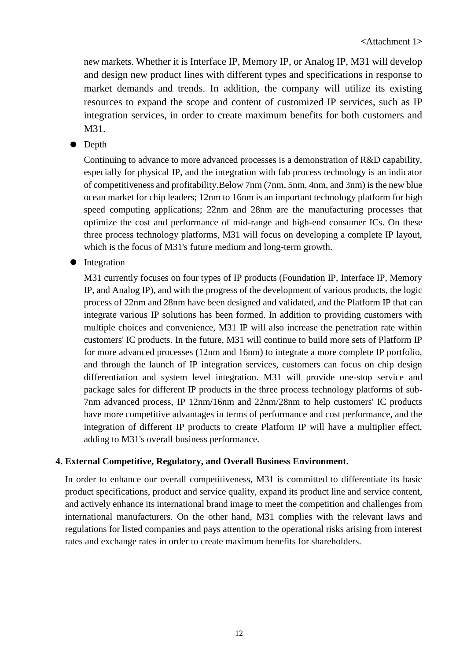new markets. Whether it is Interface IP, Memory IP, or Analog IP, M31 will develop and design new product lines with different types and specifications in response to market demands and trends. In addition, the company will utilize its existing resources to expand the scope and content of customized IP services, such as IP integration services, in order to create maximum benefits for both customers and M31.

• Depth

Continuing to advance to more advanced processes is a demonstration of R&D capability, especially for physical IP, and the integration with fab process technology is an indicator of competitiveness and profitability.Below 7nm (7nm, 5nm, 4nm, and 3nm) is the new blue ocean market for chip leaders; 12nm to 16nm is an important technology platform for high speed computing applications; 22nm and 28nm are the manufacturing processes that optimize the cost and performance of mid-range and high-end consumer ICs. On these three process technology platforms, M31 will focus on developing a complete IP layout, which is the focus of M31's future medium and long-term growth.

• Integration

M31 currently focuses on four types of IP products (Foundation IP, Interface IP, Memory IP, and Analog IP), and with the progress of the development of various products, the logic process of 22nm and 28nm have been designed and validated, and the Platform IP that can integrate various IP solutions has been formed. In addition to providing customers with multiple choices and convenience, M31 IP will also increase the penetration rate within customers' IC products. In the future, M31 will continue to build more sets of Platform IP for more advanced processes (12nm and 16nm) to integrate a more complete IP portfolio, and through the launch of IP integration services, customers can focus on chip design differentiation and system level integration. M31 will provide one-stop service and package sales for different IP products in the three process technology platforms of sub-7nm advanced process, IP 12nm/16nm and 22nm/28nm to help customers' IC products have more competitive advantages in terms of performance and cost performance, and the integration of different IP products to create Platform IP will have a multiplier effect, adding to M31's overall business performance.

#### **4. External Competitive, Regulatory, and Overall Business Environment.**

In order to enhance our overall competitiveness, M31 is committed to differentiate its basic product specifications, product and service quality, expand its product line and service content, and actively enhance its international brand image to meet the competition and challenges from international manufacturers. On the other hand, M31 complies with the relevant laws and regulations for listed companies and pays attention to the operational risks arising from interest rates and exchange rates in order to create maximum benefits for shareholders.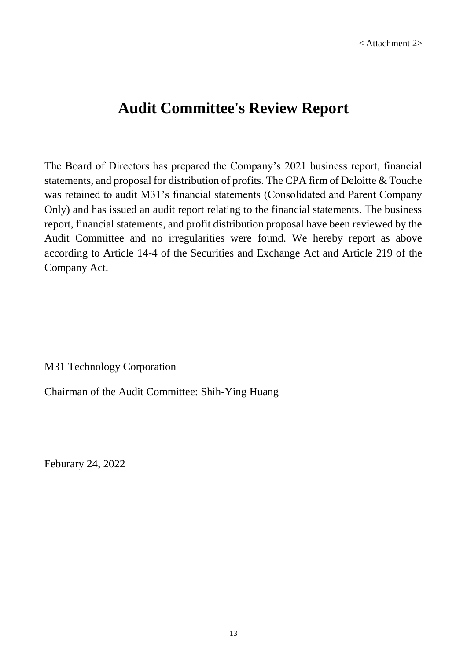# **Audit Committee's Review Report**

The Board of Directors has prepared the Company's 2021 business report, financial statements, and proposal for distribution of profits. The CPA firm of Deloitte & Touche was retained to audit M31's financial statements (Consolidated and Parent Company Only) and has issued an audit report relating to the financial statements. The business report, financial statements, and profit distribution proposal have been reviewed by the Audit Committee and no irregularities were found. We hereby report as above according to Article 14-4 of the Securities and Exchange Act and Article 219 of the Company Act.

M31 Technology Corporation

Chairman of the Audit Committee: Shih-Ying Huang

Feburary 24, 2022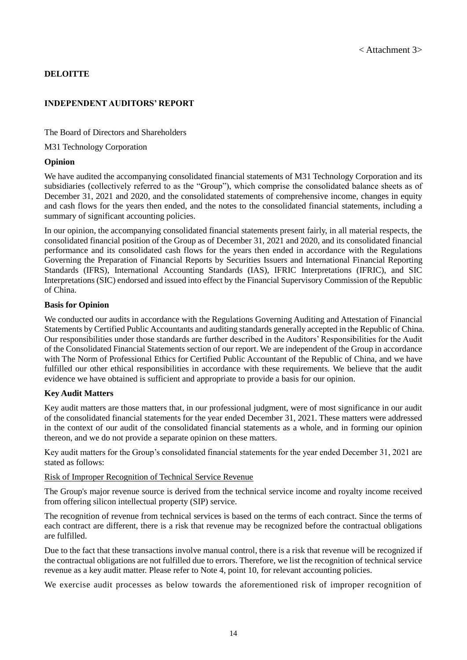#### **DELOITTE**

#### **INDEPENDENT AUDITORS' REPORT**

The Board of Directors and Shareholders

M31 Technology Corporation

#### **Opinion**

We have audited the accompanying consolidated financial statements of M31 Technology Corporation and its subsidiaries (collectively referred to as the "Group"), which comprise the consolidated balance sheets as of December 31, 2021 and 2020, and the consolidated statements of comprehensive income, changes in equity and cash flows for the years then ended, and the notes to the consolidated financial statements, including a summary of significant accounting policies.

In our opinion, the accompanying consolidated financial statements present fairly, in all material respects, the consolidated financial position of the Group as of December 31, 2021 and 2020, and its consolidated financial performance and its consolidated cash flows for the years then ended in accordance with the Regulations Governing the Preparation of Financial Reports by Securities Issuers and International Financial Reporting Standards (IFRS), International Accounting Standards (IAS), IFRIC Interpretations (IFRIC), and SIC Interpretations (SIC) endorsed and issued into effect by the Financial Supervisory Commission of the Republic of China.

#### **Basis for Opinion**

We conducted our audits in accordance with the Regulations Governing Auditing and Attestation of Financial Statements by Certified Public Accountants and auditing standards generally accepted in the Republic of China. Our responsibilities under those standards are further described in the Auditors' Responsibilities for the Audit of the Consolidated Financial Statements section of our report. We are independent of the Group in accordance with The Norm of Professional Ethics for Certified Public Accountant of the Republic of China, and we have fulfilled our other ethical responsibilities in accordance with these requirements. We believe that the audit evidence we have obtained is sufficient and appropriate to provide a basis for our opinion.

#### **Key Audit Matters**

Key audit matters are those matters that, in our professional judgment, were of most significance in our audit of the consolidated financial statements for the year ended December 31, 2021. These matters were addressed in the context of our audit of the consolidated financial statements as a whole, and in forming our opinion thereon, and we do not provide a separate opinion on these matters.

Key audit matters for the Group's consolidated financial statements for the year ended December 31, 2021 are stated as follows:

#### Risk of Improper Recognition of Technical Service Revenue

The Group's major revenue source is derived from the technical service income and royalty income received from offering silicon intellectual property (SIP) service.

The recognition of revenue from technical services is based on the terms of each contract. Since the terms of each contract are different, there is a risk that revenue may be recognized before the contractual obligations are fulfilled.

Due to the fact that these transactions involve manual control, there is a risk that revenue will be recognized if the contractual obligations are not fulfilled due to errors. Therefore, we list the recognition of technical service revenue as a key audit matter. Please refer to Note 4, point 10, for relevant accounting policies.

We exercise audit processes as below towards the aforementioned risk of improper recognition of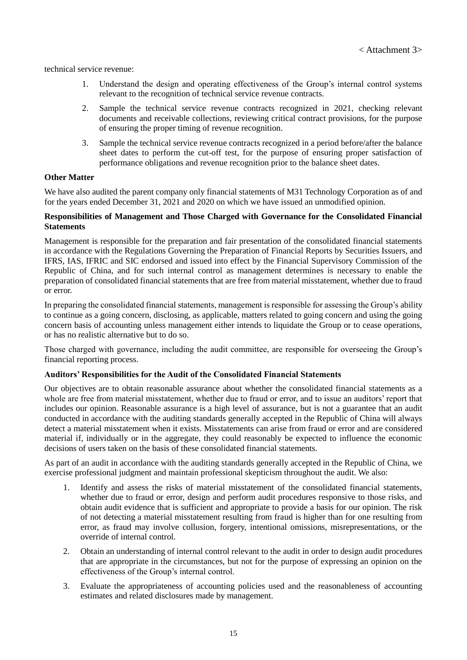technical service revenue:

- 1. Understand the design and operating effectiveness of the Group's internal control systems relevant to the recognition of technical service revenue contracts.
- 2. Sample the technical service revenue contracts recognized in 2021, checking relevant documents and receivable collections, reviewing critical contract provisions, for the purpose of ensuring the proper timing of revenue recognition.
- 3. Sample the technical service revenue contracts recognized in a period before/after the balance sheet dates to perform the cut-off test, for the purpose of ensuring proper satisfaction of performance obligations and revenue recognition prior to the balance sheet dates.

#### **Other Matter**

We have also audited the parent company only financial statements of M31 Technology Corporation as of and for the years ended December 31, 2021 and 2020 on which we have issued an unmodified opinion.

#### **Responsibilities of Management and Those Charged with Governance for the Consolidated Financial Statements**

Management is responsible for the preparation and fair presentation of the consolidated financial statements in accordance with the Regulations Governing the Preparation of Financial Reports by Securities Issuers, and IFRS, IAS, IFRIC and SIC endorsed and issued into effect by the Financial Supervisory Commission of the Republic of China, and for such internal control as management determines is necessary to enable the preparation of consolidated financial statements that are free from material misstatement, whether due to fraud or error.

In preparing the consolidated financial statements, management is responsible for assessing the Group's ability to continue as a going concern, disclosing, as applicable, matters related to going concern and using the going concern basis of accounting unless management either intends to liquidate the Group or to cease operations, or has no realistic alternative but to do so.

Those charged with governance, including the audit committee, are responsible for overseeing the Group's financial reporting process.

#### **Auditors' Responsibilities for the Audit of the Consolidated Financial Statements**

Our objectives are to obtain reasonable assurance about whether the consolidated financial statements as a whole are free from material misstatement, whether due to fraud or error, and to issue an auditors' report that includes our opinion. Reasonable assurance is a high level of assurance, but is not a guarantee that an audit conducted in accordance with the auditing standards generally accepted in the Republic of China will always detect a material misstatement when it exists. Misstatements can arise from fraud or error and are considered material if, individually or in the aggregate, they could reasonably be expected to influence the economic decisions of users taken on the basis of these consolidated financial statements.

As part of an audit in accordance with the auditing standards generally accepted in the Republic of China, we exercise professional judgment and maintain professional skepticism throughout the audit. We also:

- 1. Identify and assess the risks of material misstatement of the consolidated financial statements, whether due to fraud or error, design and perform audit procedures responsive to those risks, and obtain audit evidence that is sufficient and appropriate to provide a basis for our opinion. The risk of not detecting a material misstatement resulting from fraud is higher than for one resulting from error, as fraud may involve collusion, forgery, intentional omissions, misrepresentations, or the override of internal control.
- 2. Obtain an understanding of internal control relevant to the audit in order to design audit procedures that are appropriate in the circumstances, but not for the purpose of expressing an opinion on the effectiveness of the Group's internal control.
- 3. Evaluate the appropriateness of accounting policies used and the reasonableness of accounting estimates and related disclosures made by management.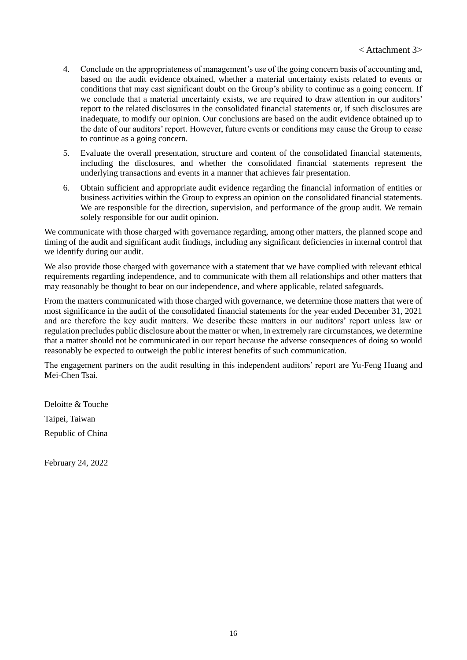- 4. Conclude on the appropriateness of management's use of the going concern basis of accounting and, based on the audit evidence obtained, whether a material uncertainty exists related to events or conditions that may cast significant doubt on the Group's ability to continue as a going concern. If we conclude that a material uncertainty exists, we are required to draw attention in our auditors' report to the related disclosures in the consolidated financial statements or, if such disclosures are inadequate, to modify our opinion. Our conclusions are based on the audit evidence obtained up to the date of our auditors' report. However, future events or conditions may cause the Group to cease to continue as a going concern.
- 5. Evaluate the overall presentation, structure and content of the consolidated financial statements, including the disclosures, and whether the consolidated financial statements represent the underlying transactions and events in a manner that achieves fair presentation.
- 6. Obtain sufficient and appropriate audit evidence regarding the financial information of entities or business activities within the Group to express an opinion on the consolidated financial statements. We are responsible for the direction, supervision, and performance of the group audit. We remain solely responsible for our audit opinion.

We communicate with those charged with governance regarding, among other matters, the planned scope and timing of the audit and significant audit findings, including any significant deficiencies in internal control that we identify during our audit.

We also provide those charged with governance with a statement that we have complied with relevant ethical requirements regarding independence, and to communicate with them all relationships and other matters that may reasonably be thought to bear on our independence, and where applicable, related safeguards.

From the matters communicated with those charged with governance, we determine those matters that were of most significance in the audit of the consolidated financial statements for the year ended December 31, 2021 and are therefore the key audit matters. We describe these matters in our auditors' report unless law or regulation precludes public disclosure about the matter or when, in extremely rare circumstances, we determine that a matter should not be communicated in our report because the adverse consequences of doing so would reasonably be expected to outweigh the public interest benefits of such communication.

The engagement partners on the audit resulting in this independent auditors' report are Yu-Feng Huang and Mei-Chen Tsai.

Deloitte & Touche Taipei, Taiwan Republic of China

February 24, 2022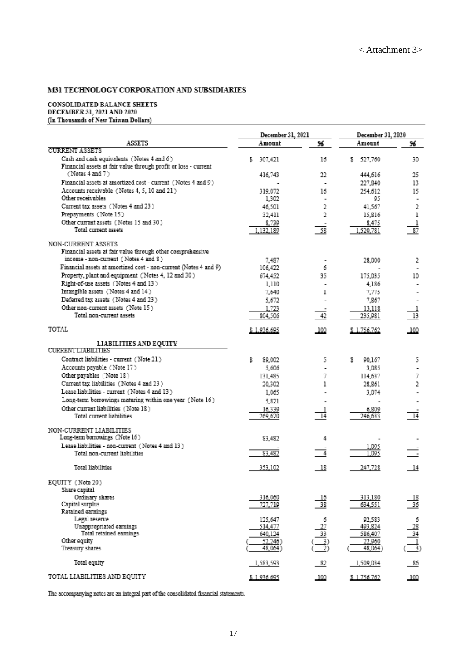#### M31 TECHNOLOGY CORPORATION AND SUBSIDIARIES

## ${\bf CONSOLIDATED BALANCE SHEETSDECEMBER 31, 2021 AND 2020}$ (In Thousands of New Taiwan Dollars)

|                                                                                                              | December 31, 2021  |                                     | December 31, 2020 |                           |
|--------------------------------------------------------------------------------------------------------------|--------------------|-------------------------------------|-------------------|---------------------------|
| <b>ASSETS</b>                                                                                                | Amount             | 96                                  | Amount            | 96                        |
| <b>CURRENT ASSETS</b>                                                                                        |                    |                                     |                   |                           |
| Cash and cash equivalents (Notes 4 and 6)<br>Financial assets at fair value through profit or loss - current | 307,421<br>s       | 16                                  | 527,760<br>s.     | 30                        |
| (Notes 4 and 7)                                                                                              | 416.743            | 22                                  | 444.616           | 25                        |
| Financial assets at amortized cost - current (Notes 4 and 9)                                                 |                    | $\overline{\phantom{a}}$            | 227.840           | 13                        |
| Accounts receivable (Notes 4, 5, 10 and 21)                                                                  | 319,072            | 16                                  | 254,612           | 15                        |
| Other receivables                                                                                            | 1,302              |                                     | 95                | $\blacksquare$            |
| Current tax assets (Notes 4 and 23)                                                                          | 46.501             | 2                                   | 41,567            | 2                         |
| Prepayments (Note 15)                                                                                        | 32,411             | 2                                   | 15,816            | 1                         |
| Other current assets (Notes 15 and 30)                                                                       | 8,739              |                                     | 8,475             |                           |
| Total current assets                                                                                         | 1,132,189          | 58                                  | 1,520,781         | 87                        |
| NON-CURRENT ASSETS                                                                                           |                    |                                     |                   |                           |
| Financial assets at fair value through other comprehensive                                                   |                    |                                     |                   |                           |
| income - non-current (Notes 4 and 8)                                                                         | 7.487              |                                     | 28,000            | 2                         |
| Financial assets at amortized cost - non-current (Notes 4 and 9)                                             | 106,422            | 6                                   |                   |                           |
| Property, plant and equipment (Notes 4, 12 and 30)                                                           | 674,452            | 35                                  | 175,035           | 10                        |
| Right-of-use assets (Notes 4 and 13)                                                                         | 1.110              |                                     | 4.186             |                           |
| Intangible assets (Notes 4 and 14)                                                                           | 7,640              | ı                                   | 7,775             |                           |
| Deferred tax assets (Notes 4 and 23)                                                                         | 5,672              |                                     | 7,867             |                           |
| Other non-current assets (Note 15)                                                                           | 1,723              |                                     | 13,118            |                           |
| Total non-current assets                                                                                     | 804,506            | 42                                  | 235,981           | 13                        |
| TOTAL                                                                                                        | \$1.936.695        | 100                                 | \$1.756.762       | 100                       |
| LIABILITIES AND EQUITY                                                                                       |                    |                                     |                   |                           |
| <b>CURRENT LIABILITIES</b>                                                                                   |                    |                                     |                   |                           |
| Contract liabilities - current (Note 21)                                                                     | s<br>89.002        | 5                                   | s<br>90,167       | 5                         |
| Accounts payable (Note 17)                                                                                   | 5.606              | ٠                                   | 3.085             |                           |
| Other payables (Note 18)                                                                                     | 131,485            | 7                                   | 114,637           | 7                         |
| Current tax liabilities (Notes 4 and 23)                                                                     | 20,302             | 1                                   | 28,861            | 2                         |
| Lease liabilities - current (Notes 4 and 13)                                                                 | 1,065              |                                     | 3.074             |                           |
| Long-term borrowings maturing within one year (Note 16)                                                      | 5,821              |                                     |                   |                           |
| Other current liabilities (Note 18)                                                                          | 16,339             |                                     | 6,809             |                           |
| Total current liabilities                                                                                    | 269,620            | $\overline{14}$                     | 246.633           | $\overline{14}$           |
| NON-CURRENT LIABILITIES                                                                                      |                    |                                     |                   |                           |
| Long-term borrowings (Note 16)                                                                               | 83,482             | 4                                   |                   |                           |
| Lease liabilities - non-current (Notes 4 and 13)                                                             |                    |                                     | 1,095             |                           |
| Total non-current liabilities                                                                                | 83,482             |                                     | 1.095             |                           |
| Total liabilities                                                                                            | 353,102            | 18                                  | 247,728           | 14                        |
| EQUITY (Note 20)                                                                                             |                    |                                     |                   |                           |
| Share capital                                                                                                |                    |                                     |                   |                           |
| Ordinary shares                                                                                              | 316,060            | $\frac{16}{38}$                     | 313,180           | $\frac{18}{36}$           |
| Capital surplus                                                                                              | 727,719            |                                     | 634,551           |                           |
| Retained earnings<br>Legal reserve                                                                           |                    |                                     |                   |                           |
| Unappropriated earnings                                                                                      | 125,647<br>514,477 |                                     | 92,583<br>493,824 |                           |
| Total retained earnings                                                                                      | 640,124            |                                     | 586,407           | $\frac{6}{\frac{28}{34}}$ |
| Other equity                                                                                                 | 52,246)            |                                     | 22,960            |                           |
| Treasury shares                                                                                              | 48,064)            | $\frac{\frac{27}{33}}{\frac{3}{2}}$ | 48,064)           |                           |
| Total equity                                                                                                 | 1,583,593          | $\frac{82}{2}$                      | 1,509,034         | 86                        |
| TOTAL LIABILITIES AND EQUITY                                                                                 | \$1.936.695        | 100                                 | \$1,756,762       | 100                       |

The accompanying notes are an integral part of the consolidated financial statements.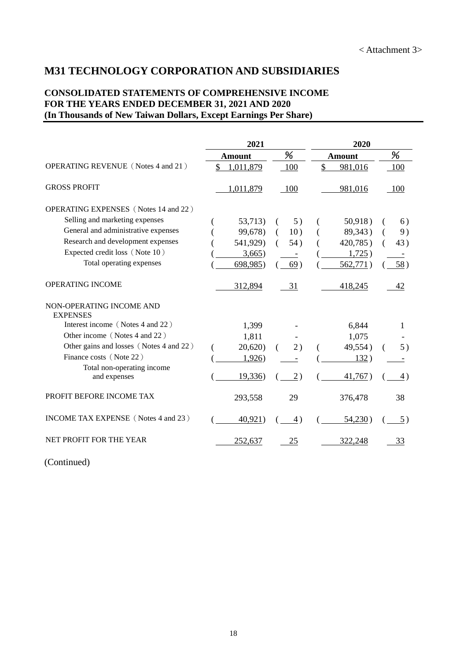## **M31 TECHNOLOGY CORPORATION AND SUBSIDIARIES**

#### **CONSOLIDATED STATEMENTS OF COMPREHENSIVE INCOME FOR THE YEARS ENDED DECEMBER 31, 2021 AND 2020 (In Thousands of New Taiwan Dollars, Except Earnings Per Share)**

|                                             | 2021          |     | 2020          |          |
|---------------------------------------------|---------------|-----|---------------|----------|
|                                             | <b>Amount</b> | %   | Amount        | %        |
| <b>OPERATING REVENUE</b> (Notes 4 and 21)   | 1,011,879     | 100 | \$<br>981,016 | 100      |
| <b>GROSS PROFIT</b>                         | 1,011,879     | 100 | 981,016       | - 100    |
| <b>OPERATING EXPENSES</b> (Notes 14 and 22) |               |     |               |          |
| Selling and marketing expenses              | 53,713)       | 5)  | 50,918)       | 6)       |
| General and administrative expenses         | 99,678)       | 10) | 89,343)       | 9)       |
| Research and development expenses           | 541,929)      | 54) | 420,785)      | 43)<br>( |
| Expected credit loss (Note 10)              | 3,665)        |     | 1,725)        |          |
| Total operating expenses                    | 698,985)      | 69) | 562,771)      | 58)      |
| <b>OPERATING INCOME</b>                     | 312,894       | 31  | 418,245       | 42       |
| NON-OPERATING INCOME AND<br><b>EXPENSES</b> |               |     |               |          |
| Interest income (Notes 4 and 22)            | 1,399         |     | 6,844         | 1        |
| Other income (Notes 4 and 22)               | 1,811         |     | 1,075         |          |
| Other gains and losses (Notes 4 and 22)     | 20,620        | 2)  | 49,554)       | 5)<br>€  |
| Finance costs (Note 22)                     | 1,926)        |     | 132)          |          |
| Total non-operating income<br>and expenses  | 19,336)       | 2)  | 41,767)       | 4)       |
| PROFIT BEFORE INCOME TAX                    | 293,558       | 29  | 376,478       | 38       |
| INCOME TAX EXPENSE (Notes 4 and 23)         | 40,921)       | 4)  | 54,230)       | 5)       |
| NET PROFIT FOR THE YEAR                     | 252,637       | 25  | 322,248       | 33       |

(Continued)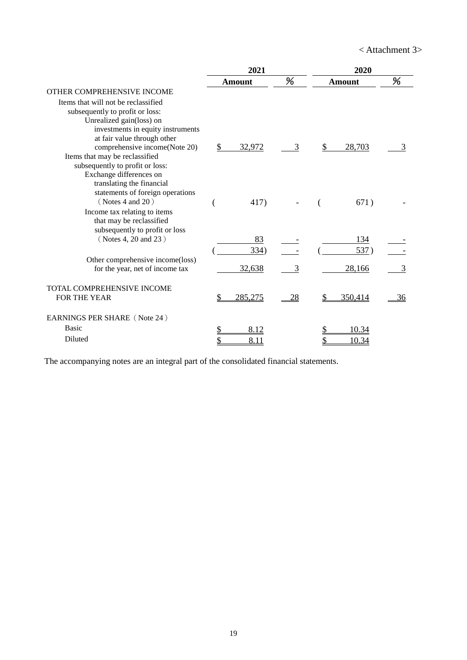< Attachment 3>

|                                                                   | 2021          |    | 2020          |    |
|-------------------------------------------------------------------|---------------|----|---------------|----|
|                                                                   | Amount        | %  | <b>Amount</b> | %  |
| OTHER COMPREHENSIVE INCOME<br>Items that will not be reclassified |               |    |               |    |
| subsequently to profit or loss:                                   |               |    |               |    |
| Unrealized gain(loss) on                                          |               |    |               |    |
| investments in equity instruments                                 |               |    |               |    |
| at fair value through other                                       |               |    |               |    |
| comprehensive income(Note 20)<br>Items that may be reclassified   | \$<br>32,972  | 3  | 28,703        |    |
| subsequently to profit or loss:                                   |               |    |               |    |
| Exchange differences on                                           |               |    |               |    |
| translating the financial                                         |               |    |               |    |
| statements of foreign operations                                  |               |    |               |    |
| (Notes 4 and 20)                                                  | 417)          |    | 671)          |    |
| Income tax relating to items                                      |               |    |               |    |
| that may be reclassified<br>subsequently to profit or loss        |               |    |               |    |
| (Notes 4, 20 and 23)                                              | 83            |    | 134           |    |
|                                                                   | 334)          |    | 537)          |    |
| Other comprehensive income(loss)                                  |               |    |               |    |
| for the year, net of income tax                                   | 32,638        | 3  | 28,166        |    |
| TOTAL COMPREHENSIVE INCOME                                        |               |    |               |    |
| FOR THE YEAR                                                      | \$<br>285,275 | 28 | 350,414       | 36 |
| EARNINGS PER SHARE (Note 24)                                      |               |    |               |    |
| <b>Basic</b>                                                      | 8.12          |    | 10.34         |    |
| Diluted                                                           | \$<br>8.11    |    | 10.34         |    |

The accompanying notes are an integral part of the consolidated financial statements.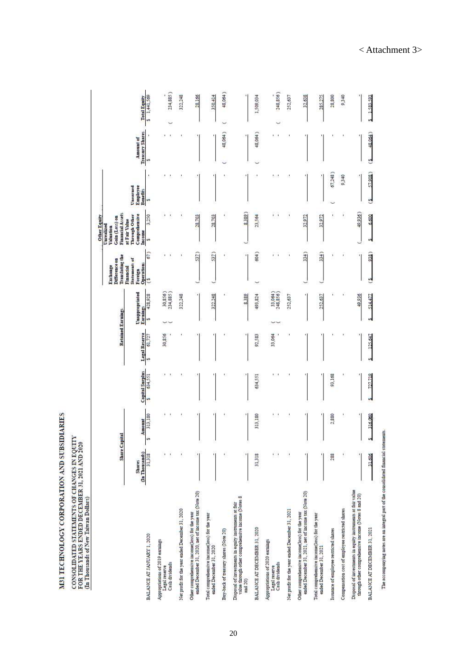M31 TECHNOLOGY CORPORATION AND SUBSIDIARIES

# CONSOLIDATED STATEMENTS OF CHANGES IN EQUITY<br>FOR THE YEARS ENDED DECEMBER 31, 2021 AND 2020<br>(In Thousands of New Taiwan Dollars)

| <b>Capital Surplus</b><br>634,551<br>634,551<br>W)<br>313,180<br>313,180<br>Amount<br>Share Capital<br>ò,<br>J<br>(In Thousands)<br>ï<br>ÿ<br>ł.<br>31,318<br>31,318<br>Shares<br>ended December 31, 2020, net of income tax (Note 20)<br>value through other comprehensive income (Notes 8<br>Disposal of investments in equity instruments at fair<br>let profit for the year ended December 31, 2020<br>Other comprehensive income(loss) for the year<br>Total comprehensive income(loss) for the year<br>BALANCE AT DECEMBER 31, 2020<br>Buy-back of treasury shares (Note 20)<br>BALANCE AT JANUARY 1, 2020<br>Appropriations of 2019 earnings<br>Appropriations of 2020 earnings<br>ended December 31, 2020<br>Cash dividends<br>Legal reserve<br>Legal reserve<br>and 20) |             | Legal Reserve<br>30,856<br>61.727 | <b>Unappropriated</b><br>30,856)<br>234,885)<br>428,928<br>322,248<br>322,248<br>Earnings<br>Retained Earnings<br>ø | 67)<br>Translating the<br>Statements of<br>Difference on<br>Operations<br>Financial<br>Foreign<br>ొ | Financial Assets<br>Comprehensive<br>Through Other<br>3,250<br>Gain (Loss) on<br>at Fair Value<br>Income<br>ü | Employee<br>Unearned | <b>Amount</b> of |                     |
|----------------------------------------------------------------------------------------------------------------------------------------------------------------------------------------------------------------------------------------------------------------------------------------------------------------------------------------------------------------------------------------------------------------------------------------------------------------------------------------------------------------------------------------------------------------------------------------------------------------------------------------------------------------------------------------------------------------------------------------------------------------------------------|-------------|-----------------------------------|---------------------------------------------------------------------------------------------------------------------|-----------------------------------------------------------------------------------------------------|---------------------------------------------------------------------------------------------------------------|----------------------|------------------|---------------------|
|                                                                                                                                                                                                                                                                                                                                                                                                                                                                                                                                                                                                                                                                                                                                                                                  |             |                                   |                                                                                                                     |                                                                                                     |                                                                                                               |                      |                  |                     |
|                                                                                                                                                                                                                                                                                                                                                                                                                                                                                                                                                                                                                                                                                                                                                                                  |             |                                   |                                                                                                                     |                                                                                                     |                                                                                                               | Benefits             | Treasury Shares  | <b>Total Equity</b> |
|                                                                                                                                                                                                                                                                                                                                                                                                                                                                                                                                                                                                                                                                                                                                                                                  |             |                                   |                                                                                                                     |                                                                                                     |                                                                                                               | t<br>ü               | и                | 1,441,569<br>'n     |
|                                                                                                                                                                                                                                                                                                                                                                                                                                                                                                                                                                                                                                                                                                                                                                                  |             |                                   |                                                                                                                     |                                                                                                     | ٠                                                                                                             |                      |                  |                     |
|                                                                                                                                                                                                                                                                                                                                                                                                                                                                                                                                                                                                                                                                                                                                                                                  |             |                                   |                                                                                                                     |                                                                                                     |                                                                                                               |                      |                  | 234,885)            |
|                                                                                                                                                                                                                                                                                                                                                                                                                                                                                                                                                                                                                                                                                                                                                                                  |             |                                   |                                                                                                                     |                                                                                                     |                                                                                                               |                      |                  | 322,248             |
|                                                                                                                                                                                                                                                                                                                                                                                                                                                                                                                                                                                                                                                                                                                                                                                  |             |                                   |                                                                                                                     | 537)                                                                                                | 28,703                                                                                                        |                      |                  | 28,166              |
|                                                                                                                                                                                                                                                                                                                                                                                                                                                                                                                                                                                                                                                                                                                                                                                  |             |                                   |                                                                                                                     | 537                                                                                                 | 28,703                                                                                                        |                      |                  | 350,414             |
|                                                                                                                                                                                                                                                                                                                                                                                                                                                                                                                                                                                                                                                                                                                                                                                  |             |                                   |                                                                                                                     |                                                                                                     |                                                                                                               |                      | 48,064)          | 48,064)             |
|                                                                                                                                                                                                                                                                                                                                                                                                                                                                                                                                                                                                                                                                                                                                                                                  |             |                                   | 8,389                                                                                                               |                                                                                                     | 8,389                                                                                                         |                      |                  |                     |
|                                                                                                                                                                                                                                                                                                                                                                                                                                                                                                                                                                                                                                                                                                                                                                                  |             | 92,583                            | 493,824                                                                                                             | 604)                                                                                                | 23,564                                                                                                        |                      | $48,064$ )       | 1,509,034           |
| $\mathbf{1}$<br>Cash dividends                                                                                                                                                                                                                                                                                                                                                                                                                                                                                                                                                                                                                                                                                                                                                   | $^{\prime}$ | 33,064                            | 33,064)<br>248,856)                                                                                                 |                                                                                                     | $\mathbf{r}$                                                                                                  | 1001                 | ٠                | 248,856)            |
| $\cdot$<br>Vet profit for the year ended December 31, 2021                                                                                                                                                                                                                                                                                                                                                                                                                                                                                                                                                                                                                                                                                                                       |             |                                   | 252,637                                                                                                             |                                                                                                     | ٠                                                                                                             |                      |                  | 252,637             |
| ended December 31, 2021, net of income tax (Note 20)<br>Other comprehensive income(loss) for the year                                                                                                                                                                                                                                                                                                                                                                                                                                                                                                                                                                                                                                                                            |             |                                   |                                                                                                                     | 334)                                                                                                | 32,972                                                                                                        |                      |                  | 32,638              |
| Total comprehensive income(loss) for the year<br>ended December 31, 2021                                                                                                                                                                                                                                                                                                                                                                                                                                                                                                                                                                                                                                                                                                         |             |                                   | 252.637                                                                                                             | 334)                                                                                                | 32,972                                                                                                        |                      |                  | 285,275             |
| 93,168<br>2,880<br>283<br>ssuance of employee restricted shares                                                                                                                                                                                                                                                                                                                                                                                                                                                                                                                                                                                                                                                                                                                  |             |                                   |                                                                                                                     |                                                                                                     |                                                                                                               | 67,248)              |                  | 28,800              |
| ţ.<br>Compensation cost of employee restricted shares                                                                                                                                                                                                                                                                                                                                                                                                                                                                                                                                                                                                                                                                                                                            |             |                                   |                                                                                                                     | í                                                                                                   | ï                                                                                                             | 9.340                |                  | 0750                |
| Disposal of investments in equity instruments at fair value<br>through other comprehensive income (Notes 8 and 20)                                                                                                                                                                                                                                                                                                                                                                                                                                                                                                                                                                                                                                                               |             |                                   | 49,936                                                                                                              |                                                                                                     | 49.936)                                                                                                       |                      |                  |                     |
| 727.719<br>316,000<br>ù<br>31,606<br>BALANCE AT DECEMBER 31, 2021                                                                                                                                                                                                                                                                                                                                                                                                                                                                                                                                                                                                                                                                                                                |             | 125.647                           | 514.477                                                                                                             | 938)<br>뼌                                                                                           | 6.600<br>w                                                                                                    | 57,908.)<br><u>ی</u> | 48.064)<br>G     | 1.583.593           |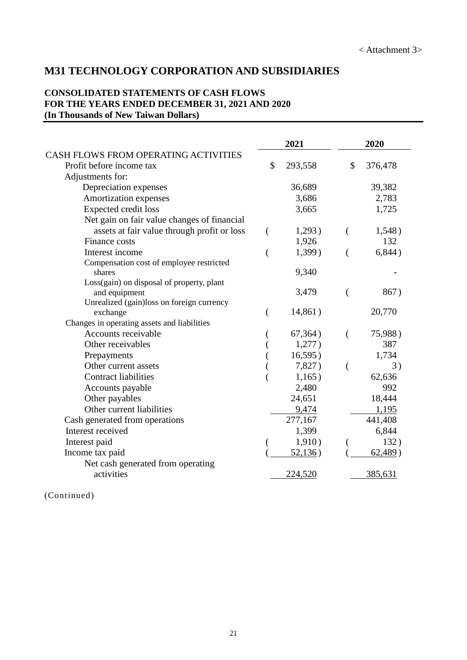## **M31 TECHNOLOGY CORPORATION AND SUBSIDIARIES**

#### **CONSOLIDATED STATEMENTS OF CASH FLOWS FOR THE YEARS ENDED DECEMBER 31, 2021 AND 2020 (In Thousands of New Taiwan Dollars)**

|                                             |                | 2021    |                | 2020    |
|---------------------------------------------|----------------|---------|----------------|---------|
| CASH FLOWS FROM OPERATING ACTIVITIES        |                |         |                |         |
| Profit before income tax                    | \$             | 293,558 | \$             | 376,478 |
| Adjustments for:                            |                |         |                |         |
| Depreciation expenses                       |                | 36,689  |                | 39,382  |
| Amortization expenses                       |                | 3,686   |                | 2,783   |
| <b>Expected credit loss</b>                 |                | 3,665   |                | 1,725   |
| Net gain on fair value changes of financial |                |         |                |         |
| assets at fair value through profit or loss |                | 1,293)  | €              | 1,548)  |
| Finance costs                               |                | 1,926   |                | 132     |
| Interest income                             | $\overline{(}$ | 1,399)  | €              | 6,844)  |
| Compensation cost of employee restricted    |                |         |                |         |
| shares                                      |                | 9,340   |                |         |
| Loss(gain) on disposal of property, plant   |                |         |                |         |
| and equipment                               |                | 3,479   | $\left($       | 867)    |
| Unrealized (gain)loss on foreign currency   |                |         |                |         |
| exchange                                    |                | 14,861) |                | 20,770  |
| Changes in operating assets and liabilities |                |         |                |         |
| Accounts receivable                         |                | 67,364) | $\left($       | 75,988) |
| Other receivables                           |                | 1,277)  |                | 387     |
| Prepayments                                 |                | 16,595) |                | 1,734   |
| Other current assets                        |                | 7,827)  | $\overline{(}$ | 3)      |
| <b>Contract liabilities</b>                 |                | 1,165)  |                | 62,636  |
| Accounts payable                            |                | 2,480   |                | 992     |
| Other payables                              |                | 24,651  |                | 18,444  |
| Other current liabilities                   |                | 9,474   |                | 1,195   |
| Cash generated from operations              |                | 277,167 |                | 441,408 |
| Interest received                           |                | 1,399   |                | 6,844   |
| Interest paid                               |                | 1,910)  |                | 132)    |
| Income tax paid                             |                | 52,136) |                | 62,489) |
| Net cash generated from operating           |                |         |                |         |
| activities                                  |                | 224,520 |                | 385,631 |

(Continued)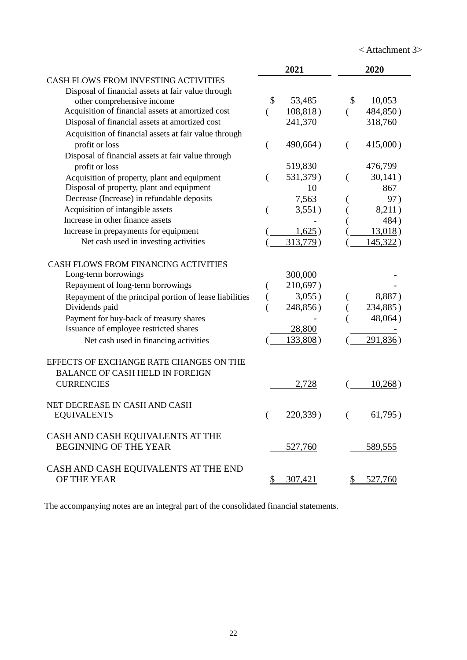< Attachment 3>

|                                                         |              | 2021      |          | 2020        |
|---------------------------------------------------------|--------------|-----------|----------|-------------|
| <b>CASH FLOWS FROM INVESTING ACTIVITIES</b>             |              |           |          |             |
| Disposal of financial assets at fair value through      |              |           |          |             |
| other comprehensive income                              | \$           | 53,485    | \$       | 10,053      |
| Acquisition of financial assets at amortized cost       | $\left($     | 108,818)  | $\left($ | 484,850)    |
| Disposal of financial assets at amortized cost          |              | 241,370   |          | 318,760     |
| Acquisition of financial assets at fair value through   |              |           |          |             |
| profit or loss                                          | €            | 490,664)  | €        | $415,000$ ) |
| Disposal of financial assets at fair value through      |              |           |          |             |
| profit or loss                                          |              | 519,830   |          | 476,799     |
| Acquisition of property, plant and equipment            | €            | 531,379)  | (        | 30,141)     |
| Disposal of property, plant and equipment               |              | 10        |          | 867         |
| Decrease (Increase) in refundable deposits              |              | 7,563     |          | 97)         |
| Acquisition of intangible assets                        |              | 3,551)    |          | 8,211)      |
| Increase in other finance assets                        |              |           |          | 484)        |
| Increase in prepayments for equipment                   |              | 1,625)    |          | 13,018)     |
| Net cash used in investing activities                   |              | 313,779)  |          | 145,322)    |
| CASH FLOWS FROM FINANCING ACTIVITIES                    |              |           |          |             |
| Long-term borrowings                                    |              | 300,000   |          |             |
| Repayment of long-term borrowings                       |              | 210,697)  |          |             |
| Repayment of the principal portion of lease liabilities |              | $3,055$ ) |          | 8,887)      |
| Dividends paid                                          |              | 248,856)  |          | 234,885)    |
| Payment for buy-back of treasury shares                 |              |           |          | 48,064)     |
| Issuance of employee restricted shares                  |              | 28,800    |          |             |
| Net cash used in financing activities                   |              | 133,808)  |          | 291,836)    |
| EFFECTS OF EXCHANGE RATE CHANGES ON THE                 |              |           |          |             |
| <b>BALANCE OF CASH HELD IN FOREIGN</b>                  |              |           |          |             |
| <b>CURRENCIES</b>                                       |              | 2,728     |          | 10,268)     |
| NET DECREASE IN CASH AND CASH                           |              |           |          |             |
| <b>EQUIVALENTS</b>                                      |              | 220,339)  |          | 61,795)     |
| CASH AND CASH EQUIVALENTS AT THE                        |              |           |          |             |
| <b>BEGINNING OF THE YEAR</b>                            |              | 527,760   |          | 589,555     |
| CASH AND CASH EQUIVALENTS AT THE END                    |              |           |          |             |
| OF THE YEAR                                             | $\mathbb{S}$ | 307,421   |          | 527,760     |

The accompanying notes are an integral part of the consolidated financial statements.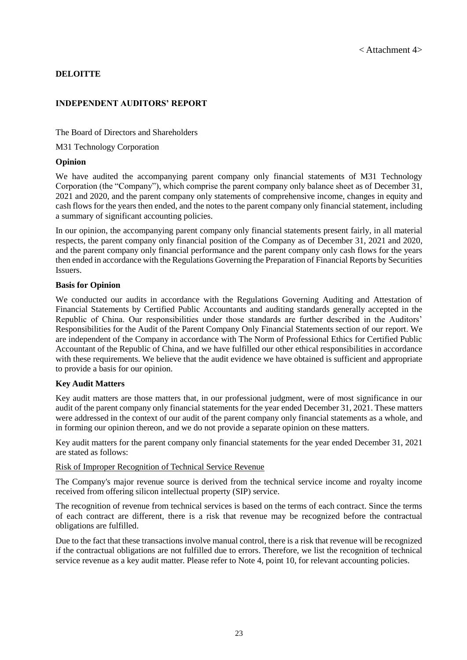#### **DELOITTE**

#### **INDEPENDENT AUDITORS' REPORT**

The Board of Directors and Shareholders

M31 Technology Corporation

#### **Opinion**

We have audited the accompanying parent company only financial statements of M31 Technology Corporation (the "Company"), which comprise the parent company only balance sheet as of December 31, 2021 and 2020, and the parent company only statements of comprehensive income, changes in equity and cash flows for the years then ended, and the notes to the parent company only financial statement, including a summary of significant accounting policies.

In our opinion, the accompanying parent company only financial statements present fairly, in all material respects, the parent company only financial position of the Company as of December 31, 2021 and 2020, and the parent company only financial performance and the parent company only cash flows for the years then ended in accordance with the Regulations Governing the Preparation of Financial Reports by Securities Issuers.

#### **Basis for Opinion**

We conducted our audits in accordance with the Regulations Governing Auditing and Attestation of Financial Statements by Certified Public Accountants and auditing standards generally accepted in the Republic of China. Our responsibilities under those standards are further described in the Auditors' Responsibilities for the Audit of the Parent Company Only Financial Statements section of our report. We are independent of the Company in accordance with The Norm of Professional Ethics for Certified Public Accountant of the Republic of China, and we have fulfilled our other ethical responsibilities in accordance with these requirements. We believe that the audit evidence we have obtained is sufficient and appropriate to provide a basis for our opinion.

#### **Key Audit Matters**

Key audit matters are those matters that, in our professional judgment, were of most significance in our audit of the parent company only financial statements for the year ended December 31, 2021. These matters were addressed in the context of our audit of the parent company only financial statements as a whole, and in forming our opinion thereon, and we do not provide a separate opinion on these matters.

Key audit matters for the parent company only financial statements for the year ended December 31, 2021 are stated as follows:

#### Risk of Improper Recognition of Technical Service Revenue

The Company's major revenue source is derived from the technical service income and royalty income received from offering silicon intellectual property (SIP) service.

The recognition of revenue from technical services is based on the terms of each contract. Since the terms of each contract are different, there is a risk that revenue may be recognized before the contractual obligations are fulfilled.

Due to the fact that these transactions involve manual control, there is a risk that revenue will be recognized if the contractual obligations are not fulfilled due to errors. Therefore, we list the recognition of technical service revenue as a key audit matter. Please refer to Note 4, point 10, for relevant accounting policies.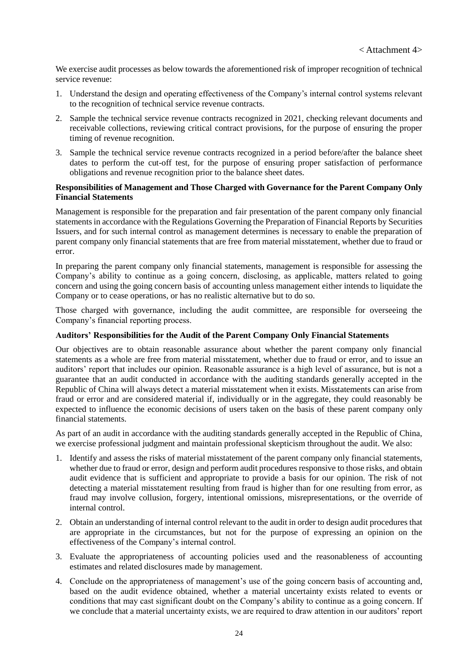We exercise audit processes as below towards the aforementioned risk of improper recognition of technical service revenue:

- 1. Understand the design and operating effectiveness of the Company's internal control systems relevant to the recognition of technical service revenue contracts.
- 2. Sample the technical service revenue contracts recognized in 2021, checking relevant documents and receivable collections, reviewing critical contract provisions, for the purpose of ensuring the proper timing of revenue recognition.
- 3. Sample the technical service revenue contracts recognized in a period before/after the balance sheet dates to perform the cut-off test, for the purpose of ensuring proper satisfaction of performance obligations and revenue recognition prior to the balance sheet dates.

#### **Responsibilities of Management and Those Charged with Governance for the Parent Company Only Financial Statements**

Management is responsible for the preparation and fair presentation of the parent company only financial statements in accordance with the Regulations Governing the Preparation of Financial Reports by Securities Issuers, and for such internal control as management determines is necessary to enable the preparation of parent company only financial statements that are free from material misstatement, whether due to fraud or error.

In preparing the parent company only financial statements, management is responsible for assessing the Company's ability to continue as a going concern, disclosing, as applicable, matters related to going concern and using the going concern basis of accounting unless management either intends to liquidate the Company or to cease operations, or has no realistic alternative but to do so.

Those charged with governance, including the audit committee, are responsible for overseeing the Company's financial reporting process.

#### **Auditors' Responsibilities for the Audit of the Parent Company Only Financial Statements**

Our objectives are to obtain reasonable assurance about whether the parent company only financial statements as a whole are free from material misstatement, whether due to fraud or error, and to issue an auditors' report that includes our opinion. Reasonable assurance is a high level of assurance, but is not a guarantee that an audit conducted in accordance with the auditing standards generally accepted in the Republic of China will always detect a material misstatement when it exists. Misstatements can arise from fraud or error and are considered material if, individually or in the aggregate, they could reasonably be expected to influence the economic decisions of users taken on the basis of these parent company only financial statements.

As part of an audit in accordance with the auditing standards generally accepted in the Republic of China, we exercise professional judgment and maintain professional skepticism throughout the audit. We also:

- 1. Identify and assess the risks of material misstatement of the parent company only financial statements, whether due to fraud or error, design and perform audit procedures responsive to those risks, and obtain audit evidence that is sufficient and appropriate to provide a basis for our opinion. The risk of not detecting a material misstatement resulting from fraud is higher than for one resulting from error, as fraud may involve collusion, forgery, intentional omissions, misrepresentations, or the override of internal control.
- 2. Obtain an understanding of internal control relevant to the audit in order to design audit procedures that are appropriate in the circumstances, but not for the purpose of expressing an opinion on the effectiveness of the Company's internal control.
- 3. Evaluate the appropriateness of accounting policies used and the reasonableness of accounting estimates and related disclosures made by management.
- 4. Conclude on the appropriateness of management's use of the going concern basis of accounting and, based on the audit evidence obtained, whether a material uncertainty exists related to events or conditions that may cast significant doubt on the Company's ability to continue as a going concern. If we conclude that a material uncertainty exists, we are required to draw attention in our auditors' report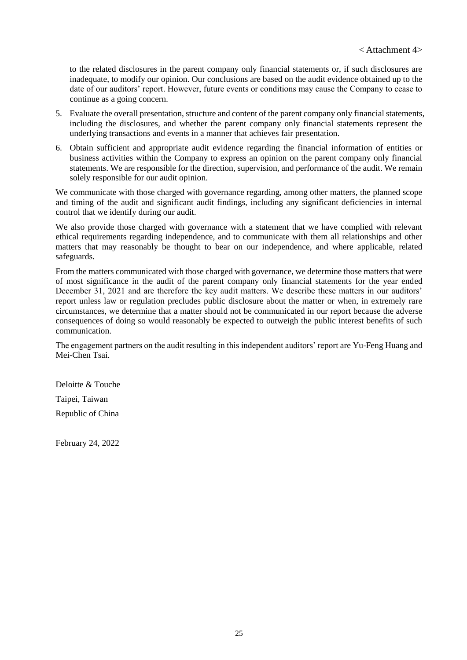to the related disclosures in the parent company only financial statements or, if such disclosures are inadequate, to modify our opinion. Our conclusions are based on the audit evidence obtained up to the date of our auditors' report. However, future events or conditions may cause the Company to cease to continue as a going concern.

- 5. Evaluate the overall presentation, structure and content of the parent company only financial statements, including the disclosures, and whether the parent company only financial statements represent the underlying transactions and events in a manner that achieves fair presentation.
- 6. Obtain sufficient and appropriate audit evidence regarding the financial information of entities or business activities within the Company to express an opinion on the parent company only financial statements. We are responsible for the direction, supervision, and performance of the audit. We remain solely responsible for our audit opinion.

We communicate with those charged with governance regarding, among other matters, the planned scope and timing of the audit and significant audit findings, including any significant deficiencies in internal control that we identify during our audit.

We also provide those charged with governance with a statement that we have complied with relevant ethical requirements regarding independence, and to communicate with them all relationships and other matters that may reasonably be thought to bear on our independence, and where applicable, related safeguards.

From the matters communicated with those charged with governance, we determine those matters that were of most significance in the audit of the parent company only financial statements for the year ended December 31, 2021 and are therefore the key audit matters. We describe these matters in our auditors' report unless law or regulation precludes public disclosure about the matter or when, in extremely rare circumstances, we determine that a matter should not be communicated in our report because the adverse consequences of doing so would reasonably be expected to outweigh the public interest benefits of such communication.

The engagement partners on the audit resulting in this independent auditors' report are Yu-Feng Huang and Mei-Chen Tsai.

Deloitte & Touche Taipei, Taiwan Republic of China

February 24, 2022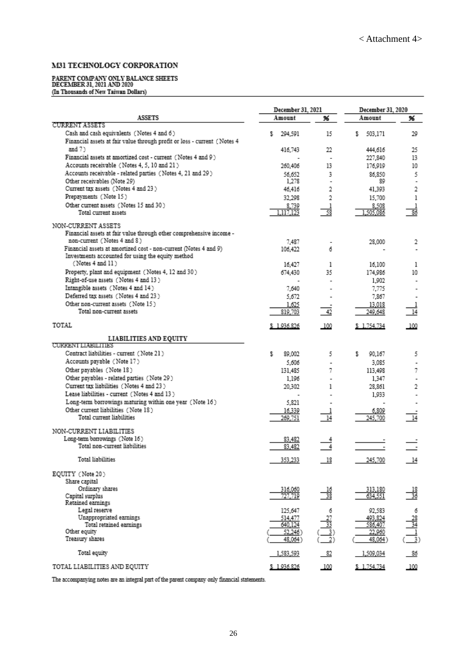#### M31 TECHNOLOGY CORPORATION

# PARENT COMPANY ONLY BALANCE SHEETS<br>DECEMBER 31, 2021 AND 2020<br>(In Thousands of New Taiwan Dollars)

|                                                                                                                       | December 31, 2021  |                                     | December 31, 2020  |                                  |
|-----------------------------------------------------------------------------------------------------------------------|--------------------|-------------------------------------|--------------------|----------------------------------|
| <b>ASSETS</b>                                                                                                         | Amount             | 96                                  | Amount             | 96                               |
| <b>CURRENT ASSETS</b>                                                                                                 |                    |                                     |                    |                                  |
| Cash and cash equivalents (Notes 4 and 6)<br>Financial assets at fair value through profit or loss - current (Notes 4 | 294,591<br>s       | 15                                  | 503,171<br>s       | 29                               |
| and $7$ $>$                                                                                                           | 416,743            | 22                                  | 444.616            | 25                               |
| Financial assets at amortized cost - current (Notes 4 and 9)                                                          |                    | ٠                                   | 227,840            | 13                               |
| Accounts receivable (Notes 4, 5, 10 and 21)                                                                           | 260,406            | 13                                  | 176,919            | 10                               |
| Accounts receivable - related parties (Notes 4, 21 and 29)                                                            | 56,652             | 3                                   | 86.850             | 5                                |
| Other receivables (Note 29)                                                                                           | 1,278              |                                     | 89                 | ٠                                |
| Current tax assets (Notes 4 and 23)                                                                                   | 46,416             | 2                                   | 41,393             | 2                                |
| Prepayments (Note 15)                                                                                                 | 32.298             | 2                                   | 15,700             | ı                                |
| Other current assets (Notes 15 and 30)                                                                                | 8,739              | I                                   | 8,508              |                                  |
| Total current assets                                                                                                  | 1.117.123          | 58                                  | 1,505,086          | 86                               |
| NON-CURRENT ASSETS                                                                                                    |                    |                                     |                    |                                  |
| Financial assets at fair value through other comprehensive income -                                                   |                    |                                     |                    |                                  |
| non-current (Notes 4 and 8)                                                                                           | 7.487              |                                     | 28,000             | 2                                |
| Financial assets at amortized cost - non-current (Notes 4 and 9)                                                      | 106,422            | 6                                   |                    |                                  |
| Investments accounted for using the equity method                                                                     |                    |                                     |                    |                                  |
| (Notes 4 and 11)                                                                                                      | 16,427             | ı                                   | 16,100             | ı                                |
| Property, plant and equipment (Notes 4, 12 and 30)                                                                    | 674,430            | 35                                  | 174,986            | 10                               |
| Right-of-use assets (Notes 4 and 13)                                                                                  |                    |                                     | 1,902              |                                  |
| Intangible assets (Notes 4 and 14)                                                                                    | 7.640              |                                     | 7.775              |                                  |
| Deferred tax assets (Notes 4 and 23)                                                                                  | 5,672              |                                     | 7,867              |                                  |
| Other non-current assets (Note 15)<br>Total non-current assets                                                        | 1,625              | 42                                  | 13,018<br>249.648  |                                  |
|                                                                                                                       | 819,703            |                                     |                    | 14                               |
| TOTAL                                                                                                                 | \$1.936.826        | 100                                 | \$1.754.734        | -100                             |
| LIABILITIES AND EQUITY                                                                                                |                    |                                     |                    |                                  |
| <b>CURRENT LIABILITIES</b><br>Contract liabilities - current (Note 21)                                                |                    |                                     |                    |                                  |
| Accounts payable (Note 17)                                                                                            | 89,002<br>s        | 5                                   | s<br>90,167        | 5                                |
|                                                                                                                       | 5,606              |                                     | 3.085              |                                  |
| Other payables (Note 18)<br>Other payables - related parties (Note 29)                                                | 131,485            | 7                                   | 113,498            | 7                                |
| Current tax liabilities (Notes 4 and 23)                                                                              | 1,196              |                                     | 1,347              |                                  |
| Lease liabilities - current (Notes 4 and 13)                                                                          | 20,302             | ı                                   | 28,861<br>1,933    | 2                                |
| Long-term borrowings maturing within one year (Note 16)                                                               | 5.821              |                                     |                    |                                  |
| Other current liabilities (Note 18)                                                                                   | 16,339             |                                     | 6,809              |                                  |
| Total current liabilities                                                                                             | 269,751            | 14                                  | 245,700            | 14                               |
| NON-CURRENT LIABILITIES                                                                                               |                    |                                     |                    |                                  |
| Long-term borrowings (Note 16)                                                                                        | 83,482             | 4                                   |                    |                                  |
| Total non-current liabilities                                                                                         | 83,482             | 4                                   |                    |                                  |
| Total liabilities                                                                                                     | 353,233            | $\overline{\phantom{0}18}$          | 245,700            | 14                               |
| EQUITY (Note 20)                                                                                                      |                    |                                     |                    |                                  |
| Share capital                                                                                                         |                    |                                     |                    |                                  |
| Ordinary shares                                                                                                       | 316,060            |                                     | 313,180            |                                  |
| Capital surplus                                                                                                       | 727,719            | $\frac{16}{38}$                     | 634,551            | $\frac{18}{36}$                  |
| Retained earnings                                                                                                     |                    |                                     |                    |                                  |
| Legal reserve                                                                                                         | 125,647            | б                                   | 92,583             |                                  |
| Unappropriated earnings<br>Total retained earnings                                                                    | 514,477<br>640,124 |                                     | 493,824<br>586,407 |                                  |
| Other equity                                                                                                          | 52,246)            |                                     | 22,960             |                                  |
| Treasury shares                                                                                                       | 48,064)            | $\frac{\frac{27}{33}}{\frac{3}{2}}$ | 48,064)            | $\frac{28}{34}$<br>$\frac{1}{3}$ |
| Total equity                                                                                                          | 1,583,593          | $-82$                               | 1,509,034          | 86                               |
| TOTAL LIABILITIES AND EQUITY                                                                                          | \$1.936.826        | 100                                 | \$1.754.734        | 100                              |

The accompanying notes are an integral part of the parent company only financial statements.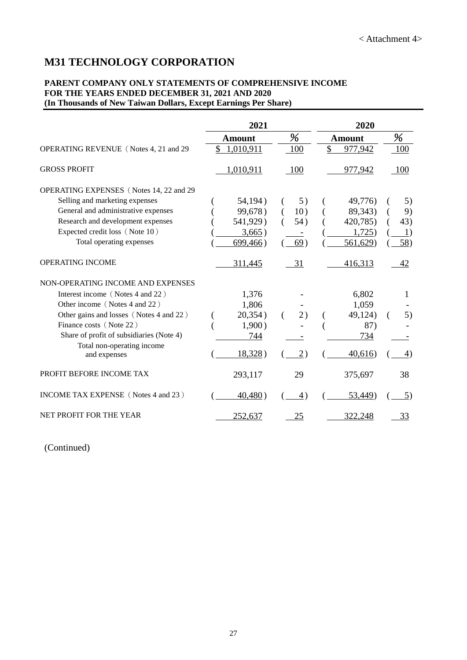## **M31 TECHNOLOGY CORPORATION**

#### **PARENT COMPANY ONLY STATEMENTS OF COMPREHENSIVE INCOME FOR THE YEARS ENDED DECEMBER 31, 2021 AND 2020 (In Thousands of New Taiwan Dollars, Except Earnings Per Share)**

|                                            | 2021          |                 | 2020          |     |
|--------------------------------------------|---------------|-----------------|---------------|-----|
|                                            | <b>Amount</b> | %               | <b>Amount</b> | %   |
| OPERATING REVENUE (Notes 4, 21 and 29)     | \$1,010,911   | 100             | \$<br>977,942 | 100 |
| <b>GROSS PROFIT</b>                        | 1,010,911     | 100             | 977,942       | 100 |
| OPERATING EXPENSES (Notes 14, 22 and 29)   |               |                 |               |     |
| Selling and marketing expenses             | 54,194)       | 5)              | 49,776)       | 5)  |
| General and administrative expenses        | 99,678)       | 10)             | 89,343)       | 9)  |
| Research and development expenses          | 541,929)      | 54)             | 420,785)      | 43) |
| Expected credit loss (Note 10)             | 3,665)        |                 | 1,725)        | 1)  |
| Total operating expenses                   | 699,466)      | 69)             | 561,629)      | 58) |
| OPERATING INCOME                           | 311,445       | 31              | 416,313       | 42  |
| NON-OPERATING INCOME AND EXPENSES          |               |                 |               |     |
| Interest income (Notes 4 and 22)           | 1,376         |                 | 6,802         |     |
| Other income (Notes 4 and 22)              | 1,806         |                 | 1,059         |     |
| Other gains and losses (Notes 4 and 22)    | 20,354)       | 2)              | 49,124)       | 5)  |
| Finance costs (Note 22)                    | 1,900)        |                 | 87)           |     |
| Share of profit of subsidiaries (Note 4)   | 744           |                 | 734           |     |
| Total non-operating income<br>and expenses | 18,328)       | $\overline{2})$ | 40,616        | 4)  |
| PROFIT BEFORE INCOME TAX                   | 293,117       | 29              | 375,697       | 38  |
| INCOME TAX EXPENSE (Notes 4 and 23)        | 40,480)       | 4)              | 53,449)       | 5)  |
| NET PROFIT FOR THE YEAR                    | 252,637       | 25              | 322,248       | 33  |

(Continued)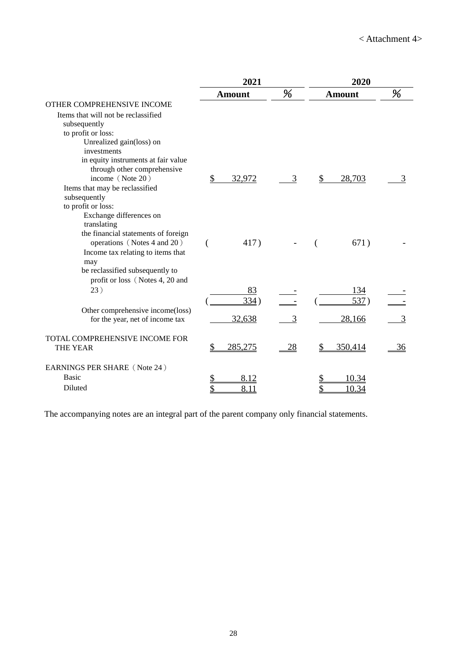|                                                |    | 2021          |    | 2020          |           |
|------------------------------------------------|----|---------------|----|---------------|-----------|
|                                                |    | <b>Amount</b> | %  | <b>Amount</b> | %         |
| OTHER COMPREHENSIVE INCOME                     |    |               |    |               |           |
| Items that will not be reclassified            |    |               |    |               |           |
| subsequently                                   |    |               |    |               |           |
| to profit or loss:                             |    |               |    |               |           |
| Unrealized gain(loss) on                       |    |               |    |               |           |
| investments                                    |    |               |    |               |           |
| in equity instruments at fair value            |    |               |    |               |           |
| through other comprehensive                    |    |               |    |               |           |
| income (Note 20)                               | \$ | 32,972        | 3  | \$<br>28,703  |           |
| Items that may be reclassified<br>subsequently |    |               |    |               |           |
| to profit or loss:                             |    |               |    |               |           |
| Exchange differences on                        |    |               |    |               |           |
| translating                                    |    |               |    |               |           |
| the financial statements of foreign            |    |               |    |               |           |
| operations (Notes 4 and 20)                    |    | 417)          |    | 671)          |           |
| Income tax relating to items that              |    |               |    |               |           |
| may                                            |    |               |    |               |           |
| be reclassified subsequently to                |    |               |    |               |           |
| profit or loss (Notes 4, 20 and                |    |               |    |               |           |
| 23)                                            |    | 83            |    | 134           |           |
|                                                |    | 334)          |    | 537)          |           |
| Other comprehensive income(loss)               |    |               |    |               |           |
| for the year, net of income tax                |    | 32,638        | 3  | 28,166        | 3         |
| TOTAL COMPREHENSIVE INCOME FOR                 |    |               |    |               |           |
| <b>THE YEAR</b>                                | S  | 285,275       | 28 | 350,414       | <u>36</u> |
| EARNINGS PER SHARE (Note 24)                   |    |               |    |               |           |
| <b>Basic</b>                                   |    | 8.12          |    | 10.34         |           |
| Diluted                                        |    | 8.11          |    | 10.34         |           |

The accompanying notes are an integral part of the parent company only financial statements.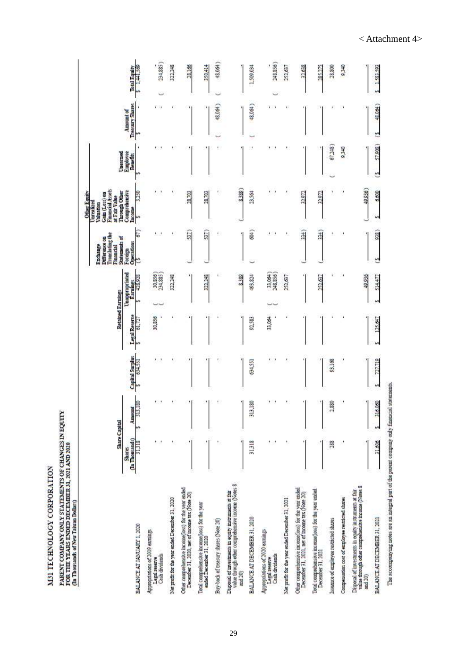|                                                                                                                       | Share Capital                     |                   |                                 |                        | Retained Earnings                            | <b>Translating</b> the<br>Statements of<br>Difference on<br>Exchange<br>Financial |      | Financial Assets<br>Through Other<br><b>Other Equity</b><br>Gain (Loss) on<br>at Fair Value<br>Jurealized<br>modanie/ |                                  |                                     |                     |
|-----------------------------------------------------------------------------------------------------------------------|-----------------------------------|-------------------|---------------------------------|------------------------|----------------------------------------------|-----------------------------------------------------------------------------------|------|-----------------------------------------------------------------------------------------------------------------------|----------------------------------|-------------------------------------|---------------------|
| BALANCE AT JANUARY 1, 2020                                                                                            | (In Thousands)<br>31318<br>Shares | 8<br>Amount<br>Ē. | Capital Surplus<br>S<br>634.551 | Legal Reserve<br>61.72 | Unappropriated<br>826.824<br><b>Farnings</b> | Operations<br>Foreign                                                             | S    | Comprehensive<br>Income<br>ø                                                                                          | Unearned<br>Employee<br>Benefits | Treasury Shares<br><b>Amount</b> of | <b>Total Equity</b> |
| Appropriations of 2019 earnings<br>Cash dividends<br>Legal reserve                                                    |                                   | $\mathbf{r}$      | ۰.                              | 30,856                 | 30,856)<br>234,885)                          |                                                                                   | v.   |                                                                                                                       | 1.11                             | $\cdots$                            | 234,885)            |
| Net profit for the year ended December 31, 2020                                                                       |                                   |                   |                                 |                        | 322,248                                      |                                                                                   |      |                                                                                                                       |                                  |                                     | 322.248             |
| Other comprehensive income[loss] for the year ended<br>December 31, 2020, net of income tax (Note 20)                 |                                   | 1                 |                                 |                        |                                              |                                                                                   | 537  | 28,703                                                                                                                |                                  | ٠                                   | 28,166              |
| Total comprehensive income(loss) for the year<br>ended December 31, 2020                                              | ¢,                                |                   |                                 |                        | 322.248                                      |                                                                                   | 537  | 28,703                                                                                                                |                                  |                                     | 350,414             |
| Buy-back of treasury shares (Note 20)                                                                                 | ١                                 |                   |                                 |                        |                                              | ۰                                                                                 | ĭ    | ï                                                                                                                     |                                  | 48,064                              | 48,064              |
| Disposal of investments in equity instruments at fair<br>value through other comprehensive income (Notes 8<br>and 20) |                                   | Ч                 |                                 |                        | 8,389                                        |                                                                                   |      | 8,389                                                                                                                 |                                  |                                     |                     |
| BALANCE AT DECEMBER 31, 2020                                                                                          | 31,318                            | 180<br>E          | 634.551                         | 92,583                 | 493,824                                      |                                                                                   | \$   | 23,564                                                                                                                |                                  | 48.064)                             | 1.509,034           |
| Appropriations of 2020 earnings<br>Legal reserve<br>Cash dividends                                                    | ٠                                 | ۰                 | ۴,                              | 33,064                 | 33,064)<br>248,856)                          |                                                                                   |      | ٧.                                                                                                                    | ٠                                | $\mathbf{r}$                        | 248,856)            |
| Net profit for the year ended December 31, 2021                                                                       |                                   |                   |                                 |                        | 252,637                                      |                                                                                   |      |                                                                                                                       |                                  |                                     | 252,637             |
| Other comprehensive income(loss) for the year ended<br>December 31, 2021, net of income tax (Note 20)                 |                                   |                   |                                 |                        |                                              |                                                                                   | 334) | 32,972                                                                                                                |                                  |                                     | 32.638              |
| Total comprehensive income(loss) for the year ended<br>December 31, 2021                                              |                                   |                   |                                 |                        | 252,637                                      |                                                                                   | 34   | 32.972                                                                                                                |                                  |                                     | 285.275             |
| Issuance of employee restricted shares                                                                                | 288                               | 2,880             | 93,168                          |                        |                                              | ٠                                                                                 |      | ٧                                                                                                                     | 67,248)                          | ٠                                   | 28,800              |
| Compensation cost of employee restricted shares                                                                       |                                   |                   | J,                              |                        |                                              | J.                                                                                |      | f,                                                                                                                    | 9.340                            |                                     | 0.340               |
| value through other comprehensive income (Notes 8<br>Disposal of investments in equity instruments at fair<br>and 20) |                                   | Ή                 |                                 |                        | 40.936                                       |                                                                                   |      | 40.936)                                                                                                               |                                  |                                     |                     |
| BALANCE AT DECEMBER 31, 2021                                                                                          | 31,606                            | 316.060<br>w      | 727.719<br>w                    | 125.647                | 514.477<br>w.                                | u                                                                                 | 038  | 6,600<br>S                                                                                                            | 57,908)<br>S                     | 48.064)<br>٣                        | 1.583.593           |

< Attachment 4>

M31 TECHNOLOGY CORPORATION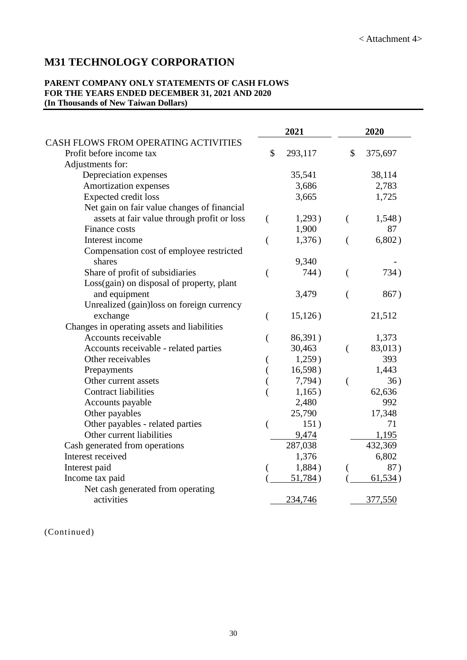## **M31 TECHNOLOGY CORPORATION**

#### **PARENT COMPANY ONLY STATEMENTS OF CASH FLOWS FOR THE YEARS ENDED DECEMBER 31, 2021 AND 2020 (In Thousands of New Taiwan Dollars)**

|                                             |                | 2021    |                | 2020    |
|---------------------------------------------|----------------|---------|----------------|---------|
| CASH FLOWS FROM OPERATING ACTIVITIES        |                |         |                |         |
| Profit before income tax                    | \$             | 293,117 | \$             | 375,697 |
| Adjustments for:                            |                |         |                |         |
| Depreciation expenses                       |                | 35,541  |                | 38,114  |
| Amortization expenses                       |                | 3,686   |                | 2,783   |
| <b>Expected credit loss</b>                 |                | 3,665   |                | 1,725   |
| Net gain on fair value changes of financial |                |         |                |         |
| assets at fair value through profit or loss | €              | 1,293)  | €              | 1,548)  |
| Finance costs                               |                | 1,900   |                | 87      |
| Interest income                             | $\overline{(}$ | 1,376)  | €              | 6,802)  |
| Compensation cost of employee restricted    |                |         |                |         |
| shares                                      |                | 9,340   |                |         |
| Share of profit of subsidiaries             | $\overline{(}$ | 744)    | €              | 734)    |
| Loss(gain) on disposal of property, plant   |                |         |                |         |
| and equipment                               |                | 3,479   | $\overline{(}$ | 867)    |
| Unrealized (gain)loss on foreign currency   |                |         |                |         |
| exchange                                    | €              | 15,126) |                | 21,512  |
| Changes in operating assets and liabilities |                |         |                |         |
| Accounts receivable                         | $\left($       | 86,391) |                | 1,373   |
| Accounts receivable - related parties       |                | 30,463  | $\left($       | 83,013) |
| Other receivables                           |                | 1,259)  |                | 393     |
| Prepayments                                 |                | 16,598) |                | 1,443   |
| Other current assets                        |                | 7,794)  | $\overline{(}$ | 36)     |
| <b>Contract liabilities</b>                 |                | 1,165)  |                | 62,636  |
| Accounts payable                            |                | 2,480   |                | 992     |
| Other payables                              |                | 25,790  |                | 17,348  |
| Other payables - related parties            | $\overline{(}$ | 151)    |                | 71      |
| Other current liabilities                   |                | 9,474   |                | 1,195   |
| Cash generated from operations              |                | 287,038 |                | 432,369 |
| Interest received                           |                | 1,376   |                | 6,802   |
| Interest paid                               |                | 1,884)  |                | 87)     |
| Income tax paid                             |                | 51,784) |                | 61,534) |
| Net cash generated from operating           |                |         |                |         |
| activities                                  |                | 234,746 |                | 377,550 |

(Continued)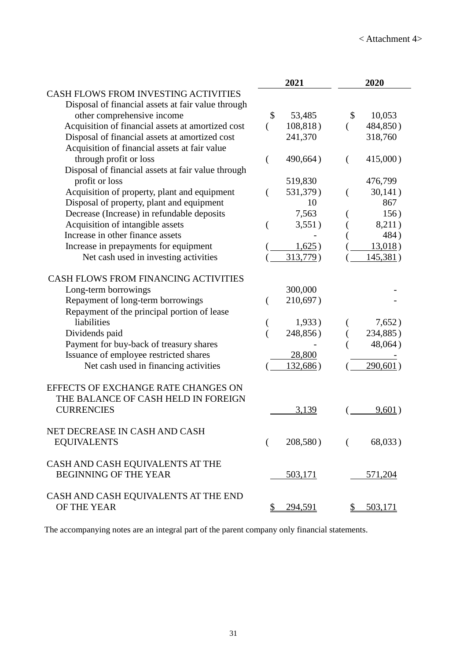|                                                    | 2021          | 2020                 |
|----------------------------------------------------|---------------|----------------------|
| <b>CASH FLOWS FROM INVESTING ACTIVITIES</b>        |               |                      |
| Disposal of financial assets at fair value through |               |                      |
| other comprehensive income                         | \$<br>53,485  | 10,053<br>\$         |
| Acquisition of financial assets at amortized cost  | 108,818)<br>( | 484,850)<br>$\left($ |
| Disposal of financial assets at amortized cost     | 241,370       | 318,760              |
| Acquisition of financial assets at fair value      |               |                      |
| through profit or loss                             | 490,664)<br>( | 415,000)<br>€        |
| Disposal of financial assets at fair value through |               |                      |
| profit or loss                                     | 519,830       | 476,799              |
| Acquisition of property, plant and equipment       | 531,379)<br>( | 30,141)              |
| Disposal of property, plant and equipment          | 10            | 867                  |
| Decrease (Increase) in refundable deposits         | 7,563         | 156)                 |
| Acquisition of intangible assets                   | 3,551)        | 8,211)               |
| Increase in other finance assets                   |               | 484)                 |
| Increase in prepayments for equipment              | 1,625)        | 13,018)              |
| Net cash used in investing activities              | 313,779)      | 145,381)             |
|                                                    |               |                      |
| CASH FLOWS FROM FINANCING ACTIVITIES               |               |                      |
| Long-term borrowings                               | 300,000       |                      |
| Repayment of long-term borrowings                  | 210,697)      |                      |
| Repayment of the principal portion of lease        |               |                      |
| liabilities                                        | 1,933)        | 7,652)               |
| Dividends paid                                     | 248,856)      | 234,885)             |
| Payment for buy-back of treasury shares            |               | 48,064)              |
| Issuance of employee restricted shares             | 28,800        |                      |
| Net cash used in financing activities              | 132,686)      | 290,601)             |
|                                                    |               |                      |
| EFFECTS OF EXCHANGE RATE CHANGES ON                |               |                      |
| THE BALANCE OF CASH HELD IN FOREIGN                |               |                      |
| <b>CURRENCIES</b>                                  | 3,139         | 9,601)               |
|                                                    |               |                      |
| NET DECREASE IN CASH AND CASH                      |               |                      |
| <b>EQUIVALENTS</b>                                 | 208,580)<br>€ | 68,033)<br>$\left($  |
|                                                    |               |                      |
| CASH AND CASH EQUIVALENTS AT THE                   |               |                      |
| <b>BEGINNING OF THE YEAR</b>                       | 503,171       | 571,204              |
|                                                    |               |                      |
| CASH AND CASH EQUIVALENTS AT THE END               |               |                      |
| OF THE YEAR                                        | 294,591<br>\$ | 503,171<br>S.        |

The accompanying notes are an integral part of the parent company only financial statements.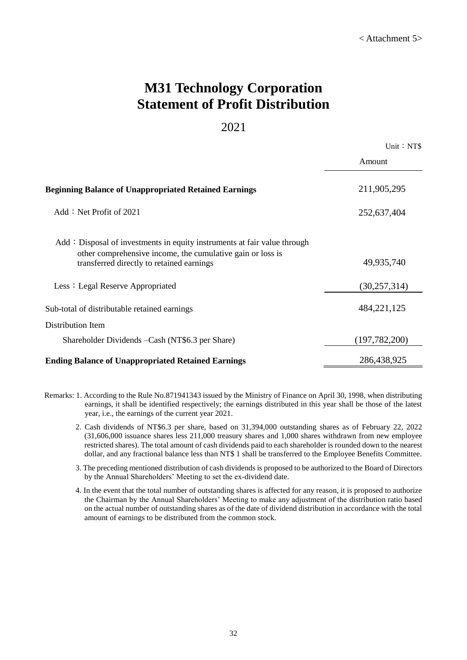# **M31 Technology Corporation Statement of Profit Distribution**

#### 2021

| Unit: NT\$ |  |
|------------|--|
|            |  |

|                                                                                                         | Amount          |
|---------------------------------------------------------------------------------------------------------|-----------------|
| <b>Beginning Balance of Unappropriated Retained Earnings</b><br>Add: Net Profit of $2021$               | 211,905,295     |
|                                                                                                         | 252,637,404     |
| Add: Disposal of investments in equity instruments at fair value through                                |                 |
| other comprehensive income, the cumulative gain or loss is<br>transferred directly to retained earnings | 49,935,740      |
| Less: Legal Reserve Appropriated                                                                        | (30, 257, 314)  |
| Sub-total of distributable retained earnings                                                            | 484, 221, 125   |
| Distribution Item                                                                                       |                 |
| Shareholder Dividends - Cash (NT\$6.3 per Share)                                                        | (197, 782, 200) |
| <b>Ending Balance of Unappropriated Retained Earnings</b>                                               | 286,438,925     |

- Remarks: 1. According to the Rule No.871941343 issued by the Ministry of Finance on April 30, 1998, when distributing earnings, it shall be identified respectively; the earnings distributed in this year shall be those of the latest year, i.e., the earnings of the current year 2021.
	- 2. Cash dividends of NT\$6.3 per share, based on 31,394,000 outstanding shares as of February 22, 2022 (31,606,000 issuance shares less 211,000 treasury shares and 1,000 shares withdrawn from new employee restricted shares). The total amount of cash dividends paid to each shareholder is rounded down to the nearest dollar, and any fractional balance less than NT\$ 1 shall be transferred to the Employee Benefits Committee.
	- 3. The preceding mentioned distribution of cash dividends is proposed to be authorized to the Board of Directors by the Annual Shareholders' Meeting to set the ex-dividend date.
	- 4. In the event that the total number of outstanding shares is affected for any reason, it is proposed to authorize the Chairman by the Annual Shareholders' Meeting to make any adjustment of the distribution ratio based on the actual number of outstanding shares as of the date of dividend distribution in accordance with the total amount of earnings to be distributed from the common stock.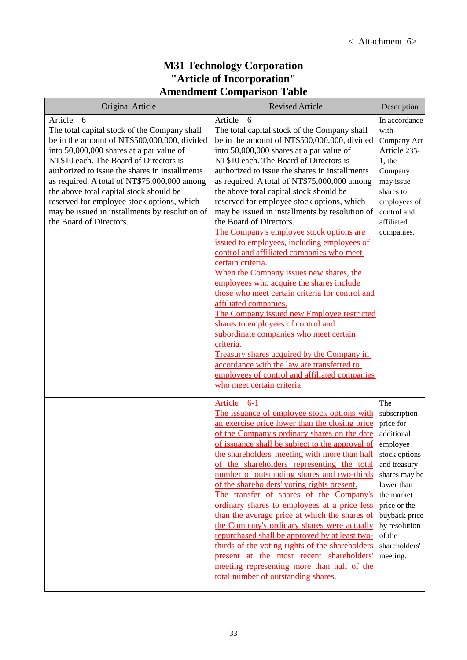#### **M31 Technology Corporation "Article of Incorporation" Amendment Comparison Table**

| <b>Original Article</b>                                                                                                                                                                                                                                                                                                                                                                                                                                                    | <b>Revised Article</b>                                                                                                                                                                                                                                                                                                                                                                                                                                                                                                                                                                                                                                                                                                                                                                                                                                                                                                                                                                                                                                                                                                             | Description                                                                                                                                                                                                                       |
|----------------------------------------------------------------------------------------------------------------------------------------------------------------------------------------------------------------------------------------------------------------------------------------------------------------------------------------------------------------------------------------------------------------------------------------------------------------------------|------------------------------------------------------------------------------------------------------------------------------------------------------------------------------------------------------------------------------------------------------------------------------------------------------------------------------------------------------------------------------------------------------------------------------------------------------------------------------------------------------------------------------------------------------------------------------------------------------------------------------------------------------------------------------------------------------------------------------------------------------------------------------------------------------------------------------------------------------------------------------------------------------------------------------------------------------------------------------------------------------------------------------------------------------------------------------------------------------------------------------------|-----------------------------------------------------------------------------------------------------------------------------------------------------------------------------------------------------------------------------------|
| Article<br>6<br>The total capital stock of the Company shall<br>be in the amount of NT\$500,000,000, divided<br>into 50,000,000 shares at a par value of<br>NT\$10 each. The Board of Directors is<br>authorized to issue the shares in installments<br>as required. A total of NT\$75,000,000 among<br>the above total capital stock should be<br>reserved for employee stock options, which<br>may be issued in installments by resolution of<br>the Board of Directors. | Article<br>- 6<br>The total capital stock of the Company shall<br>be in the amount of NT\$500,000,000, divided<br>into 50,000,000 shares at a par value of<br>NT\$10 each. The Board of Directors is<br>authorized to issue the shares in installments<br>as required. A total of NT\$75,000,000 among<br>the above total capital stock should be<br>reserved for employee stock options, which<br>may be issued in installments by resolution of<br>the Board of Directors.<br>The Company's employee stock options are<br>issued to employees, including employees of<br>control and affiliated companies who meet<br>certain criteria.<br>When the Company issues new shares, the<br>employees who acquire the shares include<br>those who meet certain criteria for control and<br>affiliated companies.<br>The Company issued new Employee restricted<br>shares to employees of control and<br>subordinate companies who meet certain<br>criteria.<br>Treasury shares acquired by the Company in<br>accordance with the law are transferred to<br>employees of control and affiliated companies<br>who meet certain criteria. | In accordance<br>with<br>Company Act<br>Article 235-<br>$1,$ the<br>Company<br>may issue<br>shares to<br>employees of<br>control and<br>affiliated<br>companies.                                                                  |
|                                                                                                                                                                                                                                                                                                                                                                                                                                                                            | Article 6-1<br>The issuance of employee stock options with<br>an exercise price lower than the closing price<br>of the Company's ordinary shares on the date<br>of issuance shall be subject to the approval of<br>the shareholders' meeting with more than half<br>of the shareholders representing the total<br>number of outstanding shares and two-thirds<br>of the shareholders' voting rights present.<br>The transfer of shares of the Company's<br>ordinary shares to employees at a price less<br>than the average price at which the shares of<br>the Company's ordinary shares were actually<br>repurchased shall be approved by at least two-<br>thirds of the voting rights of the shareholders<br>present at the most recent shareholders'<br>meeting representing more than half of the<br>total number of outstanding shares.                                                                                                                                                                                                                                                                                      | The<br>subscription<br>price for<br>additional<br>employee<br>stock options<br>and treasury<br>shares may be<br>lower than<br>the market<br>price or the<br>buyback price<br>by resolution<br>of the<br>shareholders'<br>meeting. |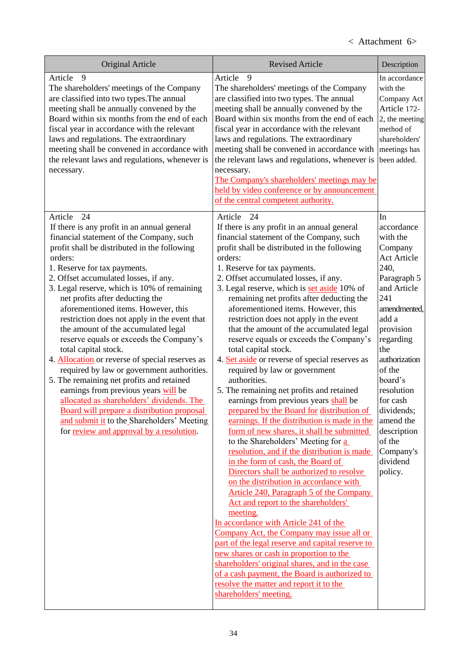| <b>Original Article</b>                                                                                                                                                                                                                                                                                                                                                                                                                                                                                                                                                                                                                                                                                                                                                                                                                                                                                            | <b>Revised Article</b>                                                                                                                                                                                                                                                                                                                                                                                                                                                                                                                                                                                                                                                                                                                                                                                                                                                                                                                                                                                                                                                                                                                                                                                                                                                                                                                                                                                                                                                                                                                                  | Description                                                                                                                                                                                                                                                                                                                  |
|--------------------------------------------------------------------------------------------------------------------------------------------------------------------------------------------------------------------------------------------------------------------------------------------------------------------------------------------------------------------------------------------------------------------------------------------------------------------------------------------------------------------------------------------------------------------------------------------------------------------------------------------------------------------------------------------------------------------------------------------------------------------------------------------------------------------------------------------------------------------------------------------------------------------|---------------------------------------------------------------------------------------------------------------------------------------------------------------------------------------------------------------------------------------------------------------------------------------------------------------------------------------------------------------------------------------------------------------------------------------------------------------------------------------------------------------------------------------------------------------------------------------------------------------------------------------------------------------------------------------------------------------------------------------------------------------------------------------------------------------------------------------------------------------------------------------------------------------------------------------------------------------------------------------------------------------------------------------------------------------------------------------------------------------------------------------------------------------------------------------------------------------------------------------------------------------------------------------------------------------------------------------------------------------------------------------------------------------------------------------------------------------------------------------------------------------------------------------------------------|------------------------------------------------------------------------------------------------------------------------------------------------------------------------------------------------------------------------------------------------------------------------------------------------------------------------------|
| Article<br>9<br>The shareholders' meetings of the Company<br>are classified into two types. The annual<br>meeting shall be annually convened by the<br>Board within six months from the end of each<br>fiscal year in accordance with the relevant<br>laws and regulations. The extraordinary<br>meeting shall be convened in accordance with<br>the relevant laws and regulations, whenever is<br>necessary.                                                                                                                                                                                                                                                                                                                                                                                                                                                                                                      | Article<br>9<br>The shareholders' meetings of the Company<br>are classified into two types. The annual<br>meeting shall be annually convened by the<br>Board within six months from the end of each<br>fiscal year in accordance with the relevant<br>laws and regulations. The extraordinary<br>meeting shall be convened in accordance with<br>the relevant laws and regulations, whenever is<br>necessary.<br>The Company's shareholders' meetings may be<br>held by video conference or by announcement<br>of the central competent authority.                                                                                                                                                                                                                                                                                                                                                                                                                                                                                                                                                                                                                                                                                                                                                                                                                                                                                                                                                                                                      | In accordance<br>with the<br>Company Act<br>Article 172-<br>2, the meeting<br>method of<br>shareholders'<br>meetings has<br>been added.                                                                                                                                                                                      |
| 24<br>Article<br>If there is any profit in an annual general<br>financial statement of the Company, such<br>profit shall be distributed in the following<br>orders:<br>1. Reserve for tax payments.<br>2. Offset accumulated losses, if any.<br>3. Legal reserve, which is 10% of remaining<br>net profits after deducting the<br>aforementioned items. However, this<br>restriction does not apply in the event that<br>the amount of the accumulated legal<br>reserve equals or exceeds the Company's<br>total capital stock.<br>4. Allocation or reverse of special reserves as<br>required by law or government authorities.<br>5. The remaining net profits and retained<br>earnings from previous years will be<br>allocated as shareholders' dividends. The<br>Board will prepare a distribution proposal<br>and submit it to the Shareholders' Meeting<br>for <u>review and approval by a resolution</u> . | 24<br>Article<br>If there is any profit in an annual general<br>financial statement of the Company, such<br>profit shall be distributed in the following<br>orders:<br>1. Reserve for tax payments.<br>2. Offset accumulated losses, if any.<br>3. Legal reserve, which is set aside 10% of<br>remaining net profits after deducting the<br>aforementioned items. However, this<br>restriction does not apply in the event<br>that the amount of the accumulated legal<br>reserve equals or exceeds the Company's<br>total capital stock.<br>4. Set aside or reverse of special reserves as<br>required by law or government<br>authorities.<br>5. The remaining net profits and retained<br>earnings from previous years shall be<br>prepared by the Board for distribution of<br>earnings. If the distribution is made in the<br>form of new shares, it shall be submitted<br>to the Shareholders' Meeting for a<br>resolution, and if the distribution is made<br>in the form of cash, the Board of<br>Directors shall be authorized to resolve<br>on the distribution in accordance with<br>Article 240, Paragraph 5 of the Company<br>Act and report to the shareholders'<br>meeting.<br>In accordance with Article 241 of the<br>Company Act, the Company may issue all or<br>part of the legal reserve and capital reserve to<br>new shares or cash in proportion to the<br>shareholders' original shares, and in the case<br>of a cash payment, the Board is authorized to<br>resolve the matter and report it to the<br>shareholders' meeting. | In<br>accordance<br>with the<br>Company<br><b>Act Article</b><br>240,<br>Paragraph 5<br>and Article<br>241<br>amendmented,<br>add a<br>provision<br>regarding<br>the<br>authorization<br>of the<br>board's<br>resolution<br>for cash<br>dividends;<br>amend the<br>description<br>of the<br>Company's<br>dividend<br>policy. |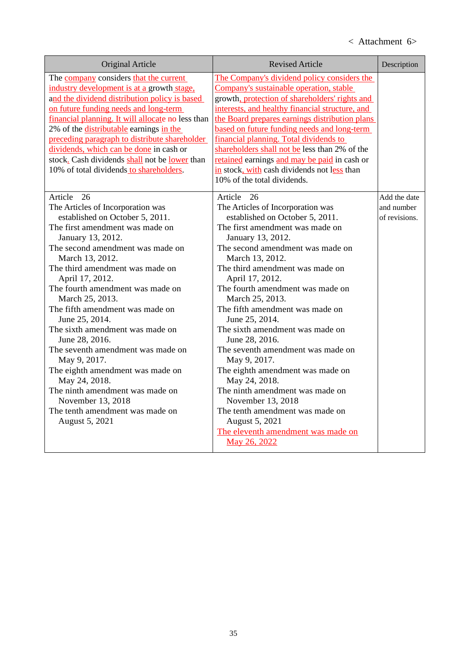# < Attachment 6>

| Original Article                                                                                                                                                                                                                                                                                                                                                                                                                                                                                                                                                                                                                                   | <b>Revised Article</b>                                                                                                                                                                                                                                                                                                                                                                                                                                                                                                                                                                                                                                                                                   | Description                                 |
|----------------------------------------------------------------------------------------------------------------------------------------------------------------------------------------------------------------------------------------------------------------------------------------------------------------------------------------------------------------------------------------------------------------------------------------------------------------------------------------------------------------------------------------------------------------------------------------------------------------------------------------------------|----------------------------------------------------------------------------------------------------------------------------------------------------------------------------------------------------------------------------------------------------------------------------------------------------------------------------------------------------------------------------------------------------------------------------------------------------------------------------------------------------------------------------------------------------------------------------------------------------------------------------------------------------------------------------------------------------------|---------------------------------------------|
| The company considers that the current<br>industry development is at a growth stage.<br>and the dividend distribution policy is based<br>on future funding needs and long-term<br>financial planning. It will allocate no less than<br>2% of the <i>distributable</i> earnings in the<br>preceding paragraph to distribute shareholder<br>dividends, which can be done in cash or<br>stock. Cash dividends shall not be lower than<br>10% of total dividends to shareholders.                                                                                                                                                                      | The Company's dividend policy considers the<br>Company's sustainable operation, stable<br>growth, protection of shareholders' rights and<br>interests, and healthy financial structure, and<br>the Board prepares earnings distribution plans<br>based on future funding needs and long-term<br>financial planning. Total dividends to<br>shareholders shall not be less than 2% of the<br>retained earnings and may be paid in cash or<br>in stock, with cash dividends not less than<br>10% of the total dividends.                                                                                                                                                                                    |                                             |
| 26<br>Article<br>The Articles of Incorporation was<br>established on October 5, 2011.<br>The first amendment was made on<br>January 13, 2012.<br>The second amendment was made on<br>March 13, 2012.<br>The third amendment was made on<br>April 17, 2012.<br>The fourth amendment was made on<br>March 25, 2013.<br>The fifth amendment was made on<br>June 25, 2014.<br>The sixth amendment was made on<br>June 28, 2016.<br>The seventh amendment was made on<br>May 9, 2017.<br>The eighth amendment was made on<br>May 24, 2018.<br>The ninth amendment was made on<br>November 13, 2018<br>The tenth amendment was made on<br>August 5, 2021 | Article<br>26<br>The Articles of Incorporation was<br>established on October 5, 2011.<br>The first amendment was made on<br>January 13, 2012.<br>The second amendment was made on<br>March 13, 2012.<br>The third amendment was made on<br>April 17, 2012.<br>The fourth amendment was made on<br>March 25, 2013.<br>The fifth amendment was made on<br>June 25, 2014.<br>The sixth amendment was made on<br>June 28, 2016.<br>The seventh amendment was made on<br>May 9, 2017.<br>The eighth amendment was made on<br>May 24, 2018.<br>The ninth amendment was made on<br>November 13, 2018<br>The tenth amendment was made on<br>August 5, 2021<br>The eleventh amendment was made on<br>May 26, 2022 | Add the date<br>and number<br>of revisions. |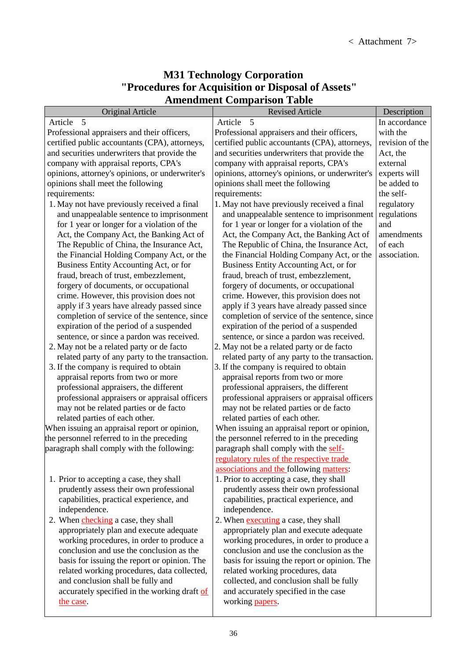## **M31 Technology Corporation "Procedures for Acquisition or Disposal of Assets" Amendment Comparison Table**

| <b>Original Article</b>                                   | <b>Revised Article</b>                                  | Description     |
|-----------------------------------------------------------|---------------------------------------------------------|-----------------|
| Article 5                                                 | Article<br>5                                            | In accordance   |
| Professional appraisers and their officers,               | Professional appraisers and their officers,             | with the        |
| certified public accountants (CPA), attorneys,            | certified public accountants (CPA), attorneys,          | revision of the |
| and securities underwriters that provide the              | and securities underwriters that provide the            | Act, the        |
| company with appraisal reports, CPA's                     | company with appraisal reports, CPA's                   | external        |
| opinions, attorney's opinions, or underwriter's           | opinions, attorney's opinions, or underwriter's         | experts will    |
| opinions shall meet the following                         | opinions shall meet the following                       | be added to     |
| requirements:                                             | requirements:                                           | the self-       |
| 1. May not have previously received a final               | 1. May not have previously received a final             | regulatory      |
| and unappealable sentence to imprisonment                 | and unappealable sentence to imprisonment               | regulations     |
| for 1 year or longer for a violation of the               | for 1 year or longer for a violation of the             | and             |
| Act, the Company Act, the Banking Act of                  | Act, the Company Act, the Banking Act of                | amendments      |
| The Republic of China, the Insurance Act,                 | The Republic of China, the Insurance Act,               | of each         |
| the Financial Holding Company Act, or the                 | the Financial Holding Company Act, or the               | association.    |
| Business Entity Accounting Act, or for                    | Business Entity Accounting Act, or for                  |                 |
| fraud, breach of trust, embezzlement,                     | fraud, breach of trust, embezzlement,                   |                 |
| forgery of documents, or occupational                     | forgery of documents, or occupational                   |                 |
| crime. However, this provision does not                   | crime. However, this provision does not                 |                 |
| apply if 3 years have already passed since                | apply if 3 years have already passed since              |                 |
| completion of service of the sentence, since              | completion of service of the sentence, since            |                 |
| expiration of the period of a suspended                   | expiration of the period of a suspended                 |                 |
| sentence, or since a pardon was received.                 | sentence, or since a pardon was received.               |                 |
| 2. May not be a related party or de facto                 | 2. May not be a related party or de facto               |                 |
| related party of any party to the transaction.            | related party of any party to the transaction.          |                 |
| 3. If the company is required to obtain                   | 3. If the company is required to obtain                 |                 |
| appraisal reports from two or more                        | appraisal reports from two or more                      |                 |
| professional appraisers, the different                    | professional appraisers, the different                  |                 |
| professional appraisers or appraisal officers             | professional appraisers or appraisal officers           |                 |
| may not be related parties or de facto                    | may not be related parties or de facto                  |                 |
| related parties of each other.                            | related parties of each other.                          |                 |
| When issuing an appraisal report or opinion,              | When issuing an appraisal report or opinion,            |                 |
| the personnel referred to in the preceding                | the personnel referred to in the preceding              |                 |
| paragraph shall comply with the following:                | paragraph shall comply with the self-                   |                 |
|                                                           | regulatory rules of the respective trade                |                 |
|                                                           | associations and the following matters:                 |                 |
| 1. Prior to accepting a case, they shall                  | 1. Prior to accepting a case, they shall                |                 |
| prudently assess their own professional                   | prudently assess their own professional                 |                 |
| capabilities, practical experience, and                   | capabilities, practical experience, and                 |                 |
| independence.                                             | independence.                                           |                 |
| 2. When <i>checking</i> a case, they shall                | 2. When executing a case, they shall                    |                 |
| appropriately plan and execute adequate                   | appropriately plan and execute adequate                 |                 |
| working procedures, in order to produce a                 | working procedures, in order to produce a               |                 |
| conclusion and use the conclusion as the                  | conclusion and use the conclusion as the                |                 |
| basis for issuing the report or opinion. The              | basis for issuing the report or opinion. The            |                 |
| related working procedures, data collected,               | related working procedures, data                        |                 |
| and conclusion shall be fully and                         | collected, and conclusion shall be fully                |                 |
| accurately specified in the working draft of<br>the case. | and accurately specified in the case<br>working papers. |                 |
|                                                           |                                                         |                 |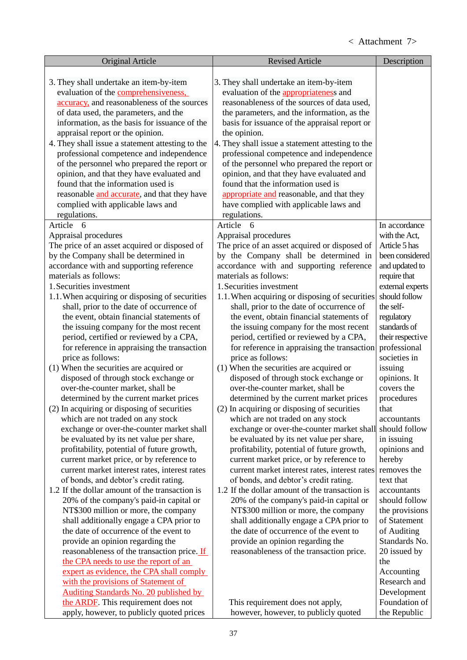| <b>Original Article</b>                                                                | <b>Revised Article</b>                                                                 | Description                       |
|----------------------------------------------------------------------------------------|----------------------------------------------------------------------------------------|-----------------------------------|
|                                                                                        |                                                                                        |                                   |
| 3. They shall undertake an item-by-item                                                | 3. They shall undertake an item-by-item                                                |                                   |
| evaluation of the comprehensiveness,                                                   | evaluation of the appropriateness and                                                  |                                   |
| accuracy, and reasonableness of the sources                                            | reasonableness of the sources of data used,                                            |                                   |
| of data used, the parameters, and the                                                  | the parameters, and the information, as the                                            |                                   |
| information, as the basis for issuance of the                                          | basis for issuance of the appraisal report or                                          |                                   |
| appraisal report or the opinion.                                                       | the opinion.                                                                           |                                   |
| 4. They shall issue a statement attesting to the                                       | 4. They shall issue a statement attesting to the                                       |                                   |
| professional competence and independence                                               | professional competence and independence                                               |                                   |
| of the personnel who prepared the report or                                            | of the personnel who prepared the report or                                            |                                   |
| opinion, and that they have evaluated and                                              | opinion, and that they have evaluated and                                              |                                   |
| found that the information used is                                                     | found that the information used is                                                     |                                   |
| reasonable and accurate, and that they have                                            | appropriate and reasonable, and that they                                              |                                   |
| complied with applicable laws and                                                      | have complied with applicable laws and                                                 |                                   |
| regulations.                                                                           | regulations.                                                                           |                                   |
| Article<br>6                                                                           | Article<br>6                                                                           | In accordance                     |
| Appraisal procedures                                                                   | Appraisal procedures                                                                   | with the Act,                     |
| The price of an asset acquired or disposed of                                          | The price of an asset acquired or disposed of                                          | Article 5 has                     |
| by the Company shall be determined in                                                  | by the Company shall be determined in                                                  | been considered                   |
| accordance with and supporting reference                                               | accordance with and supporting reference                                               | and updated to                    |
| materials as follows:                                                                  | materials as follows:                                                                  | require that                      |
| 1. Securities investment                                                               | 1. Securities investment                                                               | external experts<br>should follow |
| 1.1. When acquiring or disposing of securities                                         | 1.1. When acquiring or disposing of securities                                         | the self-                         |
| shall, prior to the date of occurrence of<br>the event, obtain financial statements of | shall, prior to the date of occurrence of<br>the event, obtain financial statements of |                                   |
|                                                                                        |                                                                                        | regulatory<br>standards of        |
| the issuing company for the most recent<br>period, certified or reviewed by a CPA,     | the issuing company for the most recent<br>period, certified or reviewed by a CPA,     | their respective                  |
| for reference in appraising the transaction                                            | for reference in appraising the transaction                                            | professional                      |
| price as follows:                                                                      | price as follows:                                                                      | societies in                      |
| (1) When the securities are acquired or                                                | (1) When the securities are acquired or                                                | issuing                           |
| disposed of through stock exchange or                                                  | disposed of through stock exchange or                                                  | opinions. It                      |
| over-the-counter market, shall be                                                      | over-the-counter market, shall be                                                      | covers the                        |
| determined by the current market prices                                                | determined by the current market prices                                                | procedures                        |
| (2) In acquiring or disposing of securities                                            | (2) In acquiring or disposing of securities                                            | that                              |
| which are not traded on any stock                                                      | which are not traded on any stock                                                      | accountants                       |
| exchange or over-the-counter market shall                                              | exchange or over-the-counter market shall                                              | should follow                     |
| be evaluated by its net value per share,                                               | be evaluated by its net value per share,                                               | in issuing                        |
| profitability, potential of future growth,                                             | profitability, potential of future growth,                                             | opinions and                      |
| current market price, or by reference to                                               | current market price, or by reference to                                               | hereby                            |
| current market interest rates, interest rates                                          | current market interest rates, interest rates                                          | removes the                       |
| of bonds, and debtor's credit rating.                                                  | of bonds, and debtor's credit rating.                                                  | text that                         |
| 1.2 If the dollar amount of the transaction is                                         | 1.2 If the dollar amount of the transaction is                                         | accountants                       |
| 20% of the company's paid-in capital or                                                | 20% of the company's paid-in capital or                                                | should follow                     |
| NT\$300 million or more, the company                                                   | NT\$300 million or more, the company                                                   | the provisions                    |
| shall additionally engage a CPA prior to                                               | shall additionally engage a CPA prior to                                               | of Statement                      |
| the date of occurrence of the event to                                                 | the date of occurrence of the event to                                                 | of Auditing                       |
| provide an opinion regarding the                                                       | provide an opinion regarding the                                                       | Standards No.                     |
| reasonableness of the transaction price. If                                            | reasonableness of the transaction price.                                               | 20 issued by                      |
| the CPA needs to use the report of an                                                  |                                                                                        | the                               |
| expert as evidence, the CPA shall comply                                               |                                                                                        | Accounting                        |
| with the provisions of Statement of                                                    |                                                                                        | Research and                      |
| <b>Auditing Standards No. 20 published by</b>                                          |                                                                                        | Development                       |
| the ARDF. This requirement does not                                                    | This requirement does not apply,                                                       | Foundation of                     |
| apply, however, to publicly quoted prices                                              | however, however, to publicly quoted                                                   | the Republic                      |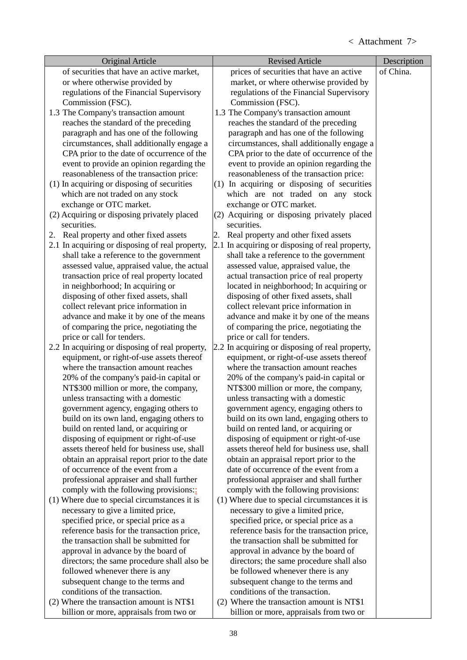| <b>Original Article</b>                                                       | <b>Revised Article</b>                                                        | Description |
|-------------------------------------------------------------------------------|-------------------------------------------------------------------------------|-------------|
| of securities that have an active market,                                     | prices of securities that have an active                                      | of China.   |
| or where otherwise provided by                                                | market, or where otherwise provided by                                        |             |
| regulations of the Financial Supervisory                                      | regulations of the Financial Supervisory                                      |             |
| Commission (FSC).                                                             | Commission (FSC).                                                             |             |
| 1.3 The Company's transaction amount                                          | 1.3 The Company's transaction amount                                          |             |
| reaches the standard of the preceding                                         | reaches the standard of the preceding                                         |             |
| paragraph and has one of the following                                        | paragraph and has one of the following                                        |             |
| circumstances, shall additionally engage a                                    | circumstances, shall additionally engage a                                    |             |
| CPA prior to the date of occurrence of the                                    | CPA prior to the date of occurrence of the                                    |             |
| event to provide an opinion regarding the                                     | event to provide an opinion regarding the                                     |             |
| reasonableness of the transaction price:                                      | reasonableness of the transaction price:                                      |             |
| (1) In acquiring or disposing of securities                                   | (1) In acquiring or disposing of securities                                   |             |
| which are not traded on any stock                                             | which are not traded on any stock                                             |             |
| exchange or OTC market.                                                       | exchange or OTC market.                                                       |             |
| (2) Acquiring or disposing privately placed                                   | (2) Acquiring or disposing privately placed                                   |             |
| securities.                                                                   | securities.                                                                   |             |
| Real property and other fixed assets<br>2.                                    | Real property and other fixed assets<br>2.                                    |             |
| 2.1 In acquiring or disposing of real property,                               | 2.1 In acquiring or disposing of real property,                               |             |
| shall take a reference to the government                                      | shall take a reference to the government                                      |             |
| assessed value, appraised value, the actual                                   | assessed value, appraised value, the                                          |             |
| transaction price of real property located                                    | actual transaction price of real property                                     |             |
| in neighborhood; In acquiring or                                              | located in neighborhood; In acquiring or                                      |             |
| disposing of other fixed assets, shall                                        | disposing of other fixed assets, shall                                        |             |
| collect relevant price information in                                         | collect relevant price information in                                         |             |
| advance and make it by one of the means                                       | advance and make it by one of the means                                       |             |
| of comparing the price, negotiating the                                       | of comparing the price, negotiating the                                       |             |
| price or call for tenders.<br>2.2 In acquiring or disposing of real property, | price or call for tenders.<br>2.2 In acquiring or disposing of real property, |             |
| equipment, or right-of-use assets thereof                                     | equipment, or right-of-use assets thereof                                     |             |
| where the transaction amount reaches                                          | where the transaction amount reaches                                          |             |
| 20% of the company's paid-in capital or                                       | 20% of the company's paid-in capital or                                       |             |
| NT\$300 million or more, the company,                                         | NT\$300 million or more, the company,                                         |             |
| unless transacting with a domestic                                            | unless transacting with a domestic                                            |             |
| government agency, engaging others to                                         | government agency, engaging others to                                         |             |
| build on its own land, engaging others to                                     | build on its own land, engaging others to                                     |             |
| build on rented land, or acquiring or                                         | build on rented land, or acquiring or                                         |             |
| disposing of equipment or right-of-use                                        | disposing of equipment or right-of-use                                        |             |
| assets thereof held for business use, shall                                   | assets thereof held for business use, shall                                   |             |
| obtain an appraisal report prior to the date                                  | obtain an appraisal report prior to the                                       |             |
| of occurrence of the event from a                                             | date of occurrence of the event from a                                        |             |
| professional appraiser and shall further                                      | professional appraiser and shall further                                      |             |
| comply with the following provisions:                                         | comply with the following provisions:                                         |             |
| (1) Where due to special circumstances it is                                  | (1) Where due to special circumstances it is                                  |             |
| necessary to give a limited price,                                            | necessary to give a limited price,                                            |             |
| specified price, or special price as a                                        | specified price, or special price as a                                        |             |
| reference basis for the transaction price,                                    | reference basis for the transaction price,                                    |             |
| the transaction shall be submitted for                                        | the transaction shall be submitted for                                        |             |
| approval in advance by the board of                                           | approval in advance by the board of                                           |             |
| directors; the same procedure shall also be                                   | directors; the same procedure shall also                                      |             |
| followed whenever there is any                                                | be followed whenever there is any                                             |             |
| subsequent change to the terms and                                            | subsequent change to the terms and                                            |             |
| conditions of the transaction.                                                | conditions of the transaction.                                                |             |
| (2) Where the transaction amount is NT\$1                                     | (2) Where the transaction amount is NT\$1                                     |             |
| billion or more, appraisals from two or                                       | billion or more, appraisals from two or                                       |             |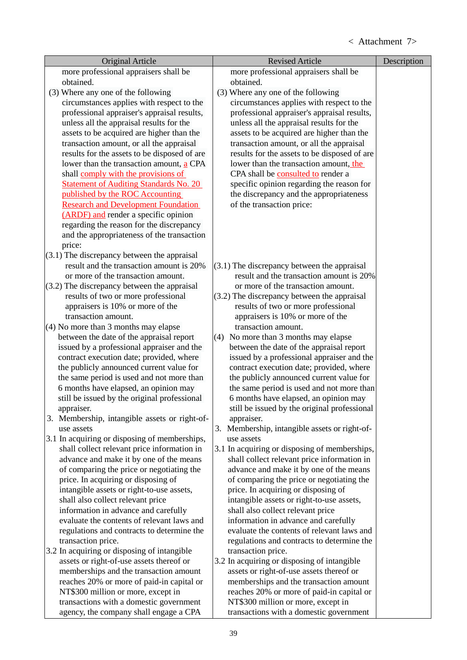| <b>Original Article</b>                                                                      | <b>Revised Article</b>                                      | Description |
|----------------------------------------------------------------------------------------------|-------------------------------------------------------------|-------------|
| more professional appraisers shall be                                                        | more professional appraisers shall be                       |             |
| obtained.                                                                                    | obtained.                                                   |             |
| (3) Where any one of the following                                                           | (3) Where any one of the following                          |             |
| circumstances applies with respect to the                                                    | circumstances applies with respect to the                   |             |
| professional appraiser's appraisal results,                                                  | professional appraiser's appraisal results,                 |             |
| unless all the appraisal results for the                                                     | unless all the appraisal results for the                    |             |
| assets to be acquired are higher than the                                                    | assets to be acquired are higher than the                   |             |
| transaction amount, or all the appraisal                                                     | transaction amount, or all the appraisal                    |             |
| results for the assets to be disposed of are                                                 | results for the assets to be disposed of are                |             |
| lower than the transaction amount, a CPA                                                     | lower than the transaction amount, the                      |             |
| shall comply with the provisions of                                                          | CPA shall be consulted to render a                          |             |
| <b>Statement of Auditing Standards No. 20</b>                                                | specific opinion regarding the reason for                   |             |
| published by the ROC Accounting                                                              | the discrepancy and the appropriateness                     |             |
| <b>Research and Development Foundation</b>                                                   | of the transaction price:                                   |             |
| (ARDF) and render a specific opinion                                                         |                                                             |             |
| regarding the reason for the discrepancy                                                     |                                                             |             |
| and the appropriateness of the transaction                                                   |                                                             |             |
| price:                                                                                       |                                                             |             |
| $(3.1)$ The discrepancy between the appraisal<br>result and the transaction amount is 20%    | $(3.1)$ The discrepancy between the appraisal               |             |
| or more of the transaction amount.                                                           | result and the transaction amount is 20%                    |             |
| $(3.2)$ The discrepancy between the appraisal                                                | or more of the transaction amount.                          |             |
| results of two or more professional                                                          | $(3.2)$ The discrepancy between the appraisal               |             |
| appraisers is 10% or more of the                                                             | results of two or more professional                         |             |
| transaction amount.                                                                          | appraisers is 10% or more of the                            |             |
| (4) No more than 3 months may elapse                                                         | transaction amount.                                         |             |
| between the date of the appraisal report                                                     | (4) No more than 3 months may elapse                        |             |
| issued by a professional appraiser and the                                                   | between the date of the appraisal report                    |             |
| contract execution date; provided, where                                                     | issued by a professional appraiser and the                  |             |
| the publicly announced current value for                                                     | contract execution date; provided, where                    |             |
| the same period is used and not more than                                                    | the publicly announced current value for                    |             |
| 6 months have elapsed, an opinion may                                                        | the same period is used and not more than                   |             |
| still be issued by the original professional                                                 | 6 months have elapsed, an opinion may                       |             |
| appraiser.                                                                                   | still be issued by the original professional                |             |
| 3. Membership, intangible assets or right-of-                                                | appraiser.                                                  |             |
| use assets                                                                                   | 3. Membership, intangible assets or right-of-               |             |
| 3.1 In acquiring or disposing of memberships,<br>shall collect relevant price information in | use assets<br>3.1 In acquiring or disposing of memberships, |             |
| advance and make it by one of the means                                                      | shall collect relevant price information in                 |             |
| of comparing the price or negotiating the                                                    | advance and make it by one of the means                     |             |
| price. In acquiring or disposing of                                                          | of comparing the price or negotiating the                   |             |
| intangible assets or right-to-use assets,                                                    | price. In acquiring or disposing of                         |             |
| shall also collect relevant price                                                            | intangible assets or right-to-use assets,                   |             |
| information in advance and carefully                                                         | shall also collect relevant price                           |             |
| evaluate the contents of relevant laws and                                                   | information in advance and carefully                        |             |
| regulations and contracts to determine the                                                   | evaluate the contents of relevant laws and                  |             |
| transaction price.                                                                           | regulations and contracts to determine the                  |             |
| 3.2 In acquiring or disposing of intangible                                                  | transaction price.                                          |             |
| assets or right-of-use assets thereof or                                                     | 3.2 In acquiring or disposing of intangible                 |             |
| memberships and the transaction amount                                                       | assets or right-of-use assets thereof or                    |             |
| reaches 20% or more of paid-in capital or                                                    | memberships and the transaction amount                      |             |
| NT\$300 million or more, except in                                                           | reaches 20% or more of paid-in capital or                   |             |
| transactions with a domestic government                                                      | NT\$300 million or more, except in                          |             |
| agency, the company shall engage a CPA                                                       | transactions with a domestic government                     |             |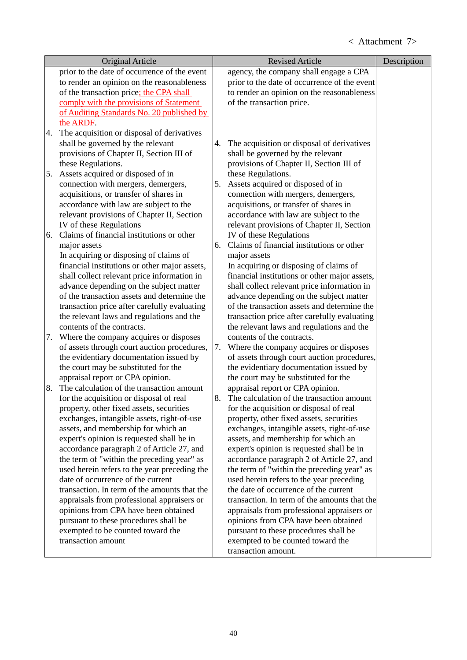|    | <b>Original Article</b>                                                               |    | <b>Revised Article</b>                                                  | Description |
|----|---------------------------------------------------------------------------------------|----|-------------------------------------------------------------------------|-------------|
|    | prior to the date of occurrence of the event                                          |    | agency, the company shall engage a CPA                                  |             |
|    | to render an opinion on the reasonableness                                            |    | prior to the date of occurrence of the event                            |             |
|    | of the transaction price; the CPA shall                                               |    | to render an opinion on the reasonableness                              |             |
|    | comply with the provisions of Statement                                               |    | of the transaction price.                                               |             |
|    | of Auditing Standards No. 20 published by                                             |    |                                                                         |             |
|    | the ARDF.                                                                             |    |                                                                         |             |
| 4. | The acquisition or disposal of derivatives                                            |    |                                                                         |             |
|    | shall be governed by the relevant                                                     | 4. | The acquisition or disposal of derivatives                              |             |
|    | provisions of Chapter II, Section III of                                              |    | shall be governed by the relevant                                       |             |
|    | these Regulations.                                                                    |    | provisions of Chapter II, Section III of                                |             |
| 5. | Assets acquired or disposed of in                                                     |    | these Regulations.                                                      |             |
|    | connection with mergers, demergers,                                                   | 5. | Assets acquired or disposed of in                                       |             |
|    | acquisitions, or transfer of shares in                                                |    | connection with mergers, demergers,                                     |             |
|    | accordance with law are subject to the                                                |    | acquisitions, or transfer of shares in                                  |             |
|    | relevant provisions of Chapter II, Section                                            |    | accordance with law are subject to the                                  |             |
|    | IV of these Regulations                                                               |    | relevant provisions of Chapter II, Section                              |             |
| 6. | Claims of financial institutions or other                                             |    | IV of these Regulations                                                 |             |
|    | major assets                                                                          | 6. | Claims of financial institutions or other                               |             |
|    | In acquiring or disposing of claims of                                                |    | major assets                                                            |             |
|    | financial institutions or other major assets,                                         |    | In acquiring or disposing of claims of                                  |             |
|    | shall collect relevant price information in                                           |    | financial institutions or other major assets,                           |             |
|    | advance depending on the subject matter                                               |    | shall collect relevant price information in                             |             |
|    | of the transaction assets and determine the                                           |    | advance depending on the subject matter                                 |             |
|    | transaction price after carefully evaluating                                          |    | of the transaction assets and determine the                             |             |
|    | the relevant laws and regulations and the                                             |    | transaction price after carefully evaluating                            |             |
|    | contents of the contracts.                                                            |    | the relevant laws and regulations and the<br>contents of the contracts. |             |
| 7. | Where the company acquires or disposes<br>of assets through court auction procedures, | 7. | Where the company acquires or disposes                                  |             |
|    | the evidentiary documentation issued by                                               |    | of assets through court auction procedures,                             |             |
|    | the court may be substituted for the                                                  |    | the evidentiary documentation issued by                                 |             |
|    | appraisal report or CPA opinion.                                                      |    | the court may be substituted for the                                    |             |
| 8. | The calculation of the transaction amount                                             |    | appraisal report or CPA opinion.                                        |             |
|    | for the acquisition or disposal of real                                               | 8. | The calculation of the transaction amount                               |             |
|    | property, other fixed assets, securities                                              |    | for the acquisition or disposal of real                                 |             |
|    | exchanges, intangible assets, right-of-use                                            |    | property, other fixed assets, securities                                |             |
|    | assets, and membership for which an                                                   |    | exchanges, intangible assets, right-of-use                              |             |
|    | expert's opinion is requested shall be in                                             |    | assets, and membership for which an                                     |             |
|    | accordance paragraph 2 of Article 27, and                                             |    | expert's opinion is requested shall be in                               |             |
|    | the term of "within the preceding year" as                                            |    | accordance paragraph 2 of Article 27, and                               |             |
|    | used herein refers to the year preceding the                                          |    | the term of "within the preceding year" as                              |             |
|    | date of occurrence of the current                                                     |    | used herein refers to the year preceding                                |             |
|    | transaction. In term of the amounts that the                                          |    | the date of occurrence of the current                                   |             |
|    | appraisals from professional appraisers or                                            |    | transaction. In term of the amounts that the                            |             |
|    | opinions from CPA have been obtained                                                  |    | appraisals from professional appraisers or                              |             |
|    | pursuant to these procedures shall be                                                 |    | opinions from CPA have been obtained                                    |             |
|    | exempted to be counted toward the                                                     |    | pursuant to these procedures shall be                                   |             |
|    | transaction amount                                                                    |    | exempted to be counted toward the                                       |             |
|    |                                                                                       |    | transaction amount.                                                     |             |
|    |                                                                                       |    |                                                                         |             |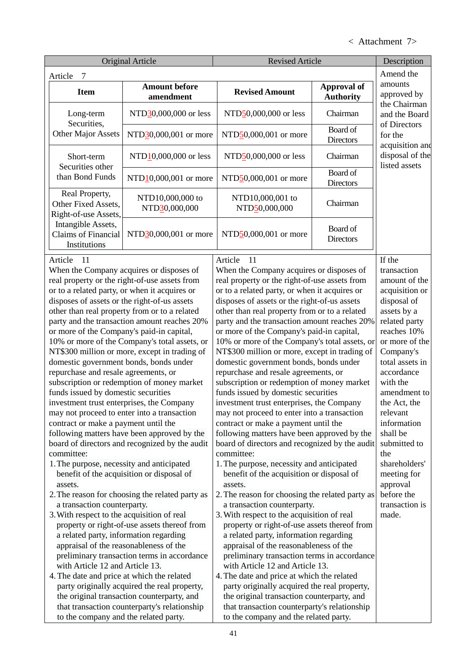# < Attachment 7>

|                                                                                                                                                                                                                                                                                                                                                                                                                                                                                                                                                                                                                                                                                           | <b>Original Article</b><br><b>Revised Article</b>                                                                                                                                                                                                                                                                                                                                                                                                                                                                                                                                                                                                                                                                                                                                                                                                                                        |                                                                                                                                                                                                                                                                                                                                                                                                                                                                                                                                                                                                                                                                                                                                                                                                                                                                                                                                                                                                                                                                                                                                                                                                                                                                                                                                                                                                                                                                                               | Description                  |                                                                                                                                                                                                                                                                                                                                                                                       |  |
|-------------------------------------------------------------------------------------------------------------------------------------------------------------------------------------------------------------------------------------------------------------------------------------------------------------------------------------------------------------------------------------------------------------------------------------------------------------------------------------------------------------------------------------------------------------------------------------------------------------------------------------------------------------------------------------------|------------------------------------------------------------------------------------------------------------------------------------------------------------------------------------------------------------------------------------------------------------------------------------------------------------------------------------------------------------------------------------------------------------------------------------------------------------------------------------------------------------------------------------------------------------------------------------------------------------------------------------------------------------------------------------------------------------------------------------------------------------------------------------------------------------------------------------------------------------------------------------------|-----------------------------------------------------------------------------------------------------------------------------------------------------------------------------------------------------------------------------------------------------------------------------------------------------------------------------------------------------------------------------------------------------------------------------------------------------------------------------------------------------------------------------------------------------------------------------------------------------------------------------------------------------------------------------------------------------------------------------------------------------------------------------------------------------------------------------------------------------------------------------------------------------------------------------------------------------------------------------------------------------------------------------------------------------------------------------------------------------------------------------------------------------------------------------------------------------------------------------------------------------------------------------------------------------------------------------------------------------------------------------------------------------------------------------------------------------------------------------------------------|------------------------------|---------------------------------------------------------------------------------------------------------------------------------------------------------------------------------------------------------------------------------------------------------------------------------------------------------------------------------------------------------------------------------------|--|
| 7<br>Article                                                                                                                                                                                                                                                                                                                                                                                                                                                                                                                                                                                                                                                                              |                                                                                                                                                                                                                                                                                                                                                                                                                                                                                                                                                                                                                                                                                                                                                                                                                                                                                          |                                                                                                                                                                                                                                                                                                                                                                                                                                                                                                                                                                                                                                                                                                                                                                                                                                                                                                                                                                                                                                                                                                                                                                                                                                                                                                                                                                                                                                                                                               |                              | Amend the                                                                                                                                                                                                                                                                                                                                                                             |  |
| <b>Item</b>                                                                                                                                                                                                                                                                                                                                                                                                                                                                                                                                                                                                                                                                               | <b>Amount before</b>                                                                                                                                                                                                                                                                                                                                                                                                                                                                                                                                                                                                                                                                                                                                                                                                                                                                     | <b>Revised Amount</b>                                                                                                                                                                                                                                                                                                                                                                                                                                                                                                                                                                                                                                                                                                                                                                                                                                                                                                                                                                                                                                                                                                                                                                                                                                                                                                                                                                                                                                                                         | <b>Approval of</b>           | amounts                                                                                                                                                                                                                                                                                                                                                                               |  |
|                                                                                                                                                                                                                                                                                                                                                                                                                                                                                                                                                                                                                                                                                           | amendment                                                                                                                                                                                                                                                                                                                                                                                                                                                                                                                                                                                                                                                                                                                                                                                                                                                                                |                                                                                                                                                                                                                                                                                                                                                                                                                                                                                                                                                                                                                                                                                                                                                                                                                                                                                                                                                                                                                                                                                                                                                                                                                                                                                                                                                                                                                                                                                               | <b>Authority</b>             | approved by<br>the Chairman                                                                                                                                                                                                                                                                                                                                                           |  |
| Long-term                                                                                                                                                                                                                                                                                                                                                                                                                                                                                                                                                                                                                                                                                 | NTD30,000,000 or less                                                                                                                                                                                                                                                                                                                                                                                                                                                                                                                                                                                                                                                                                                                                                                                                                                                                    | NTD50,000,000 or less                                                                                                                                                                                                                                                                                                                                                                                                                                                                                                                                                                                                                                                                                                                                                                                                                                                                                                                                                                                                                                                                                                                                                                                                                                                                                                                                                                                                                                                                         | Chairman                     | and the Board                                                                                                                                                                                                                                                                                                                                                                         |  |
| Securities,<br><b>Other Major Assets</b>                                                                                                                                                                                                                                                                                                                                                                                                                                                                                                                                                                                                                                                  | NTD30,000,001 or more                                                                                                                                                                                                                                                                                                                                                                                                                                                                                                                                                                                                                                                                                                                                                                                                                                                                    | NTD50,000,001 or more                                                                                                                                                                                                                                                                                                                                                                                                                                                                                                                                                                                                                                                                                                                                                                                                                                                                                                                                                                                                                                                                                                                                                                                                                                                                                                                                                                                                                                                                         | Board of<br><b>Directors</b> | of Directors<br>for the<br>acquisition and                                                                                                                                                                                                                                                                                                                                            |  |
| Short-term<br>Securities other                                                                                                                                                                                                                                                                                                                                                                                                                                                                                                                                                                                                                                                            | NTD <sub>10</sub> ,000,000 or less                                                                                                                                                                                                                                                                                                                                                                                                                                                                                                                                                                                                                                                                                                                                                                                                                                                       | NTD50,000,000 or less                                                                                                                                                                                                                                                                                                                                                                                                                                                                                                                                                                                                                                                                                                                                                                                                                                                                                                                                                                                                                                                                                                                                                                                                                                                                                                                                                                                                                                                                         | Chairman                     | disposal of the<br>listed assets                                                                                                                                                                                                                                                                                                                                                      |  |
| than Bond Funds                                                                                                                                                                                                                                                                                                                                                                                                                                                                                                                                                                                                                                                                           | NTD <sub>10</sub> ,000,001 or more                                                                                                                                                                                                                                                                                                                                                                                                                                                                                                                                                                                                                                                                                                                                                                                                                                                       | NTD50,000,001 or more                                                                                                                                                                                                                                                                                                                                                                                                                                                                                                                                                                                                                                                                                                                                                                                                                                                                                                                                                                                                                                                                                                                                                                                                                                                                                                                                                                                                                                                                         | Board of<br><b>Directors</b> |                                                                                                                                                                                                                                                                                                                                                                                       |  |
| Real Property,<br>Other Fixed Assets,<br>Right-of-use Assets,                                                                                                                                                                                                                                                                                                                                                                                                                                                                                                                                                                                                                             | NTD10,000,000 to<br>NTD30,000,000                                                                                                                                                                                                                                                                                                                                                                                                                                                                                                                                                                                                                                                                                                                                                                                                                                                        | NTD10,000,001 to<br>NTD50,000,000                                                                                                                                                                                                                                                                                                                                                                                                                                                                                                                                                                                                                                                                                                                                                                                                                                                                                                                                                                                                                                                                                                                                                                                                                                                                                                                                                                                                                                                             | Chairman                     |                                                                                                                                                                                                                                                                                                                                                                                       |  |
| Intangible Assets,<br>Claims of Financial<br>Institutions                                                                                                                                                                                                                                                                                                                                                                                                                                                                                                                                                                                                                                 | NTD30,000,001 or more                                                                                                                                                                                                                                                                                                                                                                                                                                                                                                                                                                                                                                                                                                                                                                                                                                                                    | NTD50,000,001 or more                                                                                                                                                                                                                                                                                                                                                                                                                                                                                                                                                                                                                                                                                                                                                                                                                                                                                                                                                                                                                                                                                                                                                                                                                                                                                                                                                                                                                                                                         | Board of<br><b>Directors</b> |                                                                                                                                                                                                                                                                                                                                                                                       |  |
| Article<br>11<br>disposes of assets or the right-of-us assets<br>or more of the Company's paid-in capital,<br>domestic government bonds, bonds under<br>repurchase and resale agreements, or<br>funds issued by domestic securities<br>investment trust enterprises, the Company<br>contract or make a payment until the<br>committee:<br>1. The purpose, necessity and anticipated<br>assets.<br>a transaction counterparty.<br>3. With respect to the acquisition of real<br>a related party, information regarding<br>appraisal of the reasonableness of the<br>with Article 12 and Article 13.<br>4. The date and price at which the related<br>to the company and the related party. | When the Company acquires or disposes of<br>real property or the right-of-use assets from<br>or to a related party, or when it acquires or<br>other than real property from or to a related<br>party and the transaction amount reaches 20%<br>10% or more of the Company's total assets, or<br>NT\$300 million or more, except in trading of<br>subscription or redemption of money market<br>may not proceed to enter into a transaction<br>following matters have been approved by the<br>board of directors and recognized by the audit<br>benefit of the acquisition or disposal of<br>2. The reason for choosing the related party as<br>property or right-of-use assets thereof from<br>preliminary transaction terms in accordance<br>party originally acquired the real property,<br>the original transaction counterparty, and<br>that transaction counterparty's relationship | Article<br>-11<br>When the Company acquires or disposes of<br>real property or the right-of-use assets from<br>or to a related party, or when it acquires or<br>disposes of assets or the right-of-us assets<br>other than real property from or to a related<br>party and the transaction amount reaches 20%<br>or more of the Company's paid-in capital,<br>10% or more of the Company's total assets, or<br>NT\$300 million or more, except in trading of<br>domestic government bonds, bonds under<br>repurchase and resale agreements, or<br>subscription or redemption of money market<br>funds issued by domestic securities<br>investment trust enterprises, the Company<br>may not proceed to enter into a transaction<br>contract or make a payment until the<br>following matters have been approved by the<br>board of directors and recognized by the audit<br>committee:<br>1. The purpose, necessity and anticipated<br>benefit of the acquisition or disposal of<br>assets.<br>2. The reason for choosing the related party as<br>a transaction counterparty.<br>3. With respect to the acquisition of real<br>property or right-of-use assets thereof from<br>a related party, information regarding<br>appraisal of the reasonableness of the<br>preliminary transaction terms in accordance<br>with Article 12 and Article 13.<br>4. The date and price at which the related<br>party originally acquired the real property,<br>the original transaction counterparty, and |                              | If the<br>transaction<br>amount of the<br>acquisition or<br>disposal of<br>assets by a<br>related party<br>reaches 10%<br>or more of the<br>Company's<br>total assets in<br>accordance<br>with the<br>amendment to<br>the Act, the<br>relevant<br>information<br>shall be<br>submitted to<br>the<br>shareholders'<br>meeting for<br>approval<br>before the<br>transaction is<br>made. |  |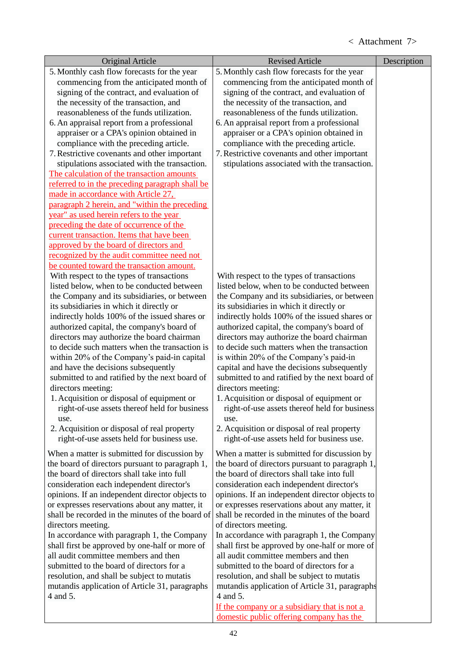| 5. Monthly cash flow forecasts for the year<br>5. Monthly cash flow forecasts for the year<br>commencing from the anticipated month of<br>commencing from the anticipated month of<br>signing of the contract, and evaluation of<br>signing of the contract, and evaluation of<br>the necessity of the transaction, and<br>the necessity of the transaction, and<br>reasonableness of the funds utilization.<br>reasonableness of the funds utilization.<br>6. An appraisal report from a professional<br>6. An appraisal report from a professional<br>appraiser or a CPA's opinion obtained in<br>appraiser or a CPA's opinion obtained in<br>compliance with the preceding article.<br>compliance with the preceding article.<br>7. Restrictive covenants and other important<br>7. Restrictive covenants and other important<br>stipulations associated with the transaction.<br>stipulations associated with the transaction.<br>The calculation of the transaction amounts<br>referred to in the preceding paragraph shall be<br>made in accordance with Article 27,<br>paragraph 2 herein, and "within the preceding<br>year" as used herein refers to the year<br>preceding the date of occurrence of the<br>current transaction. Items that have been<br>approved by the board of directors and<br>recognized by the audit committee need not<br>be counted toward the transaction amount.<br>With respect to the types of transactions<br>With respect to the types of transactions<br>listed below, when to be conducted between<br>listed below, when to be conducted between<br>the Company and its subsidiaries, or between<br>the Company and its subsidiaries, or between<br>its subsidiaries in which it directly or<br>its subsidiaries in which it directly or<br>indirectly holds 100% of the issued shares or<br>indirectly holds 100% of the issued shares or<br>authorized capital, the company's board of<br>authorized capital, the company's board of<br>directors may authorize the board chairman<br>directors may authorize the board chairman<br>to decide such matters when the transaction is<br>to decide such matters when the transaction<br>within 20% of the Company's paid-in capital<br>is within 20% of the Company's paid-in<br>and have the decisions subsequently<br>capital and have the decisions subsequently<br>submitted to and ratified by the next board of<br>submitted to and ratified by the next board of<br>directors meeting:<br>directors meeting:<br>1. Acquisition or disposal of equipment or<br>1. Acquisition or disposal of equipment or<br>right-of-use assets thereof held for business<br>right-of-use assets thereof held for business<br>use.<br>use.<br>2. Acquisition or disposal of real property<br>2. Acquisition or disposal of real property<br>right-of-use assets held for business use.<br>right-of-use assets held for business use.<br>When a matter is submitted for discussion by<br>When a matter is submitted for discussion by<br>the board of directors pursuant to paragraph 1,<br>the board of directors pursuant to paragraph 1,<br>the board of directors shall take into full<br>the board of directors shall take into full<br>consideration each independent director's<br>consideration each independent director's<br>opinions. If an independent director objects to<br>opinions. If an independent director objects to | Original Article                               | <b>Revised Article</b>                         | Description |
|-------------------------------------------------------------------------------------------------------------------------------------------------------------------------------------------------------------------------------------------------------------------------------------------------------------------------------------------------------------------------------------------------------------------------------------------------------------------------------------------------------------------------------------------------------------------------------------------------------------------------------------------------------------------------------------------------------------------------------------------------------------------------------------------------------------------------------------------------------------------------------------------------------------------------------------------------------------------------------------------------------------------------------------------------------------------------------------------------------------------------------------------------------------------------------------------------------------------------------------------------------------------------------------------------------------------------------------------------------------------------------------------------------------------------------------------------------------------------------------------------------------------------------------------------------------------------------------------------------------------------------------------------------------------------------------------------------------------------------------------------------------------------------------------------------------------------------------------------------------------------------------------------------------------------------------------------------------------------------------------------------------------------------------------------------------------------------------------------------------------------------------------------------------------------------------------------------------------------------------------------------------------------------------------------------------------------------------------------------------------------------------------------------------------------------------------------------------------------------------------------------------------------------------------------------------------------------------------------------------------------------------------------------------------------------------------------------------------------------------------------------------------------------------------------------------------------------------------------------------------------------------------------------------------------------------------------------------------------------------------------------------------------------------------------------------------------------------------------------------------------------------------------------------------------------------------------------------------------------------------------------------------------------------------------------------------------------------------------------------------------------------------------------------------------|------------------------------------------------|------------------------------------------------|-------------|
|                                                                                                                                                                                                                                                                                                                                                                                                                                                                                                                                                                                                                                                                                                                                                                                                                                                                                                                                                                                                                                                                                                                                                                                                                                                                                                                                                                                                                                                                                                                                                                                                                                                                                                                                                                                                                                                                                                                                                                                                                                                                                                                                                                                                                                                                                                                                                                                                                                                                                                                                                                                                                                                                                                                                                                                                                                                                                                                                                                                                                                                                                                                                                                                                                                                                                                                                                                                                                         |                                                |                                                |             |
|                                                                                                                                                                                                                                                                                                                                                                                                                                                                                                                                                                                                                                                                                                                                                                                                                                                                                                                                                                                                                                                                                                                                                                                                                                                                                                                                                                                                                                                                                                                                                                                                                                                                                                                                                                                                                                                                                                                                                                                                                                                                                                                                                                                                                                                                                                                                                                                                                                                                                                                                                                                                                                                                                                                                                                                                                                                                                                                                                                                                                                                                                                                                                                                                                                                                                                                                                                                                                         |                                                |                                                |             |
|                                                                                                                                                                                                                                                                                                                                                                                                                                                                                                                                                                                                                                                                                                                                                                                                                                                                                                                                                                                                                                                                                                                                                                                                                                                                                                                                                                                                                                                                                                                                                                                                                                                                                                                                                                                                                                                                                                                                                                                                                                                                                                                                                                                                                                                                                                                                                                                                                                                                                                                                                                                                                                                                                                                                                                                                                                                                                                                                                                                                                                                                                                                                                                                                                                                                                                                                                                                                                         |                                                |                                                |             |
|                                                                                                                                                                                                                                                                                                                                                                                                                                                                                                                                                                                                                                                                                                                                                                                                                                                                                                                                                                                                                                                                                                                                                                                                                                                                                                                                                                                                                                                                                                                                                                                                                                                                                                                                                                                                                                                                                                                                                                                                                                                                                                                                                                                                                                                                                                                                                                                                                                                                                                                                                                                                                                                                                                                                                                                                                                                                                                                                                                                                                                                                                                                                                                                                                                                                                                                                                                                                                         |                                                |                                                |             |
|                                                                                                                                                                                                                                                                                                                                                                                                                                                                                                                                                                                                                                                                                                                                                                                                                                                                                                                                                                                                                                                                                                                                                                                                                                                                                                                                                                                                                                                                                                                                                                                                                                                                                                                                                                                                                                                                                                                                                                                                                                                                                                                                                                                                                                                                                                                                                                                                                                                                                                                                                                                                                                                                                                                                                                                                                                                                                                                                                                                                                                                                                                                                                                                                                                                                                                                                                                                                                         |                                                |                                                |             |
|                                                                                                                                                                                                                                                                                                                                                                                                                                                                                                                                                                                                                                                                                                                                                                                                                                                                                                                                                                                                                                                                                                                                                                                                                                                                                                                                                                                                                                                                                                                                                                                                                                                                                                                                                                                                                                                                                                                                                                                                                                                                                                                                                                                                                                                                                                                                                                                                                                                                                                                                                                                                                                                                                                                                                                                                                                                                                                                                                                                                                                                                                                                                                                                                                                                                                                                                                                                                                         |                                                |                                                |             |
|                                                                                                                                                                                                                                                                                                                                                                                                                                                                                                                                                                                                                                                                                                                                                                                                                                                                                                                                                                                                                                                                                                                                                                                                                                                                                                                                                                                                                                                                                                                                                                                                                                                                                                                                                                                                                                                                                                                                                                                                                                                                                                                                                                                                                                                                                                                                                                                                                                                                                                                                                                                                                                                                                                                                                                                                                                                                                                                                                                                                                                                                                                                                                                                                                                                                                                                                                                                                                         |                                                |                                                |             |
|                                                                                                                                                                                                                                                                                                                                                                                                                                                                                                                                                                                                                                                                                                                                                                                                                                                                                                                                                                                                                                                                                                                                                                                                                                                                                                                                                                                                                                                                                                                                                                                                                                                                                                                                                                                                                                                                                                                                                                                                                                                                                                                                                                                                                                                                                                                                                                                                                                                                                                                                                                                                                                                                                                                                                                                                                                                                                                                                                                                                                                                                                                                                                                                                                                                                                                                                                                                                                         |                                                |                                                |             |
|                                                                                                                                                                                                                                                                                                                                                                                                                                                                                                                                                                                                                                                                                                                                                                                                                                                                                                                                                                                                                                                                                                                                                                                                                                                                                                                                                                                                                                                                                                                                                                                                                                                                                                                                                                                                                                                                                                                                                                                                                                                                                                                                                                                                                                                                                                                                                                                                                                                                                                                                                                                                                                                                                                                                                                                                                                                                                                                                                                                                                                                                                                                                                                                                                                                                                                                                                                                                                         |                                                |                                                |             |
|                                                                                                                                                                                                                                                                                                                                                                                                                                                                                                                                                                                                                                                                                                                                                                                                                                                                                                                                                                                                                                                                                                                                                                                                                                                                                                                                                                                                                                                                                                                                                                                                                                                                                                                                                                                                                                                                                                                                                                                                                                                                                                                                                                                                                                                                                                                                                                                                                                                                                                                                                                                                                                                                                                                                                                                                                                                                                                                                                                                                                                                                                                                                                                                                                                                                                                                                                                                                                         |                                                |                                                |             |
|                                                                                                                                                                                                                                                                                                                                                                                                                                                                                                                                                                                                                                                                                                                                                                                                                                                                                                                                                                                                                                                                                                                                                                                                                                                                                                                                                                                                                                                                                                                                                                                                                                                                                                                                                                                                                                                                                                                                                                                                                                                                                                                                                                                                                                                                                                                                                                                                                                                                                                                                                                                                                                                                                                                                                                                                                                                                                                                                                                                                                                                                                                                                                                                                                                                                                                                                                                                                                         |                                                |                                                |             |
|                                                                                                                                                                                                                                                                                                                                                                                                                                                                                                                                                                                                                                                                                                                                                                                                                                                                                                                                                                                                                                                                                                                                                                                                                                                                                                                                                                                                                                                                                                                                                                                                                                                                                                                                                                                                                                                                                                                                                                                                                                                                                                                                                                                                                                                                                                                                                                                                                                                                                                                                                                                                                                                                                                                                                                                                                                                                                                                                                                                                                                                                                                                                                                                                                                                                                                                                                                                                                         |                                                |                                                |             |
|                                                                                                                                                                                                                                                                                                                                                                                                                                                                                                                                                                                                                                                                                                                                                                                                                                                                                                                                                                                                                                                                                                                                                                                                                                                                                                                                                                                                                                                                                                                                                                                                                                                                                                                                                                                                                                                                                                                                                                                                                                                                                                                                                                                                                                                                                                                                                                                                                                                                                                                                                                                                                                                                                                                                                                                                                                                                                                                                                                                                                                                                                                                                                                                                                                                                                                                                                                                                                         |                                                |                                                |             |
|                                                                                                                                                                                                                                                                                                                                                                                                                                                                                                                                                                                                                                                                                                                                                                                                                                                                                                                                                                                                                                                                                                                                                                                                                                                                                                                                                                                                                                                                                                                                                                                                                                                                                                                                                                                                                                                                                                                                                                                                                                                                                                                                                                                                                                                                                                                                                                                                                                                                                                                                                                                                                                                                                                                                                                                                                                                                                                                                                                                                                                                                                                                                                                                                                                                                                                                                                                                                                         |                                                |                                                |             |
|                                                                                                                                                                                                                                                                                                                                                                                                                                                                                                                                                                                                                                                                                                                                                                                                                                                                                                                                                                                                                                                                                                                                                                                                                                                                                                                                                                                                                                                                                                                                                                                                                                                                                                                                                                                                                                                                                                                                                                                                                                                                                                                                                                                                                                                                                                                                                                                                                                                                                                                                                                                                                                                                                                                                                                                                                                                                                                                                                                                                                                                                                                                                                                                                                                                                                                                                                                                                                         |                                                |                                                |             |
|                                                                                                                                                                                                                                                                                                                                                                                                                                                                                                                                                                                                                                                                                                                                                                                                                                                                                                                                                                                                                                                                                                                                                                                                                                                                                                                                                                                                                                                                                                                                                                                                                                                                                                                                                                                                                                                                                                                                                                                                                                                                                                                                                                                                                                                                                                                                                                                                                                                                                                                                                                                                                                                                                                                                                                                                                                                                                                                                                                                                                                                                                                                                                                                                                                                                                                                                                                                                                         |                                                |                                                |             |
|                                                                                                                                                                                                                                                                                                                                                                                                                                                                                                                                                                                                                                                                                                                                                                                                                                                                                                                                                                                                                                                                                                                                                                                                                                                                                                                                                                                                                                                                                                                                                                                                                                                                                                                                                                                                                                                                                                                                                                                                                                                                                                                                                                                                                                                                                                                                                                                                                                                                                                                                                                                                                                                                                                                                                                                                                                                                                                                                                                                                                                                                                                                                                                                                                                                                                                                                                                                                                         |                                                |                                                |             |
|                                                                                                                                                                                                                                                                                                                                                                                                                                                                                                                                                                                                                                                                                                                                                                                                                                                                                                                                                                                                                                                                                                                                                                                                                                                                                                                                                                                                                                                                                                                                                                                                                                                                                                                                                                                                                                                                                                                                                                                                                                                                                                                                                                                                                                                                                                                                                                                                                                                                                                                                                                                                                                                                                                                                                                                                                                                                                                                                                                                                                                                                                                                                                                                                                                                                                                                                                                                                                         |                                                |                                                |             |
|                                                                                                                                                                                                                                                                                                                                                                                                                                                                                                                                                                                                                                                                                                                                                                                                                                                                                                                                                                                                                                                                                                                                                                                                                                                                                                                                                                                                                                                                                                                                                                                                                                                                                                                                                                                                                                                                                                                                                                                                                                                                                                                                                                                                                                                                                                                                                                                                                                                                                                                                                                                                                                                                                                                                                                                                                                                                                                                                                                                                                                                                                                                                                                                                                                                                                                                                                                                                                         |                                                |                                                |             |
|                                                                                                                                                                                                                                                                                                                                                                                                                                                                                                                                                                                                                                                                                                                                                                                                                                                                                                                                                                                                                                                                                                                                                                                                                                                                                                                                                                                                                                                                                                                                                                                                                                                                                                                                                                                                                                                                                                                                                                                                                                                                                                                                                                                                                                                                                                                                                                                                                                                                                                                                                                                                                                                                                                                                                                                                                                                                                                                                                                                                                                                                                                                                                                                                                                                                                                                                                                                                                         |                                                |                                                |             |
|                                                                                                                                                                                                                                                                                                                                                                                                                                                                                                                                                                                                                                                                                                                                                                                                                                                                                                                                                                                                                                                                                                                                                                                                                                                                                                                                                                                                                                                                                                                                                                                                                                                                                                                                                                                                                                                                                                                                                                                                                                                                                                                                                                                                                                                                                                                                                                                                                                                                                                                                                                                                                                                                                                                                                                                                                                                                                                                                                                                                                                                                                                                                                                                                                                                                                                                                                                                                                         |                                                |                                                |             |
|                                                                                                                                                                                                                                                                                                                                                                                                                                                                                                                                                                                                                                                                                                                                                                                                                                                                                                                                                                                                                                                                                                                                                                                                                                                                                                                                                                                                                                                                                                                                                                                                                                                                                                                                                                                                                                                                                                                                                                                                                                                                                                                                                                                                                                                                                                                                                                                                                                                                                                                                                                                                                                                                                                                                                                                                                                                                                                                                                                                                                                                                                                                                                                                                                                                                                                                                                                                                                         |                                                |                                                |             |
|                                                                                                                                                                                                                                                                                                                                                                                                                                                                                                                                                                                                                                                                                                                                                                                                                                                                                                                                                                                                                                                                                                                                                                                                                                                                                                                                                                                                                                                                                                                                                                                                                                                                                                                                                                                                                                                                                                                                                                                                                                                                                                                                                                                                                                                                                                                                                                                                                                                                                                                                                                                                                                                                                                                                                                                                                                                                                                                                                                                                                                                                                                                                                                                                                                                                                                                                                                                                                         |                                                |                                                |             |
|                                                                                                                                                                                                                                                                                                                                                                                                                                                                                                                                                                                                                                                                                                                                                                                                                                                                                                                                                                                                                                                                                                                                                                                                                                                                                                                                                                                                                                                                                                                                                                                                                                                                                                                                                                                                                                                                                                                                                                                                                                                                                                                                                                                                                                                                                                                                                                                                                                                                                                                                                                                                                                                                                                                                                                                                                                                                                                                                                                                                                                                                                                                                                                                                                                                                                                                                                                                                                         |                                                |                                                |             |
|                                                                                                                                                                                                                                                                                                                                                                                                                                                                                                                                                                                                                                                                                                                                                                                                                                                                                                                                                                                                                                                                                                                                                                                                                                                                                                                                                                                                                                                                                                                                                                                                                                                                                                                                                                                                                                                                                                                                                                                                                                                                                                                                                                                                                                                                                                                                                                                                                                                                                                                                                                                                                                                                                                                                                                                                                                                                                                                                                                                                                                                                                                                                                                                                                                                                                                                                                                                                                         |                                                |                                                |             |
|                                                                                                                                                                                                                                                                                                                                                                                                                                                                                                                                                                                                                                                                                                                                                                                                                                                                                                                                                                                                                                                                                                                                                                                                                                                                                                                                                                                                                                                                                                                                                                                                                                                                                                                                                                                                                                                                                                                                                                                                                                                                                                                                                                                                                                                                                                                                                                                                                                                                                                                                                                                                                                                                                                                                                                                                                                                                                                                                                                                                                                                                                                                                                                                                                                                                                                                                                                                                                         |                                                |                                                |             |
|                                                                                                                                                                                                                                                                                                                                                                                                                                                                                                                                                                                                                                                                                                                                                                                                                                                                                                                                                                                                                                                                                                                                                                                                                                                                                                                                                                                                                                                                                                                                                                                                                                                                                                                                                                                                                                                                                                                                                                                                                                                                                                                                                                                                                                                                                                                                                                                                                                                                                                                                                                                                                                                                                                                                                                                                                                                                                                                                                                                                                                                                                                                                                                                                                                                                                                                                                                                                                         |                                                |                                                |             |
|                                                                                                                                                                                                                                                                                                                                                                                                                                                                                                                                                                                                                                                                                                                                                                                                                                                                                                                                                                                                                                                                                                                                                                                                                                                                                                                                                                                                                                                                                                                                                                                                                                                                                                                                                                                                                                                                                                                                                                                                                                                                                                                                                                                                                                                                                                                                                                                                                                                                                                                                                                                                                                                                                                                                                                                                                                                                                                                                                                                                                                                                                                                                                                                                                                                                                                                                                                                                                         |                                                |                                                |             |
|                                                                                                                                                                                                                                                                                                                                                                                                                                                                                                                                                                                                                                                                                                                                                                                                                                                                                                                                                                                                                                                                                                                                                                                                                                                                                                                                                                                                                                                                                                                                                                                                                                                                                                                                                                                                                                                                                                                                                                                                                                                                                                                                                                                                                                                                                                                                                                                                                                                                                                                                                                                                                                                                                                                                                                                                                                                                                                                                                                                                                                                                                                                                                                                                                                                                                                                                                                                                                         |                                                |                                                |             |
|                                                                                                                                                                                                                                                                                                                                                                                                                                                                                                                                                                                                                                                                                                                                                                                                                                                                                                                                                                                                                                                                                                                                                                                                                                                                                                                                                                                                                                                                                                                                                                                                                                                                                                                                                                                                                                                                                                                                                                                                                                                                                                                                                                                                                                                                                                                                                                                                                                                                                                                                                                                                                                                                                                                                                                                                                                                                                                                                                                                                                                                                                                                                                                                                                                                                                                                                                                                                                         |                                                |                                                |             |
|                                                                                                                                                                                                                                                                                                                                                                                                                                                                                                                                                                                                                                                                                                                                                                                                                                                                                                                                                                                                                                                                                                                                                                                                                                                                                                                                                                                                                                                                                                                                                                                                                                                                                                                                                                                                                                                                                                                                                                                                                                                                                                                                                                                                                                                                                                                                                                                                                                                                                                                                                                                                                                                                                                                                                                                                                                                                                                                                                                                                                                                                                                                                                                                                                                                                                                                                                                                                                         |                                                |                                                |             |
|                                                                                                                                                                                                                                                                                                                                                                                                                                                                                                                                                                                                                                                                                                                                                                                                                                                                                                                                                                                                                                                                                                                                                                                                                                                                                                                                                                                                                                                                                                                                                                                                                                                                                                                                                                                                                                                                                                                                                                                                                                                                                                                                                                                                                                                                                                                                                                                                                                                                                                                                                                                                                                                                                                                                                                                                                                                                                                                                                                                                                                                                                                                                                                                                                                                                                                                                                                                                                         |                                                |                                                |             |
|                                                                                                                                                                                                                                                                                                                                                                                                                                                                                                                                                                                                                                                                                                                                                                                                                                                                                                                                                                                                                                                                                                                                                                                                                                                                                                                                                                                                                                                                                                                                                                                                                                                                                                                                                                                                                                                                                                                                                                                                                                                                                                                                                                                                                                                                                                                                                                                                                                                                                                                                                                                                                                                                                                                                                                                                                                                                                                                                                                                                                                                                                                                                                                                                                                                                                                                                                                                                                         |                                                |                                                |             |
|                                                                                                                                                                                                                                                                                                                                                                                                                                                                                                                                                                                                                                                                                                                                                                                                                                                                                                                                                                                                                                                                                                                                                                                                                                                                                                                                                                                                                                                                                                                                                                                                                                                                                                                                                                                                                                                                                                                                                                                                                                                                                                                                                                                                                                                                                                                                                                                                                                                                                                                                                                                                                                                                                                                                                                                                                                                                                                                                                                                                                                                                                                                                                                                                                                                                                                                                                                                                                         |                                                |                                                |             |
|                                                                                                                                                                                                                                                                                                                                                                                                                                                                                                                                                                                                                                                                                                                                                                                                                                                                                                                                                                                                                                                                                                                                                                                                                                                                                                                                                                                                                                                                                                                                                                                                                                                                                                                                                                                                                                                                                                                                                                                                                                                                                                                                                                                                                                                                                                                                                                                                                                                                                                                                                                                                                                                                                                                                                                                                                                                                                                                                                                                                                                                                                                                                                                                                                                                                                                                                                                                                                         |                                                |                                                |             |
|                                                                                                                                                                                                                                                                                                                                                                                                                                                                                                                                                                                                                                                                                                                                                                                                                                                                                                                                                                                                                                                                                                                                                                                                                                                                                                                                                                                                                                                                                                                                                                                                                                                                                                                                                                                                                                                                                                                                                                                                                                                                                                                                                                                                                                                                                                                                                                                                                                                                                                                                                                                                                                                                                                                                                                                                                                                                                                                                                                                                                                                                                                                                                                                                                                                                                                                                                                                                                         |                                                |                                                |             |
|                                                                                                                                                                                                                                                                                                                                                                                                                                                                                                                                                                                                                                                                                                                                                                                                                                                                                                                                                                                                                                                                                                                                                                                                                                                                                                                                                                                                                                                                                                                                                                                                                                                                                                                                                                                                                                                                                                                                                                                                                                                                                                                                                                                                                                                                                                                                                                                                                                                                                                                                                                                                                                                                                                                                                                                                                                                                                                                                                                                                                                                                                                                                                                                                                                                                                                                                                                                                                         |                                                |                                                |             |
|                                                                                                                                                                                                                                                                                                                                                                                                                                                                                                                                                                                                                                                                                                                                                                                                                                                                                                                                                                                                                                                                                                                                                                                                                                                                                                                                                                                                                                                                                                                                                                                                                                                                                                                                                                                                                                                                                                                                                                                                                                                                                                                                                                                                                                                                                                                                                                                                                                                                                                                                                                                                                                                                                                                                                                                                                                                                                                                                                                                                                                                                                                                                                                                                                                                                                                                                                                                                                         |                                                |                                                |             |
|                                                                                                                                                                                                                                                                                                                                                                                                                                                                                                                                                                                                                                                                                                                                                                                                                                                                                                                                                                                                                                                                                                                                                                                                                                                                                                                                                                                                                                                                                                                                                                                                                                                                                                                                                                                                                                                                                                                                                                                                                                                                                                                                                                                                                                                                                                                                                                                                                                                                                                                                                                                                                                                                                                                                                                                                                                                                                                                                                                                                                                                                                                                                                                                                                                                                                                                                                                                                                         |                                                |                                                |             |
|                                                                                                                                                                                                                                                                                                                                                                                                                                                                                                                                                                                                                                                                                                                                                                                                                                                                                                                                                                                                                                                                                                                                                                                                                                                                                                                                                                                                                                                                                                                                                                                                                                                                                                                                                                                                                                                                                                                                                                                                                                                                                                                                                                                                                                                                                                                                                                                                                                                                                                                                                                                                                                                                                                                                                                                                                                                                                                                                                                                                                                                                                                                                                                                                                                                                                                                                                                                                                         |                                                |                                                |             |
|                                                                                                                                                                                                                                                                                                                                                                                                                                                                                                                                                                                                                                                                                                                                                                                                                                                                                                                                                                                                                                                                                                                                                                                                                                                                                                                                                                                                                                                                                                                                                                                                                                                                                                                                                                                                                                                                                                                                                                                                                                                                                                                                                                                                                                                                                                                                                                                                                                                                                                                                                                                                                                                                                                                                                                                                                                                                                                                                                                                                                                                                                                                                                                                                                                                                                                                                                                                                                         |                                                |                                                |             |
|                                                                                                                                                                                                                                                                                                                                                                                                                                                                                                                                                                                                                                                                                                                                                                                                                                                                                                                                                                                                                                                                                                                                                                                                                                                                                                                                                                                                                                                                                                                                                                                                                                                                                                                                                                                                                                                                                                                                                                                                                                                                                                                                                                                                                                                                                                                                                                                                                                                                                                                                                                                                                                                                                                                                                                                                                                                                                                                                                                                                                                                                                                                                                                                                                                                                                                                                                                                                                         | or expresses reservations about any matter, it | or expresses reservations about any matter, it |             |
| shall be recorded in the minutes of the board<br>shall be recorded in the minutes of the board of                                                                                                                                                                                                                                                                                                                                                                                                                                                                                                                                                                                                                                                                                                                                                                                                                                                                                                                                                                                                                                                                                                                                                                                                                                                                                                                                                                                                                                                                                                                                                                                                                                                                                                                                                                                                                                                                                                                                                                                                                                                                                                                                                                                                                                                                                                                                                                                                                                                                                                                                                                                                                                                                                                                                                                                                                                                                                                                                                                                                                                                                                                                                                                                                                                                                                                                       |                                                |                                                |             |
| directors meeting.<br>of directors meeting.                                                                                                                                                                                                                                                                                                                                                                                                                                                                                                                                                                                                                                                                                                                                                                                                                                                                                                                                                                                                                                                                                                                                                                                                                                                                                                                                                                                                                                                                                                                                                                                                                                                                                                                                                                                                                                                                                                                                                                                                                                                                                                                                                                                                                                                                                                                                                                                                                                                                                                                                                                                                                                                                                                                                                                                                                                                                                                                                                                                                                                                                                                                                                                                                                                                                                                                                                                             |                                                |                                                |             |
| In accordance with paragraph 1, the Company<br>In accordance with paragraph 1, the Company                                                                                                                                                                                                                                                                                                                                                                                                                                                                                                                                                                                                                                                                                                                                                                                                                                                                                                                                                                                                                                                                                                                                                                                                                                                                                                                                                                                                                                                                                                                                                                                                                                                                                                                                                                                                                                                                                                                                                                                                                                                                                                                                                                                                                                                                                                                                                                                                                                                                                                                                                                                                                                                                                                                                                                                                                                                                                                                                                                                                                                                                                                                                                                                                                                                                                                                              |                                                |                                                |             |
| shall first be approved by one-half or more of<br>shall first be approved by one-half or more of                                                                                                                                                                                                                                                                                                                                                                                                                                                                                                                                                                                                                                                                                                                                                                                                                                                                                                                                                                                                                                                                                                                                                                                                                                                                                                                                                                                                                                                                                                                                                                                                                                                                                                                                                                                                                                                                                                                                                                                                                                                                                                                                                                                                                                                                                                                                                                                                                                                                                                                                                                                                                                                                                                                                                                                                                                                                                                                                                                                                                                                                                                                                                                                                                                                                                                                        |                                                |                                                |             |
| all audit committee members and then<br>all audit committee members and then                                                                                                                                                                                                                                                                                                                                                                                                                                                                                                                                                                                                                                                                                                                                                                                                                                                                                                                                                                                                                                                                                                                                                                                                                                                                                                                                                                                                                                                                                                                                                                                                                                                                                                                                                                                                                                                                                                                                                                                                                                                                                                                                                                                                                                                                                                                                                                                                                                                                                                                                                                                                                                                                                                                                                                                                                                                                                                                                                                                                                                                                                                                                                                                                                                                                                                                                            |                                                |                                                |             |
| submitted to the board of directors for a<br>submitted to the board of directors for a                                                                                                                                                                                                                                                                                                                                                                                                                                                                                                                                                                                                                                                                                                                                                                                                                                                                                                                                                                                                                                                                                                                                                                                                                                                                                                                                                                                                                                                                                                                                                                                                                                                                                                                                                                                                                                                                                                                                                                                                                                                                                                                                                                                                                                                                                                                                                                                                                                                                                                                                                                                                                                                                                                                                                                                                                                                                                                                                                                                                                                                                                                                                                                                                                                                                                                                                  |                                                |                                                |             |
| resolution, and shall be subject to mutatis<br>resolution, and shall be subject to mutatis<br>mutandis application of Article 31, paragraphs<br>mutandis application of Article 31, paragraphs                                                                                                                                                                                                                                                                                                                                                                                                                                                                                                                                                                                                                                                                                                                                                                                                                                                                                                                                                                                                                                                                                                                                                                                                                                                                                                                                                                                                                                                                                                                                                                                                                                                                                                                                                                                                                                                                                                                                                                                                                                                                                                                                                                                                                                                                                                                                                                                                                                                                                                                                                                                                                                                                                                                                                                                                                                                                                                                                                                                                                                                                                                                                                                                                                          |                                                |                                                |             |
| 4 and 5.<br>4 and 5.                                                                                                                                                                                                                                                                                                                                                                                                                                                                                                                                                                                                                                                                                                                                                                                                                                                                                                                                                                                                                                                                                                                                                                                                                                                                                                                                                                                                                                                                                                                                                                                                                                                                                                                                                                                                                                                                                                                                                                                                                                                                                                                                                                                                                                                                                                                                                                                                                                                                                                                                                                                                                                                                                                                                                                                                                                                                                                                                                                                                                                                                                                                                                                                                                                                                                                                                                                                                    |                                                |                                                |             |
| If the company or a subsidiary that is not a                                                                                                                                                                                                                                                                                                                                                                                                                                                                                                                                                                                                                                                                                                                                                                                                                                                                                                                                                                                                                                                                                                                                                                                                                                                                                                                                                                                                                                                                                                                                                                                                                                                                                                                                                                                                                                                                                                                                                                                                                                                                                                                                                                                                                                                                                                                                                                                                                                                                                                                                                                                                                                                                                                                                                                                                                                                                                                                                                                                                                                                                                                                                                                                                                                                                                                                                                                            |                                                |                                                |             |
| domestic public offering company has the                                                                                                                                                                                                                                                                                                                                                                                                                                                                                                                                                                                                                                                                                                                                                                                                                                                                                                                                                                                                                                                                                                                                                                                                                                                                                                                                                                                                                                                                                                                                                                                                                                                                                                                                                                                                                                                                                                                                                                                                                                                                                                                                                                                                                                                                                                                                                                                                                                                                                                                                                                                                                                                                                                                                                                                                                                                                                                                                                                                                                                                                                                                                                                                                                                                                                                                                                                                |                                                |                                                |             |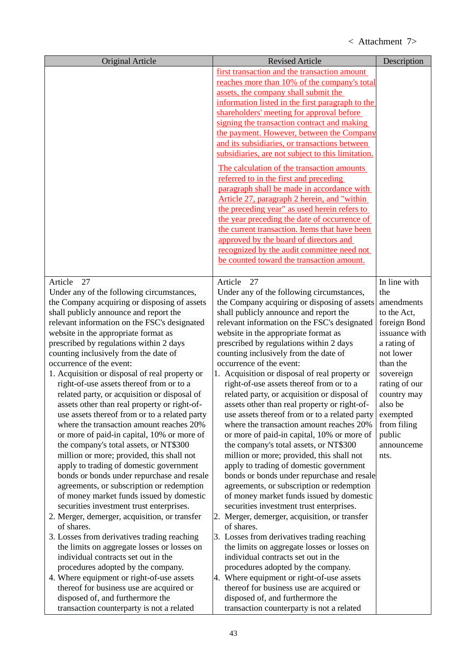| Original Article                                                                     | <b>Revised Article</b>                                                                       | Description           |
|--------------------------------------------------------------------------------------|----------------------------------------------------------------------------------------------|-----------------------|
|                                                                                      | first transaction and the transaction amount<br>reaches more than 10% of the company's total |                       |
|                                                                                      | assets, the company shall submit the                                                         |                       |
|                                                                                      | information listed in the first paragraph to the                                             |                       |
|                                                                                      | shareholders' meeting for approval before                                                    |                       |
|                                                                                      | signing the transaction contract and making                                                  |                       |
|                                                                                      | the payment. However, between the Company                                                    |                       |
|                                                                                      | and its subsidiaries, or transactions between                                                |                       |
|                                                                                      | subsidiaries, are not subject to this limitation.                                            |                       |
|                                                                                      | The calculation of the transaction amounts                                                   |                       |
|                                                                                      | referred to in the first and preceding                                                       |                       |
|                                                                                      | paragraph shall be made in accordance with                                                   |                       |
|                                                                                      | Article 27, paragraph 2 herein, and "within<br>the preceding year" as used herein refers to  |                       |
|                                                                                      | the year preceding the date of occurrence of                                                 |                       |
|                                                                                      | the current transaction. Items that have been                                                |                       |
|                                                                                      | approved by the board of directors and                                                       |                       |
|                                                                                      | recognized by the audit committee need not                                                   |                       |
|                                                                                      | be counted toward the transaction amount.                                                    |                       |
|                                                                                      |                                                                                              |                       |
| 27<br>Article                                                                        | 27<br>Article                                                                                | In line with          |
| Under any of the following circumstances,                                            | Under any of the following circumstances,                                                    | the                   |
| the Company acquiring or disposing of assets                                         | the Company acquiring or disposing of assets                                                 | amendments            |
| shall publicly announce and report the                                               | shall publicly announce and report the                                                       | to the Act,           |
| relevant information on the FSC's designated                                         | relevant information on the FSC's designated                                                 | foreign Bond          |
| website in the appropriate format as                                                 | website in the appropriate format as                                                         | issuance with         |
| prescribed by regulations within 2 days                                              | prescribed by regulations within 2 days                                                      | a rating of           |
| counting inclusively from the date of<br>occurrence of the event:                    | counting inclusively from the date of<br>occurrence of the event:                            | not lower<br>than the |
| 1. Acquisition or disposal of real property or                                       | 1. Acquisition or disposal of real property or                                               | sovereign             |
| right-of-use assets thereof from or to a                                             | right-of-use assets thereof from or to a                                                     | rating of our         |
| related party, or acquisition or disposal of                                         | related party, or acquisition or disposal of                                                 | country may           |
| assets other than real property or right-of-                                         | assets other than real property or right-of-                                                 | also be               |
| use assets thereof from or to a related party                                        | use assets thereof from or to a related party                                                | exempted              |
| where the transaction amount reaches 20%                                             | where the transaction amount reaches 20%                                                     | from filing           |
| or more of paid-in capital, 10% or more of                                           | or more of paid-in capital, 10% or more of                                                   | public                |
| the company's total assets, or NT\$300                                               | the company's total assets, or NT\$300                                                       | announceme            |
| million or more; provided, this shall not                                            | million or more; provided, this shall not                                                    | nts.                  |
| apply to trading of domestic government                                              | apply to trading of domestic government                                                      |                       |
| bonds or bonds under repurchase and resale                                           | bonds or bonds under repurchase and resale                                                   |                       |
| agreements, or subscription or redemption                                            | agreements, or subscription or redemption                                                    |                       |
| of money market funds issued by domestic<br>securities investment trust enterprises. | of money market funds issued by domestic                                                     |                       |
| 2. Merger, demerger, acquisition, or transfer                                        | securities investment trust enterprises.<br>2. Merger, demerger, acquisition, or transfer    |                       |
| of shares.                                                                           | of shares.                                                                                   |                       |
| 3. Losses from derivatives trading reaching                                          | 3. Losses from derivatives trading reaching                                                  |                       |
| the limits on aggregate losses or losses on                                          | the limits on aggregate losses or losses on                                                  |                       |
| individual contracts set out in the                                                  | individual contracts set out in the                                                          |                       |
| procedures adopted by the company.                                                   | procedures adopted by the company.                                                           |                       |
| 4. Where equipment or right-of-use assets                                            | 4. Where equipment or right-of-use assets                                                    |                       |
| thereof for business use are acquired or                                             | thereof for business use are acquired or                                                     |                       |
| disposed of, and furthermore the                                                     | disposed of, and furthermore the                                                             |                       |
| transaction counterparty is not a related                                            | transaction counterparty is not a related                                                    |                       |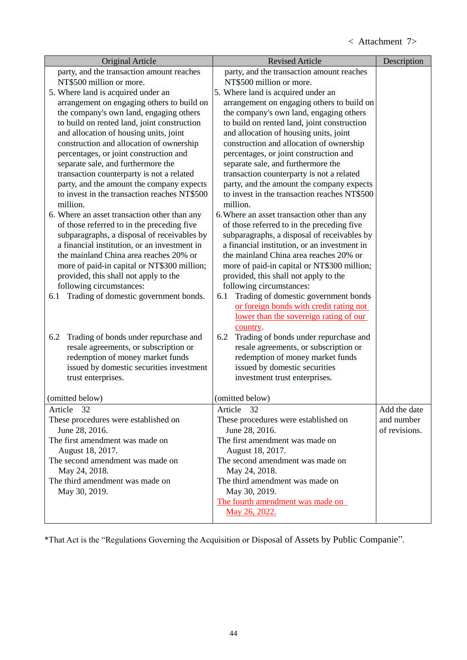| Original Article                                                                      | <b>Revised Article</b>                                                                | Description   |
|---------------------------------------------------------------------------------------|---------------------------------------------------------------------------------------|---------------|
| party, and the transaction amount reaches                                             | party, and the transaction amount reaches                                             |               |
| NT\$500 million or more.                                                              | NT\$500 million or more.                                                              |               |
| 5. Where land is acquired under an                                                    | 5. Where land is acquired under an                                                    |               |
| arrangement on engaging others to build on                                            | arrangement on engaging others to build on                                            |               |
| the company's own land, engaging others                                               | the company's own land, engaging others                                               |               |
| to build on rented land, joint construction                                           | to build on rented land, joint construction                                           |               |
| and allocation of housing units, joint                                                | and allocation of housing units, joint                                                |               |
| construction and allocation of ownership<br>percentages, or joint construction and    | construction and allocation of ownership<br>percentages, or joint construction and    |               |
| separate sale, and furthermore the                                                    | separate sale, and furthermore the                                                    |               |
| transaction counterparty is not a related                                             | transaction counterparty is not a related                                             |               |
| party, and the amount the company expects                                             | party, and the amount the company expects                                             |               |
| to invest in the transaction reaches NT\$500                                          | to invest in the transaction reaches NT\$500                                          |               |
| million.                                                                              | million.                                                                              |               |
| 6. Where an asset transaction other than any                                          | 6. Where an asset transaction other than any                                          |               |
| of those referred to in the preceding five                                            | of those referred to in the preceding five                                            |               |
| subparagraphs, a disposal of receivables by                                           | subparagraphs, a disposal of receivables by                                           |               |
| a financial institution, or an investment in                                          | a financial institution, or an investment in                                          |               |
| the mainland China area reaches 20% or                                                | the mainland China area reaches 20% or                                                |               |
| more of paid-in capital or NT\$300 million;                                           | more of paid-in capital or NT\$300 million;                                           |               |
| provided, this shall not apply to the                                                 | provided, this shall not apply to the                                                 |               |
| following circumstances:                                                              | following circumstances:                                                              |               |
| Trading of domestic government bonds.<br>6.1                                          | Trading of domestic government bonds<br>6.1                                           |               |
|                                                                                       | or foreign bonds with credit rating not                                               |               |
|                                                                                       | lower than the sovereign rating of our                                                |               |
|                                                                                       | country.                                                                              |               |
| Trading of bonds under repurchase and<br>6.2<br>resale agreements, or subscription or | Trading of bonds under repurchase and<br>6.2<br>resale agreements, or subscription or |               |
| redemption of money market funds                                                      | redemption of money market funds                                                      |               |
| issued by domestic securities investment                                              | issued by domestic securities                                                         |               |
| trust enterprises.                                                                    | investment trust enterprises.                                                         |               |
|                                                                                       |                                                                                       |               |
| (omitted below)                                                                       | (omitted below)                                                                       |               |
| Article 32                                                                            | Article 32                                                                            | Add the date  |
| These procedures were established on                                                  | These procedures were established on                                                  | and number    |
| June 28, 2016.                                                                        | June 28, 2016.                                                                        | of revisions. |
| The first amendment was made on                                                       | The first amendment was made on                                                       |               |
| August 18, 2017.                                                                      | August 18, 2017.                                                                      |               |
| The second amendment was made on                                                      | The second amendment was made on                                                      |               |
| May 24, 2018.                                                                         | May 24, 2018.                                                                         |               |
| The third amendment was made on                                                       | The third amendment was made on                                                       |               |
| May 30, 2019.                                                                         | May 30, 2019.<br>The fourth amendment was made on                                     |               |
|                                                                                       | May 26, 2022.                                                                         |               |
|                                                                                       |                                                                                       |               |

\*That Act is the "Regulations Governing the Acquisition or Disposal of Assets by Public Companie".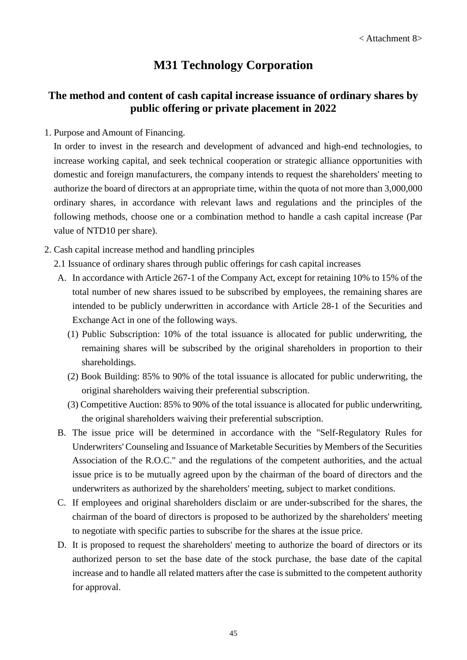# **M31 Technology Corporation**

# **The method and content of cash capital increase issuance of ordinary shares by public offering or private placement in 2022**

1. Purpose and Amount of Financing.

In order to invest in the research and development of advanced and high-end technologies, to increase working capital, and seek technical cooperation or strategic alliance opportunities with domestic and foreign manufacturers, the company intends to request the shareholders' meeting to authorize the board of directors at an appropriate time, within the quota of not more than 3,000,000 ordinary shares, in accordance with relevant laws and regulations and the principles of the following methods, choose one or a combination method to handle a cash capital increase (Par value of NTD10 per share).

- 2. Cash capital increase method and handling principles
	- 2.1 Issuance of ordinary shares through public offerings for cash capital increases
	- A. In accordance with Article 267-1 of the Company Act, except for retaining 10% to 15% of the total number of new shares issued to be subscribed by employees, the remaining shares are intended to be publicly underwritten in accordance with Article 28-1 of the Securities and Exchange Act in one of the following ways.
		- (1) Public Subscription: 10% of the total issuance is allocated for public underwriting, the remaining shares will be subscribed by the original shareholders in proportion to their shareholdings.
		- (2) Book Building: 85% to 90% of the total issuance is allocated for public underwriting, the original shareholders waiving their preferential subscription.
		- (3) Competitive Auction: 85% to 90% of the total issuance is allocated for public underwriting, the original shareholders waiving their preferential subscription.
	- B. The issue price will be determined in accordance with the "Self-Regulatory Rules for Underwriters' Counseling and Issuance of Marketable Securities by Members of the Securities Association of the R.O.C." and the regulations of the competent authorities, and the actual issue price is to be mutually agreed upon by the chairman of the board of directors and the underwriters as authorized by the shareholders' meeting, subject to market conditions.
	- C. If employees and original shareholders disclaim or are under-subscribed for the shares, the chairman of the board of directors is proposed to be authorized by the shareholders' meeting to negotiate with specific parties to subscribe for the shares at the issue price.
	- D. It is proposed to request the shareholders' meeting to authorize the board of directors or its authorized person to set the base date of the stock purchase, the base date of the capital increase and to handle all related matters after the case is submitted to the competent authority for approval.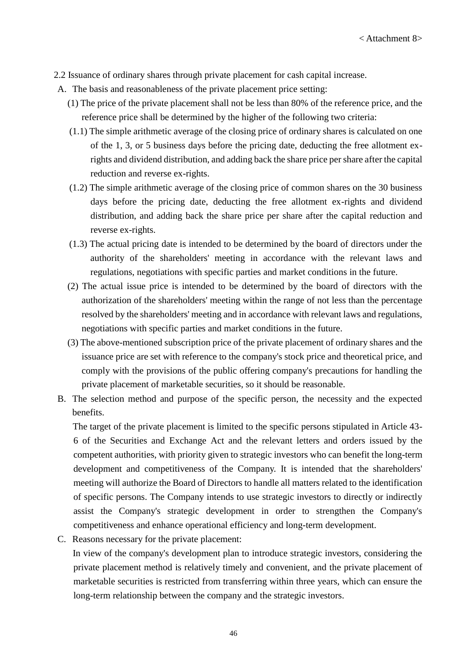- 2.2 Issuance of ordinary shares through private placement for cash capital increase.
- A. The basis and reasonableness of the private placement price setting:
	- (1) The price of the private placement shall not be less than 80% of the reference price, and the reference price shall be determined by the higher of the following two criteria:
	- (1.1) The simple arithmetic average of the closing price of ordinary shares is calculated on one of the 1, 3, or 5 business days before the pricing date, deducting the free allotment exrights and dividend distribution, and adding back the share price per share after the capital reduction and reverse ex-rights.
	- (1.2) The simple arithmetic average of the closing price of common shares on the 30 business days before the pricing date, deducting the free allotment ex-rights and dividend distribution, and adding back the share price per share after the capital reduction and reverse ex-rights.
	- (1.3) The actual pricing date is intended to be determined by the board of directors under the authority of the shareholders' meeting in accordance with the relevant laws and regulations, negotiations with specific parties and market conditions in the future.
	- (2) The actual issue price is intended to be determined by the board of directors with the authorization of the shareholders' meeting within the range of not less than the percentage resolved by the shareholders' meeting and in accordance with relevant laws and regulations, negotiations with specific parties and market conditions in the future.
	- (3) The above-mentioned subscription price of the private placement of ordinary shares and the issuance price are set with reference to the company's stock price and theoretical price, and comply with the provisions of the public offering company's precautions for handling the private placement of marketable securities, so it should be reasonable.
- B. The selection method and purpose of the specific person, the necessity and the expected benefits.

The target of the private placement is limited to the specific persons stipulated in Article 43- 6 of the Securities and Exchange Act and the relevant letters and orders issued by the competent authorities, with priority given to strategic investors who can benefit the long-term development and competitiveness of the Company. It is intended that the shareholders' meeting will authorize the Board of Directors to handle all matters related to the identification of specific persons. The Company intends to use strategic investors to directly or indirectly assist the Company's strategic development in order to strengthen the Company's competitiveness and enhance operational efficiency and long-term development.

C. Reasons necessary for the private placement:

In view of the company's development plan to introduce strategic investors, considering the private placement method is relatively timely and convenient, and the private placement of marketable securities is restricted from transferring within three years, which can ensure the long-term relationship between the company and the strategic investors.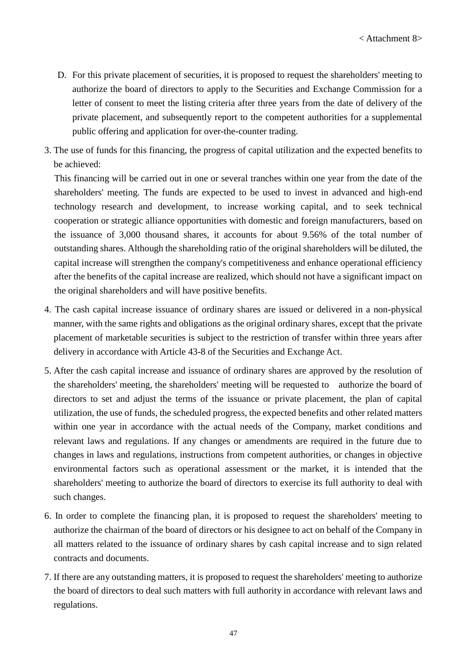- D. For this private placement of securities, it is proposed to request the shareholders' meeting to authorize the board of directors to apply to the Securities and Exchange Commission for a letter of consent to meet the listing criteria after three years from the date of delivery of the private placement, and subsequently report to the competent authorities for a supplemental public offering and application for over-the-counter trading.
- 3. The use of funds for this financing, the progress of capital utilization and the expected benefits to be achieved:

This financing will be carried out in one or several tranches within one year from the date of the shareholders' meeting. The funds are expected to be used to invest in advanced and high-end technology research and development, to increase working capital, and to seek technical cooperation or strategic alliance opportunities with domestic and foreign manufacturers, based on the issuance of 3,000 thousand shares, it accounts for about 9.56% of the total number of outstanding shares. Although the shareholding ratio of the original shareholders will be diluted, the capital increase will strengthen the company's competitiveness and enhance operational efficiency after the benefits of the capital increase are realized, which should not have a significant impact on the original shareholders and will have positive benefits.

- 4. The cash capital increase issuance of ordinary shares are issued or delivered in a non-physical manner, with the same rights and obligations as the original ordinary shares, except that the private placement of marketable securities is subject to the restriction of transfer within three years after delivery in accordance with Article 43-8 of the Securities and Exchange Act.
- 5. After the cash capital increase and issuance of ordinary shares are approved by the resolution of the shareholders' meeting, the shareholders' meeting will be requested to authorize the board of directors to set and adjust the terms of the issuance or private placement, the plan of capital utilization, the use of funds, the scheduled progress, the expected benefits and other related matters within one year in accordance with the actual needs of the Company, market conditions and relevant laws and regulations. If any changes or amendments are required in the future due to changes in laws and regulations, instructions from competent authorities, or changes in objective environmental factors such as operational assessment or the market, it is intended that the shareholders' meeting to authorize the board of directors to exercise its full authority to deal with such changes.
- 6. In order to complete the financing plan, it is proposed to request the shareholders' meeting to authorize the chairman of the board of directors or his designee to act on behalf of the Company in all matters related to the issuance of ordinary shares by cash capital increase and to sign related contracts and documents.
- 7. If there are any outstanding matters, it is proposed to request the shareholders' meeting to authorize the board of directors to deal such matters with full authority in accordance with relevant laws and regulations.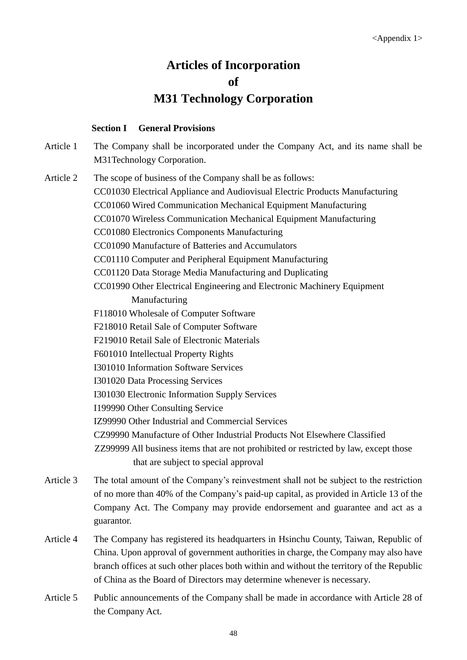# **Articles of Incorporation of M31 Technology Corporation**

#### **Section I General Provisions**

Article 1 The Company shall be incorporated under the Company Act, and its name shall be M31Technology Corporation.

Article 2 The scope of business of the Company shall be as follows:

CC01030 Electrical Appliance and Audiovisual Electric Products Manufacturing

CC01060 Wired Communication Mechanical Equipment Manufacturing

CC01070 Wireless Communication Mechanical Equipment Manufacturing

CC01080 Electronics Components Manufacturing

CC01090 Manufacture of Batteries and Accumulators

CC01110 Computer and Peripheral Equipment Manufacturing

CC01120 Data Storage Media Manufacturing and Duplicating

CC01990 Other Electrical Engineering and Electronic Machinery Equipment

Manufacturing

F118010 Wholesale of Computer Software

F218010 Retail Sale of Computer Software

F219010 Retail Sale of Electronic Materials

F601010 Intellectual Property Rights

I301010 Information Software Services

I301020 Data Processing Services

I301030 Electronic Information Supply Services

I199990 Other Consulting Service

IZ99990 Other Industrial and Commercial Services

CZ99990 Manufacture of Other Industrial Products Not Elsewhere Classified

ZZ99999 All business items that are not prohibited or restricted by law, except those that are subject to special approval

- Article 3 The total amount of the Company's reinvestment shall not be subject to the restriction of no more than 40% of the Company's paid-up capital, as provided in Article 13 of the Company Act. The Company may provide endorsement and guarantee and act as a guarantor.
- Article 4 The Company has registered its headquarters in Hsinchu County, Taiwan, Republic of China. Upon approval of government authorities in charge, the Company may also have branch offices at such other places both within and without the territory of the Republic of China as the Board of Directors may determine whenever is necessary.
- Article 5 Public announcements of the Company shall be made in accordance with Article 28 of the Company Act.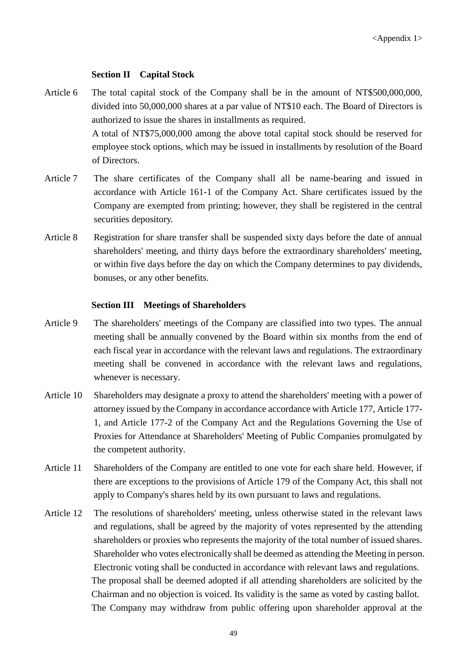#### **Section II Capital Stock**

- Article 6 The total capital stock of the Company shall be in the amount of NT\$500,000,000, divided into 50,000,000 shares at a par value of NT\$10 each. The Board of Directors is authorized to issue the shares in installments as required. A total of NT\$75,000,000 among the above total capital stock should be reserved for employee stock options, which may be issued in installments by resolution of the Board of Directors.
- Article 7 The share certificates of the Company shall all be name-bearing and issued in accordance with Article 161-1 of the Company Act. Share certificates issued by the Company are exempted from printing; however, they shall be registered in the central securities depository.
- Article 8 Registration for share transfer shall be suspended sixty days before the date of annual shareholders' meeting, and thirty days before the extraordinary shareholders' meeting, or within five days before the day on which the Company determines to pay dividends, bonuses, or any other benefits.

#### **Section III Meetings of Shareholders**

- Article 9 The shareholders' meetings of the Company are classified into two types. The annual meeting shall be annually convened by the Board within six months from the end of each fiscal year in accordance with the relevant laws and regulations. The extraordinary meeting shall be convened in accordance with the relevant laws and regulations, whenever is necessary.
- Article 10 Shareholders may designate a proxy to attend the shareholders' meeting with a power of attorney issued by the Company in accordance accordance with Article 177, Article 177- 1, and Article 177-2 of the Company Act and the Regulations Governing the Use of Proxies for Attendance at Shareholders' Meeting of Public Companies promulgated by the competent authority.
- Article 11 Shareholders of the Company are entitled to one vote for each share held. However, if there are exceptions to the provisions of Article 179 of the Company Act, this shall not apply to Company's shares held by its own pursuant to laws and regulations.
- Article 12 The resolutions of shareholders' meeting, unless otherwise stated in the relevant laws and regulations, shall be agreed by the majority of votes represented by the attending shareholders or proxies who represents the majority of the total number of issued shares. Shareholder who votes electronically shall be deemed as attending the Meeting in person. Electronic voting shall be conducted in accordance with relevant laws and regulations. The proposal shall be deemed adopted if all attending shareholders are solicited by the Chairman and no objection is voiced. Its validity is the same as voted by casting ballot. The Company may withdraw from public offering upon shareholder approval at the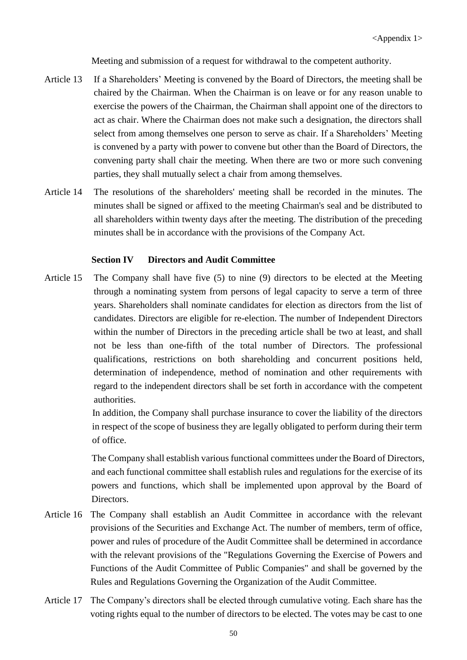Meeting and submission of a request for withdrawal to the competent authority.

- Article 13 If a Shareholders' Meeting is convened by the Board of Directors, the meeting shall be chaired by the Chairman. When the Chairman is on leave or for any reason unable to exercise the powers of the Chairman, the Chairman shall appoint one of the directors to act as chair. Where the Chairman does not make such a designation, the directors shall select from among themselves one person to serve as chair. If a Shareholders' Meeting is convened by a party with power to convene but other than the Board of Directors, the convening party shall chair the meeting. When there are two or more such convening parties, they shall mutually select a chair from among themselves.
- Article 14 The resolutions of the shareholders' meeting shall be recorded in the minutes. The minutes shall be signed or affixed to the meeting Chairman's seal and be distributed to all shareholders within twenty days after the meeting. The distribution of the preceding minutes shall be in accordance with the provisions of the Company Act.

## **Section IV Directors and Audit Committee**

Article 15 The Company shall have five (5) to nine (9) directors to be elected at the Meeting through a nominating system from persons of legal capacity to serve a term of three years. Shareholders shall nominate candidates for election as directors from the list of candidates. Directors are eligible for re-election. The number of Independent Directors within the number of Directors in the preceding article shall be two at least, and shall not be less than one-fifth of the total number of Directors. The professional qualifications, restrictions on both shareholding and concurrent positions held, determination of independence, method of nomination and other requirements with regard to the independent directors shall be set forth in accordance with the competent authorities.

> In addition, the Company shall purchase insurance to cover the liability of the directors in respect of the scope of business they are legally obligated to perform during their term of office.

> The Company shall establish various functional committees under the Board of Directors, and each functional committee shall establish rules and regulations for the exercise of its powers and functions, which shall be implemented upon approval by the Board of Directors.

- Article 16 The Company shall establish an Audit Committee in accordance with the relevant provisions of the Securities and Exchange Act. The number of members, term of office, power and rules of procedure of the Audit Committee shall be determined in accordance with the relevant provisions of the "Regulations Governing the Exercise of Powers and Functions of the Audit Committee of Public Companies" and shall be governed by the Rules and Regulations Governing the Organization of the Audit Committee.
- Article 17 The Company's directors shall be elected through cumulative voting. Each share has the voting rights equal to the number of directors to be elected. The votes may be cast to one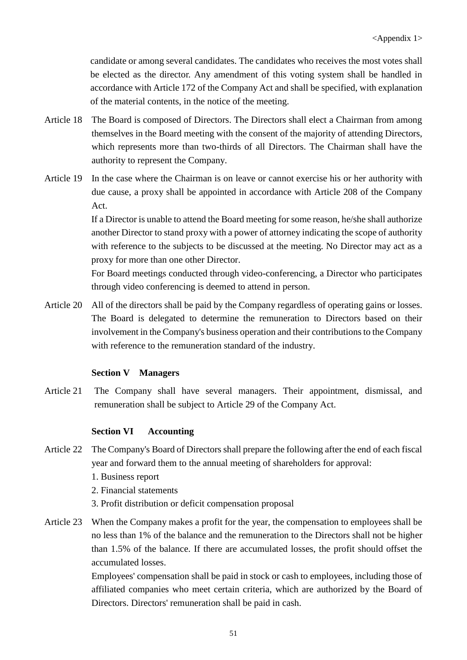candidate or among several candidates. The candidates who receives the most votes shall be elected as the director. Any amendment of this voting system shall be handled in accordance with Article 172 of the Company Act and shall be specified, with explanation of the material contents, in the notice of the meeting.

- Article 18 The Board is composed of Directors. The Directors shall elect a Chairman from among themselves in the Board meeting with the consent of the majority of attending Directors, which represents more than two-thirds of all Directors. The Chairman shall have the authority to represent the Company.
- Article 19 In the case where the Chairman is on leave or cannot exercise his or her authority with due cause, a proxy shall be appointed in accordance with Article 208 of the Company Act.

If a Director is unable to attend the Board meeting for some reason, he/she shall authorize another Director to stand proxy with a power of attorney indicating the scope of authority with reference to the subjects to be discussed at the meeting. No Director may act as a proxy for more than one other Director.

For Board meetings conducted through video-conferencing, a Director who participates through video conferencing is deemed to attend in person.

Article 20 All of the directors shall be paid by the Company regardless of operating gains or losses. The Board is delegated to determine the remuneration to Directors based on their involvement in the Company's business operation and their contributions to the Company with reference to the remuneration standard of the industry.

## **Section V Managers**

Article 21 The Company shall have several managers. Their appointment, dismissal, and remuneration shall be subject to Article 29 of the Company Act.

## **Section VI Accounting**

- Article 22 The Company's Board of Directors shall prepare the following after the end of each fiscal year and forward them to the annual meeting of shareholders for approval:
	- 1. Business report
	- 2. Financial statements
	- 3. Profit distribution or deficit compensation proposal
- Article 23 When the Company makes a profit for the year, the compensation to employees shall be no less than 1% of the balance and the remuneration to the Directors shall not be higher than 1.5% of the balance. If there are accumulated losses, the profit should offset the accumulated losses.

Employees' compensation shall be paid in stock or cash to employees, including those of affiliated companies who meet certain criteria, which are authorized by the Board of Directors. Directors' remuneration shall be paid in cash.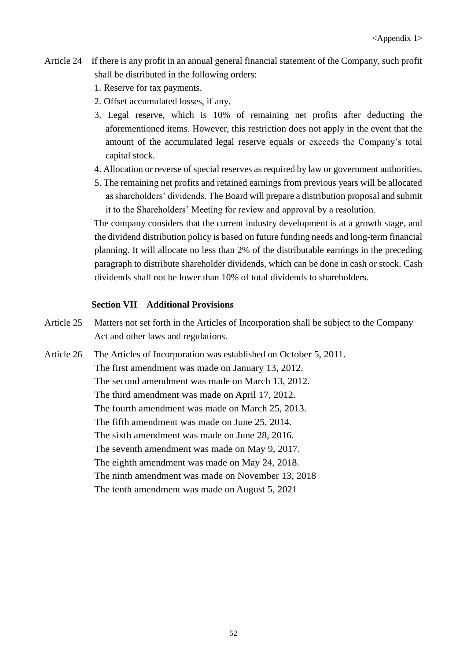- Article 24 If there is any profit in an annual general financial statement of the Company, such profit shall be distributed in the following orders:
	- 1. Reserve for tax payments.
	- 2. Offset accumulated losses, if any.
	- 3. Legal reserve, which is 10% of remaining net profits after deducting the aforementioned items. However, this restriction does not apply in the event that the amount of the accumulated legal reserve equals or exceeds the Company's total capital stock.
	- 4. Allocation or reverse of special reserves as required by law or government authorities.
	- 5. The remaining net profits and retained earnings from previous years will be allocated as shareholders' dividends. The Board will prepare a distribution proposal and submit it to the Shareholders' Meeting for review and approval by a resolution.

The company considers that the current industry development is at a growth stage, and the dividend distribution policy is based on future funding needs and long-term financial planning. It will allocate no less than 2% of the distributable earnings in the preceding paragraph to distribute shareholder dividends, which can be done in cash or stock. Cash dividends shall not be lower than 10% of total dividends to shareholders.

## **Section VII Additional Provisions**

- Article 25 Matters not set forth in the Articles of Incorporation shall be subject to the Company Act and other laws and regulations.
- Article 26 The Articles of Incorporation was established on October 5, 2011. The first amendment was made on January 13, 2012. The second amendment was made on March 13, 2012. The third amendment was made on April 17, 2012. The fourth amendment was made on March 25, 2013. The fifth amendment was made on June 25, 2014. The sixth amendment was made on June 28, 2016. The seventh amendment was made on May 9, 2017. The eighth amendment was made on May 24, 2018. The ninth amendment was made on November 13, 2018 The tenth amendment was made on August 5, 2021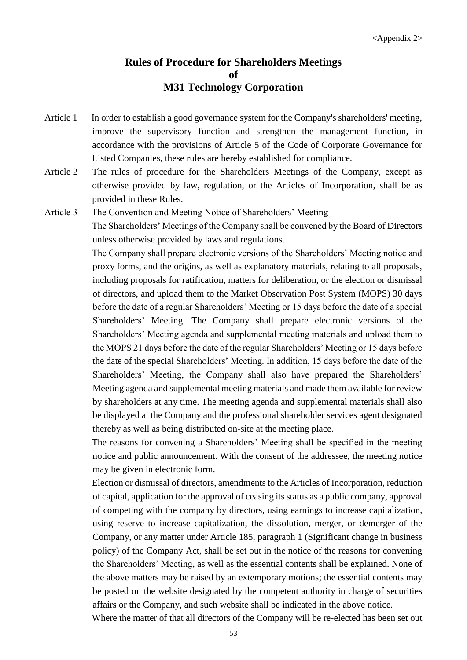## **Rules of Procedure for Shareholders Meetings of M31 Technology Corporation**

- Article 1 In order to establish a good governance system for the Company's shareholders' meeting, improve the supervisory function and strengthen the management function, in accordance with the provisions of Article 5 of the Code of Corporate Governance for Listed Companies, these rules are hereby established for compliance.
- Article 2 The rules of procedure for the Shareholders Meetings of the Company, except as otherwise provided by law, regulation, or the Articles of Incorporation, shall be as provided in these Rules.
- Article 3 The Convention and Meeting Notice of Shareholders' Meeting

The Shareholders' Meetings of the Company shall be convened by the Board of Directors unless otherwise provided by laws and regulations.

The Company shall prepare electronic versions of the Shareholders' Meeting notice and proxy forms, and the origins, as well as explanatory materials, relating to all proposals, including proposals for ratification, matters for deliberation, or the election or dismissal of directors, and upload them to the Market Observation Post System (MOPS) 30 days before the date of a regular Shareholders' Meeting or 15 days before the date of a special Shareholders' Meeting. The Company shall prepare electronic versions of the Shareholders' Meeting agenda and supplemental meeting materials and upload them to the MOPS 21 days before the date of the regular Shareholders' Meeting or 15 days before the date of the special Shareholders' Meeting. In addition, 15 days before the date of the Shareholders' Meeting, the Company shall also have prepared the Shareholders' Meeting agenda and supplemental meeting materials and made them available for review by shareholders at any time. The meeting agenda and supplemental materials shall also be displayed at the Company and the professional shareholder services agent designated thereby as well as being distributed on-site at the meeting place.

The reasons for convening a Shareholders' Meeting shall be specified in the meeting notice and public announcement. With the consent of the addressee, the meeting notice may be given in electronic form.

Election or dismissal of directors, amendments to the Articles of Incorporation, reduction of capital, application for the approval of ceasing its status as a public company, approval of competing with the company by directors, using earnings to increase capitalization, using reserve to increase capitalization, the dissolution, merger, or demerger of the Company, or any matter under Article 185, paragraph 1 (Significant change in business policy) of the Company Act, shall be set out in the notice of the reasons for convening the Shareholders' Meeting, as well as the essential contents shall be explained. None of the above matters may be raised by an extemporary motions; the essential contents may be posted on the website designated by the competent authority in charge of securities affairs or the Company, and such website shall be indicated in the above notice.

Where the matter of that all directors of the Company will be re-elected has been set out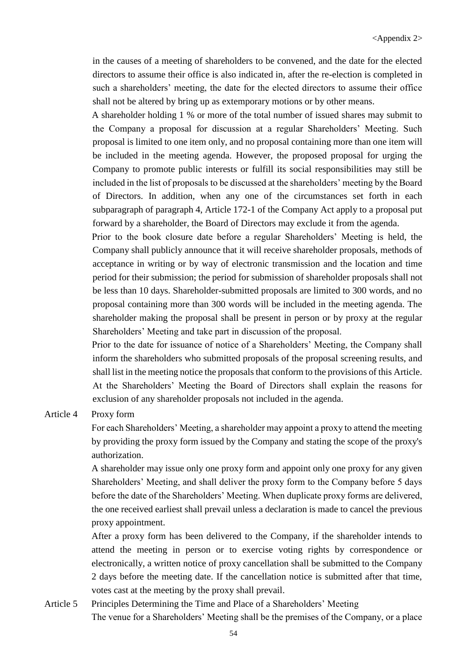in the causes of a meeting of shareholders to be convened, and the date for the elected directors to assume their office is also indicated in, after the re-election is completed in such a shareholders' meeting, the date for the elected directors to assume their office shall not be altered by bring up as extemporary motions or by other means.

A shareholder holding 1 % or more of the total number of issued shares may submit to the Company a proposal for discussion at a regular Shareholders' Meeting. Such proposal is limited to one item only, and no proposal containing more than one item will be included in the meeting agenda. However, the proposed proposal for urging the Company to promote public interests or fulfill its social responsibilities may still be included in the list of proposals to be discussed at the shareholders' meeting by the Board of Directors. In addition, when any one of the circumstances set forth in each subparagraph of paragraph 4, Article 172-1 of the Company Act apply to a proposal put forward by a shareholder, the Board of Directors may exclude it from the agenda.

Prior to the book closure date before a regular Shareholders' Meeting is held, the Company shall publicly announce that it will receive shareholder proposals, methods of acceptance in writing or by way of electronic transmission and the location and time period for their submission; the period for submission of shareholder proposals shall not be less than 10 days. Shareholder-submitted proposals are limited to 300 words, and no proposal containing more than 300 words will be included in the meeting agenda. The shareholder making the proposal shall be present in person or by proxy at the regular Shareholders' Meeting and take part in discussion of the proposal.

Prior to the date for issuance of notice of a Shareholders' Meeting, the Company shall inform the shareholders who submitted proposals of the proposal screening results, and shall list in the meeting notice the proposals that conform to the provisions of this Article. At the Shareholders' Meeting the Board of Directors shall explain the reasons for exclusion of any shareholder proposals not included in the agenda.

#### Article 4 Proxy form

For each Shareholders' Meeting, a shareholder may appoint a proxy to attend the meeting by providing the proxy form issued by the Company and stating the scope of the proxy's authorization.

A shareholder may issue only one proxy form and appoint only one proxy for any given Shareholders' Meeting, and shall deliver the proxy form to the Company before 5 days before the date of the Shareholders' Meeting. When duplicate proxy forms are delivered, the one received earliest shall prevail unless a declaration is made to cancel the previous proxy appointment.

After a proxy form has been delivered to the Company, if the shareholder intends to attend the meeting in person or to exercise voting rights by correspondence or electronically, a written notice of proxy cancellation shall be submitted to the Company 2 days before the meeting date. If the cancellation notice is submitted after that time, votes cast at the meeting by the proxy shall prevail.

Article 5 Principles Determining the Time and Place of a Shareholders' Meeting The venue for a Shareholders' Meeting shall be the premises of the Company, or a place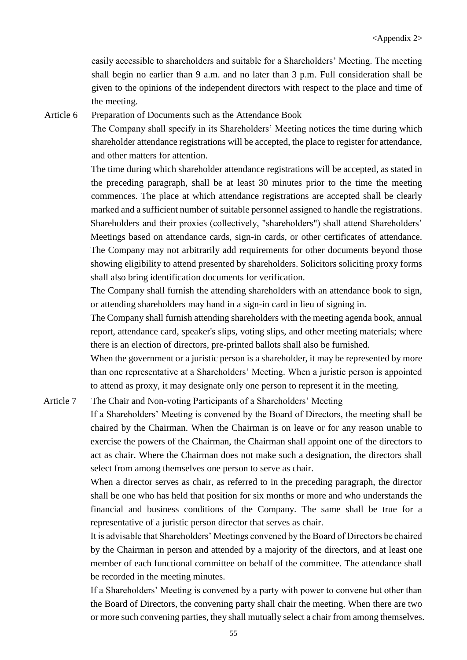easily accessible to shareholders and suitable for a Shareholders' Meeting. The meeting shall begin no earlier than 9 a.m. and no later than 3 p.m. Full consideration shall be given to the opinions of the independent directors with respect to the place and time of the meeting.

Article 6 Preparation of Documents such as the Attendance Book

The Company shall specify in its Shareholders' Meeting notices the time during which

shareholder attendance registrations will be accepted, the place to register for attendance, and other matters for attention.

The time during which shareholder attendance registrations will be accepted, as stated in the preceding paragraph, shall be at least 30 minutes prior to the time the meeting commences. The place at which attendance registrations are accepted shall be clearly marked and a sufficient number of suitable personnel assigned to handle the registrations. Shareholders and their proxies (collectively, "shareholders") shall attend Shareholders' Meetings based on attendance cards, sign-in cards, or other certificates of attendance. The Company may not arbitrarily add requirements for other documents beyond those showing eligibility to attend presented by shareholders. Solicitors soliciting proxy forms shall also bring identification documents for verification.

The Company shall furnish the attending shareholders with an attendance book to sign, or attending shareholders may hand in a sign-in card in lieu of signing in.

The Company shall furnish attending shareholders with the meeting agenda book, annual report, attendance card, speaker's slips, voting slips, and other meeting materials; where there is an election of directors, pre-printed ballots shall also be furnished.

When the government or a juristic person is a shareholder, it may be represented by more than one representative at a Shareholders' Meeting. When a juristic person is appointed to attend as proxy, it may designate only one person to represent it in the meeting.

Article 7 The Chair and Non-voting Participants of a Shareholders' Meeting

If a Shareholders' Meeting is convened by the Board of Directors, the meeting shall be chaired by the Chairman. When the Chairman is on leave or for any reason unable to exercise the powers of the Chairman, the Chairman shall appoint one of the directors to act as chair. Where the Chairman does not make such a designation, the directors shall select from among themselves one person to serve as chair.

When a director serves as chair, as referred to in the preceding paragraph, the director shall be one who has held that position for six months or more and who understands the financial and business conditions of the Company. The same shall be true for a representative of a juristic person director that serves as chair.

It is advisable that Shareholders' Meetings convened by the Board of Directors be chaired by the Chairman in person and attended by a majority of the directors, and at least one member of each functional committee on behalf of the committee. The attendance shall be recorded in the meeting minutes.

If a Shareholders' Meeting is convened by a party with power to convene but other than the Board of Directors, the convening party shall chair the meeting. When there are two or more such convening parties, they shall mutually select a chair from among themselves.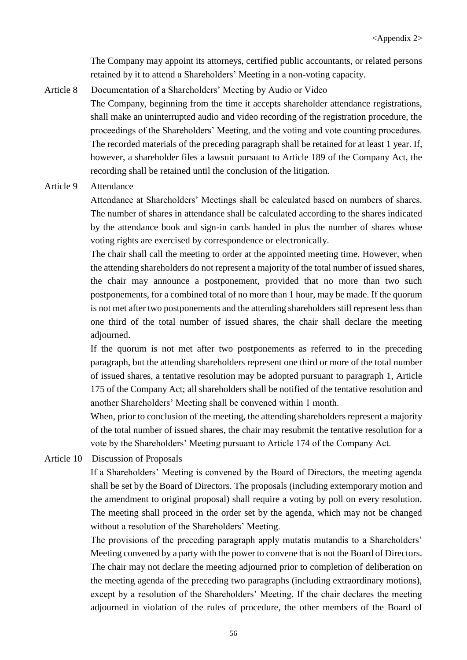The Company may appoint its attorneys, certified public accountants, or related persons retained by it to attend a Shareholders' Meeting in a non-voting capacity.

Article 8 Documentation of a Shareholders' Meeting by Audio or Video

The Company, beginning from the time it accepts shareholder attendance registrations, shall make an uninterrupted audio and video recording of the registration procedure, the proceedings of the Shareholders' Meeting, and the voting and vote counting procedures. The recorded materials of the preceding paragraph shall be retained for at least 1 year. If, however, a shareholder files a lawsuit pursuant to Article 189 of the Company Act, the recording shall be retained until the conclusion of the litigation.

Article 9 Attendance

Attendance at Shareholders' Meetings shall be calculated based on numbers of shares. The number of shares in attendance shall be calculated according to the shares indicated by the attendance book and sign-in cards handed in plus the number of shares whose voting rights are exercised by correspondence or electronically.

The chair shall call the meeting to order at the appointed meeting time. However, when the attending shareholders do not represent a majority of the total number of issued shares, the chair may announce a postponement, provided that no more than two such postponements, for a combined total of no more than 1 hour, may be made. If the quorum is not met after two postponements and the attending shareholders still represent less than one third of the total number of issued shares, the chair shall declare the meeting adjourned.

If the quorum is not met after two postponements as referred to in the preceding paragraph, but the attending shareholders represent one third or more of the total number of issued shares, a tentative resolution may be adopted pursuant to paragraph 1, Article 175 of the Company Act; all shareholders shall be notified of the tentative resolution and another Shareholders' Meeting shall be convened within 1 month.

When, prior to conclusion of the meeting, the attending shareholders represent a majority of the total number of issued shares, the chair may resubmit the tentative resolution for a vote by the Shareholders' Meeting pursuant to Article 174 of the Company Act.

Article 10 Discussion of Proposals

If a Shareholders' Meeting is convened by the Board of Directors, the meeting agenda shall be set by the Board of Directors. The proposals (including extemporary motion and the amendment to original proposal) shall require a voting by poll on every resolution. The meeting shall proceed in the order set by the agenda, which may not be changed without a resolution of the Shareholders' Meeting.

The provisions of the preceding paragraph apply mutatis mutandis to a Shareholders' Meeting convened by a party with the power to convene that is not the Board of Directors. The chair may not declare the meeting adjourned prior to completion of deliberation on the meeting agenda of the preceding two paragraphs (including extraordinary motions), except by a resolution of the Shareholders' Meeting. If the chair declares the meeting adjourned in violation of the rules of procedure, the other members of the Board of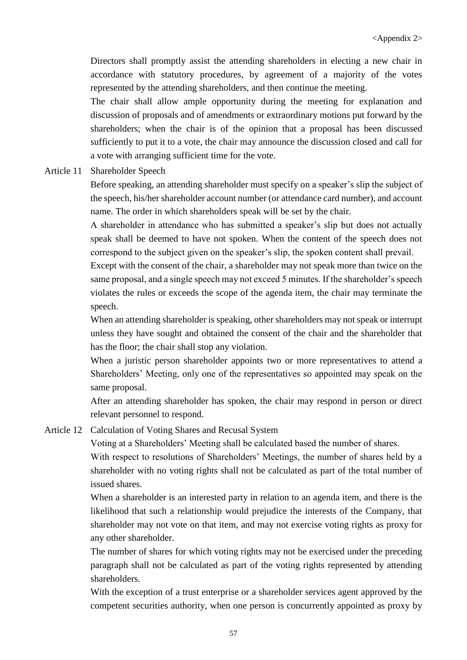Directors shall promptly assist the attending shareholders in electing a new chair in accordance with statutory procedures, by agreement of a majority of the votes represented by the attending shareholders, and then continue the meeting.

The chair shall allow ample opportunity during the meeting for explanation and discussion of proposals and of amendments or extraordinary motions put forward by the shareholders; when the chair is of the opinion that a proposal has been discussed sufficiently to put it to a vote, the chair may announce the discussion closed and call for a vote with arranging sufficient time for the vote.

Article 11 Shareholder Speech

Before speaking, an attending shareholder must specify on a speaker's slip the subject of the speech, his/her shareholder account number (or attendance card number), and account name. The order in which shareholders speak will be set by the chair.

A shareholder in attendance who has submitted a speaker's slip but does not actually speak shall be deemed to have not spoken. When the content of the speech does not correspond to the subject given on the speaker's slip, the spoken content shall prevail.

Except with the consent of the chair, a shareholder may not speak more than twice on the same proposal, and a single speech may not exceed 5 minutes. If the shareholder's speech violates the rules or exceeds the scope of the agenda item, the chair may terminate the speech.

When an attending shareholder is speaking, other shareholders may not speak or interrupt unless they have sought and obtained the consent of the chair and the shareholder that has the floor; the chair shall stop any violation.

When a juristic person shareholder appoints two or more representatives to attend a Shareholders' Meeting, only one of the representatives so appointed may speak on the same proposal.

After an attending shareholder has spoken, the chair may respond in person or direct relevant personnel to respond.

Article 12 Calculation of Voting Shares and Recusal System

Voting at a Shareholders' Meeting shall be calculated based the number of shares.

With respect to resolutions of Shareholders' Meetings, the number of shares held by a shareholder with no voting rights shall not be calculated as part of the total number of issued shares.

When a shareholder is an interested party in relation to an agenda item, and there is the likelihood that such a relationship would prejudice the interests of the Company, that shareholder may not vote on that item, and may not exercise voting rights as proxy for any other shareholder.

The number of shares for which voting rights may not be exercised under the preceding paragraph shall not be calculated as part of the voting rights represented by attending shareholders.

With the exception of a trust enterprise or a shareholder services agent approved by the competent securities authority, when one person is concurrently appointed as proxy by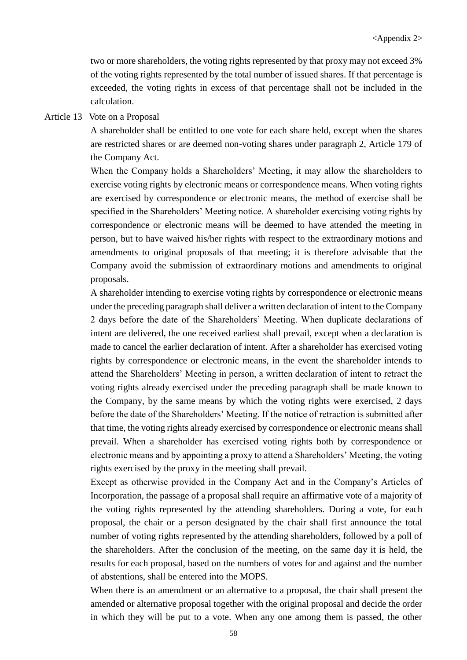two or more shareholders, the voting rights represented by that proxy may not exceed 3% of the voting rights represented by the total number of issued shares. If that percentage is exceeded, the voting rights in excess of that percentage shall not be included in the calculation.

#### Article 13 Vote on a Proposal

A shareholder shall be entitled to one vote for each share held, except when the shares are restricted shares or are deemed non-voting shares under paragraph 2, Article 179 of the Company Act.

When the Company holds a Shareholders' Meeting, it may allow the shareholders to exercise voting rights by electronic means or correspondence means. When voting rights are exercised by correspondence or electronic means, the method of exercise shall be specified in the Shareholders' Meeting notice. A shareholder exercising voting rights by correspondence or electronic means will be deemed to have attended the meeting in person, but to have waived his/her rights with respect to the extraordinary motions and amendments to original proposals of that meeting; it is therefore advisable that the Company avoid the submission of extraordinary motions and amendments to original proposals.

A shareholder intending to exercise voting rights by correspondence or electronic means under the preceding paragraph shall deliver a written declaration of intent to the Company 2 days before the date of the Shareholders' Meeting. When duplicate declarations of intent are delivered, the one received earliest shall prevail, except when a declaration is made to cancel the earlier declaration of intent. After a shareholder has exercised voting rights by correspondence or electronic means, in the event the shareholder intends to attend the Shareholders' Meeting in person, a written declaration of intent to retract the voting rights already exercised under the preceding paragraph shall be made known to the Company, by the same means by which the voting rights were exercised, 2 days before the date of the Shareholders' Meeting. If the notice of retraction is submitted after that time, the voting rights already exercised by correspondence or electronic means shall prevail. When a shareholder has exercised voting rights both by correspondence or electronic means and by appointing a proxy to attend a Shareholders' Meeting, the voting rights exercised by the proxy in the meeting shall prevail.

Except as otherwise provided in the Company Act and in the Company's Articles of Incorporation, the passage of a proposal shall require an affirmative vote of a majority of the voting rights represented by the attending shareholders. During a vote, for each proposal, the chair or a person designated by the chair shall first announce the total number of voting rights represented by the attending shareholders, followed by a poll of the shareholders. After the conclusion of the meeting, on the same day it is held, the results for each proposal, based on the numbers of votes for and against and the number of abstentions, shall be entered into the MOPS.

When there is an amendment or an alternative to a proposal, the chair shall present the amended or alternative proposal together with the original proposal and decide the order in which they will be put to a vote. When any one among them is passed, the other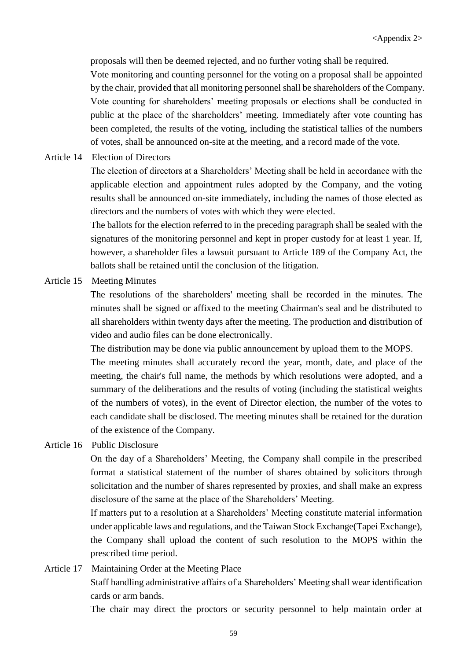proposals will then be deemed rejected, and no further voting shall be required.

Vote monitoring and counting personnel for the voting on a proposal shall be appointed by the chair, provided that all monitoring personnel shall be shareholders of the Company. Vote counting for shareholders' meeting proposals or elections shall be conducted in public at the place of the shareholders' meeting. Immediately after vote counting has been completed, the results of the voting, including the statistical tallies of the numbers of votes, shall be announced on-site at the meeting, and a record made of the vote.

Article 14 Election of Directors

The election of directors at a Shareholders' Meeting shall be held in accordance with the applicable election and appointment rules adopted by the Company, and the voting results shall be announced on-site immediately, including the names of those elected as directors and the numbers of votes with which they were elected.

The ballots for the election referred to in the preceding paragraph shall be sealed with the signatures of the monitoring personnel and kept in proper custody for at least 1 year. If, however, a shareholder files a lawsuit pursuant to Article 189 of the Company Act, the ballots shall be retained until the conclusion of the litigation.

Article 15 Meeting Minutes

The resolutions of the shareholders' meeting shall be recorded in the minutes. The minutes shall be signed or affixed to the meeting Chairman's seal and be distributed to all shareholders within twenty days after the meeting. The production and distribution of video and audio files can be done electronically.

The distribution may be done via public announcement by upload them to the MOPS.

The meeting minutes shall accurately record the year, month, date, and place of the meeting, the chair's full name, the methods by which resolutions were adopted, and a summary of the deliberations and the results of voting (including the statistical weights of the numbers of votes), in the event of Director election, the number of the votes to each candidate shall be disclosed. The meeting minutes shall be retained for the duration of the existence of the Company.

Article 16 Public Disclosure

On the day of a Shareholders' Meeting, the Company shall compile in the prescribed format a statistical statement of the number of shares obtained by solicitors through solicitation and the number of shares represented by proxies, and shall make an express disclosure of the same at the place of the Shareholders' Meeting.

If matters put to a resolution at a Shareholders' Meeting constitute material information under applicable laws and regulations, and the Taiwan Stock Exchange(Tapei Exchange), the Company shall upload the content of such resolution to the MOPS within the prescribed time period.

Article 17 Maintaining Order at the Meeting Place Staff handling administrative affairs of a Shareholders' Meeting shall wear identification cards or arm bands.

The chair may direct the proctors or security personnel to help maintain order at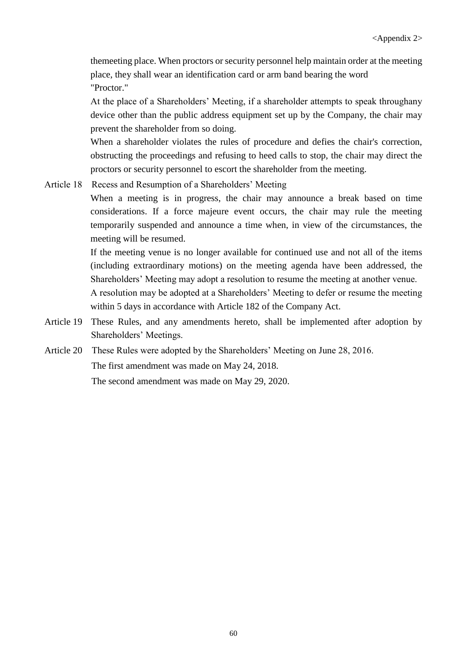themeeting place. When proctors or security personnel help maintain order at the meeting place, they shall wear an identification card or arm band bearing the word "Proctor."

At the place of a Shareholders' Meeting, if a shareholder attempts to speak throughany device other than the public address equipment set up by the Company, the chair may prevent the shareholder from so doing.

When a shareholder violates the rules of procedure and defies the chair's correction, obstructing the proceedings and refusing to heed calls to stop, the chair may direct the proctors or security personnel to escort the shareholder from the meeting.

Article 18 Recess and Resumption of a Shareholders' Meeting

When a meeting is in progress, the chair may announce a break based on time considerations. If a force majeure event occurs, the chair may rule the meeting temporarily suspended and announce a time when, in view of the circumstances, the meeting will be resumed.

If the meeting venue is no longer available for continued use and not all of the items (including extraordinary motions) on the meeting agenda have been addressed, the Shareholders' Meeting may adopt a resolution to resume the meeting at another venue.

A resolution may be adopted at a Shareholders' Meeting to defer or resume the meeting within 5 days in accordance with Article 182 of the Company Act.

- Article 19 These Rules, and any amendments hereto, shall be implemented after adoption by Shareholders' Meetings.
- Article 20 These Rules were adopted by the Shareholders' Meeting on June 28, 2016. The first amendment was made on May 24, 2018. The second amendment was made on May 29, 2020.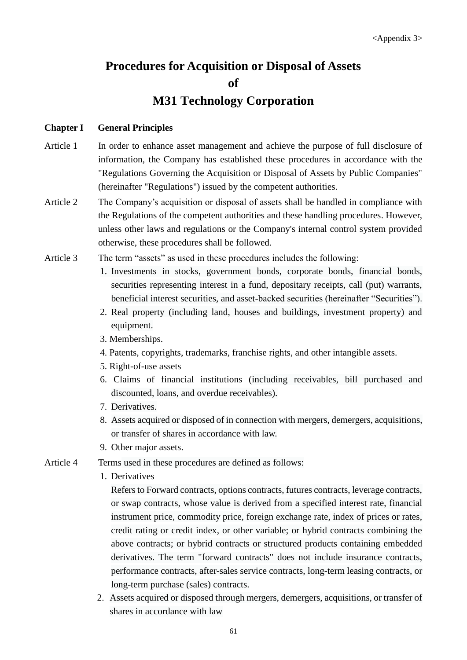# **Procedures for Acquisition or Disposal of Assets of M31 Technology Corporation**

## **Chapter I General Principles**

- Article 1 In order to enhance asset management and achieve the purpose of full disclosure of information, the Company has established these procedures in accordance with the "Regulations Governing the Acquisition or Disposal of Assets by Public Companies" (hereinafter "Regulations") issued by the competent authorities.
- Article 2 The Company's acquisition or disposal of assets shall be handled in compliance with the Regulations of the competent authorities and these handling procedures. However, unless other laws and regulations or the Company's internal control system provided otherwise, these procedures shall be followed.
- Article 3 The term "assets" as used in these procedures includes the following:
	- 1. Investments in stocks, government bonds, corporate bonds, financial bonds, securities representing interest in a fund, depositary receipts, call (put) warrants, beneficial interest securities, and asset-backed securities (hereinafter "Securities").
	- 2. Real property (including land, houses and buildings, investment property) and equipment.
	- 3. Memberships.
	- 4. Patents, copyrights, trademarks, franchise rights, and other intangible assets.
	- 5. Right-of-use assets
	- 6. Claims of financial institutions (including receivables, bill purchased and discounted, loans, and overdue receivables).
	- 7. Derivatives.
	- 8. Assets acquired or disposed of in connection with mergers, demergers, acquisitions, or transfer of shares in accordance with law.
	- 9. Other major assets.
- Article 4 Terms used in these procedures are defined as follows:
	- 1. Derivatives
		- Refers to Forward contracts, options contracts, futures contracts, leverage contracts, or swap contracts, whose value is derived from a specified interest rate, financial instrument price, commodity price, foreign exchange rate, index of prices or rates, credit rating or credit index, or other variable; or hybrid contracts combining the above contracts; or hybrid contracts or structured products containing embedded derivatives. The term "forward contracts" does not include insurance contracts, performance contracts, after-sales service contracts, long-term leasing contracts, or long-term purchase (sales) contracts.
	- 2. Assets acquired or disposed through mergers, demergers, acquisitions, or transfer of shares in accordance with law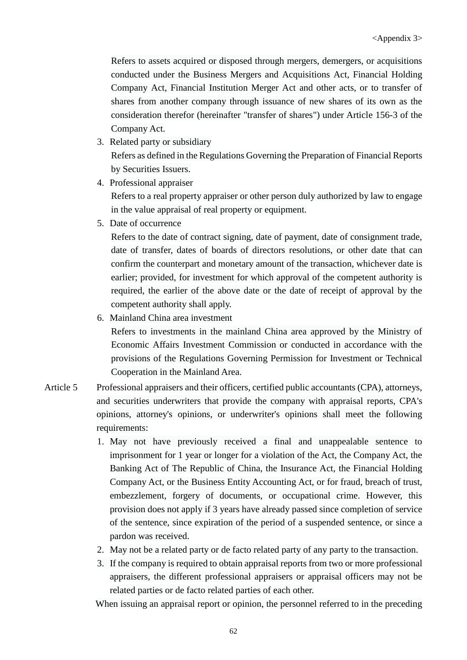Refers to assets acquired or disposed through mergers, demergers, or acquisitions conducted under the Business Mergers and Acquisitions Act, Financial Holding Company Act, Financial Institution Merger Act and other acts, or to transfer of shares from another company through issuance of new shares of its own as the consideration therefor (hereinafter "transfer of shares") under Article 156-3 of the Company Act.

- 3. Related party or subsidiary Refers as defined in the Regulations Governing the Preparation of Financial Reports by Securities Issuers.
- 4. Professional appraiser

Refers to a real property appraiser or other person duly authorized by law to engage in the value appraisal of real property or equipment.

5. Date of occurrence

Refers to the date of contract signing, date of payment, date of consignment trade, date of transfer, dates of boards of directors resolutions, or other date that can confirm the counterpart and monetary amount of the transaction, whichever date is earlier; provided, for investment for which approval of the competent authority is required, the earlier of the above date or the date of receipt of approval by the competent authority shall apply.

6. Mainland China area investment

Refers to investments in the mainland China area approved by the Ministry of Economic Affairs Investment Commission or conducted in accordance with the provisions of the Regulations Governing Permission for Investment or Technical Cooperation in the Mainland Area.

- Article 5 Professional appraisers and their officers, certified public accountants (CPA), attorneys, and securities underwriters that provide the company with appraisal reports, CPA's opinions, attorney's opinions, or underwriter's opinions shall meet the following requirements:
	- 1. May not have previously received a final and unappealable sentence to imprisonment for 1 year or longer for a violation of the Act, the Company Act, the Banking Act of The Republic of China, the Insurance Act, the Financial Holding Company Act, or the Business Entity Accounting Act, or for fraud, breach of trust, embezzlement, forgery of documents, or occupational crime. However, this provision does not apply if 3 years have already passed since completion of service of the sentence, since expiration of the period of a suspended sentence, or since a pardon was received.
	- 2. May not be a related party or de facto related party of any party to the transaction.
	- 3. If the company is required to obtain appraisal reports from two or more professional appraisers, the different professional appraisers or appraisal officers may not be related parties or de facto related parties of each other.

When issuing an appraisal report or opinion, the personnel referred to in the preceding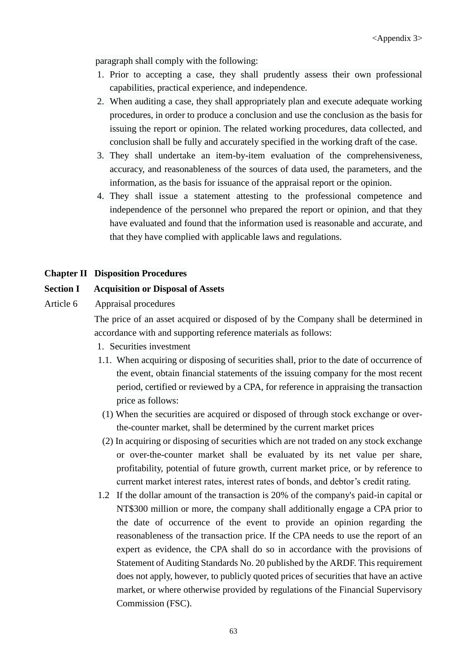paragraph shall comply with the following:

- 1. Prior to accepting a case, they shall prudently assess their own professional capabilities, practical experience, and independence.
- 2. When auditing a case, they shall appropriately plan and execute adequate working procedures, in order to produce a conclusion and use the conclusion as the basis for issuing the report or opinion. The related working procedures, data collected, and conclusion shall be fully and accurately specified in the working draft of the case.
- 3. They shall undertake an item-by-item evaluation of the comprehensiveness, accuracy, and reasonableness of the sources of data used, the parameters, and the information, as the basis for issuance of the appraisal report or the opinion.
- 4. They shall issue a statement attesting to the professional competence and independence of the personnel who prepared the report or opinion, and that they have evaluated and found that the information used is reasonable and accurate, and that they have complied with applicable laws and regulations.

#### **Chapter II Disposition Procedures**

#### **Section I Acquisition or Disposal of Assets**

Article 6 Appraisal procedures

The price of an asset acquired or disposed of by the Company shall be determined in accordance with and supporting reference materials as follows:

- 1. Securities investment
- 1.1. When acquiring or disposing of securities shall, prior to the date of occurrence of the event, obtain financial statements of the issuing company for the most recent period, certified or reviewed by a CPA, for reference in appraising the transaction price as follows:
- (1) When the securities are acquired or disposed of through stock exchange or overthe-counter market, shall be determined by the current market prices
- (2) In acquiring or disposing of securities which are not traded on any stock exchange or over-the-counter market shall be evaluated by its net value per share, profitability, potential of future growth, current market price, or by reference to current market interest rates, interest rates of bonds, and debtor's credit rating.
- 1.2 If the dollar amount of the transaction is 20% of the company's paid-in capital or NT\$300 million or more, the company shall additionally engage a CPA prior to the date of occurrence of the event to provide an opinion regarding the reasonableness of the transaction price. If the CPA needs to use the report of an expert as evidence, the CPA shall do so in accordance with the provisions of Statement of Auditing Standards No. 20 published by the ARDF. This requirement does not apply, however, to publicly quoted prices of securities that have an active market, or where otherwise provided by regulations of the Financial Supervisory Commission (FSC).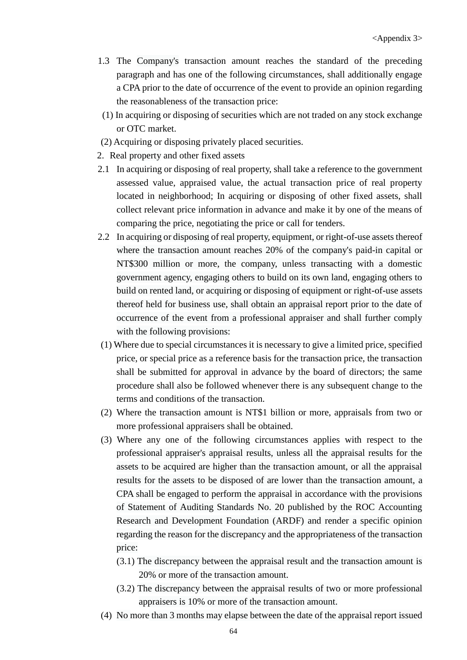- 1.3 The Company's transaction amount reaches the standard of the preceding paragraph and has one of the following circumstances, shall additionally engage a CPA prior to the date of occurrence of the event to provide an opinion regarding the reasonableness of the transaction price:
- (1) In acquiring or disposing of securities which are not traded on any stock exchange or OTC market.
- (2) Acquiring or disposing privately placed securities.
- 2. Real property and other fixed assets
- 2.1 In acquiring or disposing of real property, shall take a reference to the government assessed value, appraised value, the actual transaction price of real property located in neighborhood; In acquiring or disposing of other fixed assets, shall collect relevant price information in advance and make it by one of the means of comparing the price, negotiating the price or call for tenders.
- 2.2 In acquiring or disposing of real property, equipment, or right-of-use assets thereof where the transaction amount reaches 20% of the company's paid-in capital or NT\$300 million or more, the company, unless transacting with a domestic government agency, engaging others to build on its own land, engaging others to build on rented land, or acquiring or disposing of equipment or right-of-use assets thereof held for business use, shall obtain an appraisal report prior to the date of occurrence of the event from a professional appraiser and shall further comply with the following provisions:
- (1) Where due to special circumstances it is necessary to give a limited price, specified price, or special price as a reference basis for the transaction price, the transaction shall be submitted for approval in advance by the board of directors; the same procedure shall also be followed whenever there is any subsequent change to the terms and conditions of the transaction.
- (2) Where the transaction amount is NT\$1 billion or more, appraisals from two or more professional appraisers shall be obtained.
- (3) Where any one of the following circumstances applies with respect to the professional appraiser's appraisal results, unless all the appraisal results for the assets to be acquired are higher than the transaction amount, or all the appraisal results for the assets to be disposed of are lower than the transaction amount, a CPA shall be engaged to perform the appraisal in accordance with the provisions of Statement of Auditing Standards No. 20 published by the ROC Accounting Research and Development Foundation (ARDF) and render a specific opinion regarding the reason for the discrepancy and the appropriateness of the transaction price:
	- (3.1) The discrepancy between the appraisal result and the transaction amount is 20% or more of the transaction amount.
	- (3.2) The discrepancy between the appraisal results of two or more professional appraisers is 10% or more of the transaction amount.
- (4) No more than 3 months may elapse between the date of the appraisal report issued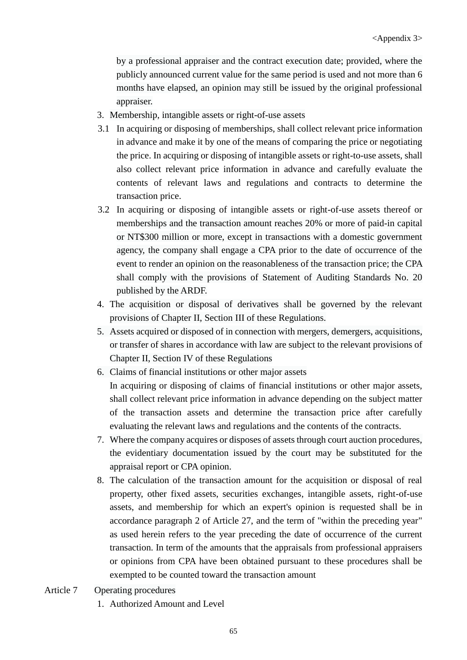by a professional appraiser and the contract execution date; provided, where the publicly announced current value for the same period is used and not more than 6 months have elapsed, an opinion may still be issued by the original professional appraiser.

- 3. Membership, intangible assets or right-of-use assets
- 3.1 In acquiring or disposing of memberships, shall collect relevant price information in advance and make it by one of the means of comparing the price or negotiating the price. In acquiring or disposing of intangible assets or right-to-use assets, shall also collect relevant price information in advance and carefully evaluate the contents of relevant laws and regulations and contracts to determine the transaction price.
- 3.2 In acquiring or disposing of intangible assets or right-of-use assets thereof or memberships and the transaction amount reaches 20% or more of paid-in capital or NT\$300 million or more, except in transactions with a domestic government agency, the company shall engage a CPA prior to the date of occurrence of the event to render an opinion on the reasonableness of the transaction price; the CPA shall comply with the provisions of Statement of Auditing Standards No. 20 published by the ARDF.
- 4. The acquisition or disposal of derivatives shall be governed by the relevant provisions of Chapter II, Section III of these Regulations.
- 5. Assets acquired or disposed of in connection with mergers, demergers, acquisitions, or transfer of shares in accordance with law are subject to the relevant provisions of Chapter II, Section IV of these Regulations
- 6. Claims of financial institutions or other major assets In acquiring or disposing of claims of financial institutions or other major assets, shall collect relevant price information in advance depending on the subject matter of the transaction assets and determine the transaction price after carefully evaluating the relevant laws and regulations and the contents of the contracts.
- 7. Where the company acquires or disposes of assets through court auction procedures, the evidentiary documentation issued by the court may be substituted for the appraisal report or CPA opinion.
- 8. The calculation of the transaction amount for the acquisition or disposal of real property, other fixed assets, securities exchanges, intangible assets, right-of-use assets, and membership for which an expert's opinion is requested shall be in accordance paragraph 2 of Article 27, and the term of "within the preceding year" as used herein refers to the year preceding the date of occurrence of the current transaction. In term of the amounts that the appraisals from professional appraisers or opinions from CPA have been obtained pursuant to these procedures shall be exempted to be counted toward the transaction amount
- Article 7 Operating procedures
	- 1. Authorized Amount and Level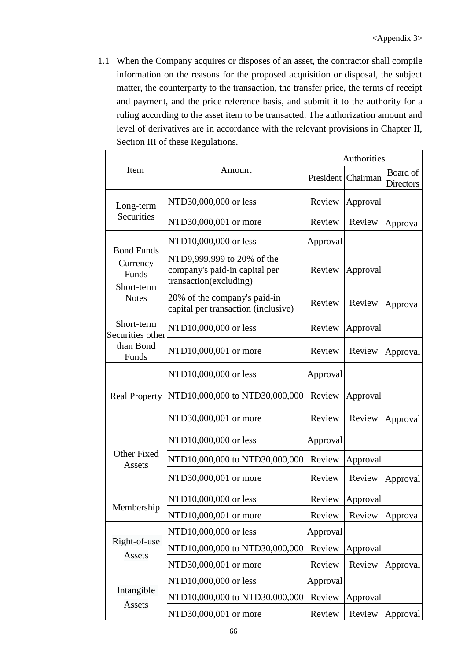1.1 When the Company acquires or disposes of an asset, the contractor shall compile information on the reasons for the proposed acquisition or disposal, the subject matter, the counterparty to the transaction, the transfer price, the terms of receipt and payment, and the price reference basis, and submit it to the authority for a ruling according to the asset item to be transacted. The authorization amount and level of derivatives are in accordance with the relevant provisions in Chapter II, Section III of these Regulations.

|                                                                           |                                                                                       | Authorities |                    |                              |
|---------------------------------------------------------------------------|---------------------------------------------------------------------------------------|-------------|--------------------|------------------------------|
| Item<br>Amount                                                            |                                                                                       |             | President Chairman | Board of<br><b>Directors</b> |
| NTD30,000,000 or less<br>Long-term<br>Securities<br>NTD30,000,001 or more |                                                                                       | Review      | Approval           |                              |
|                                                                           |                                                                                       | Review      | Review             | Approval                     |
| <b>Bond Funds</b>                                                         | NTD10,000,000 or less                                                                 | Approval    |                    |                              |
| Currency<br>Funds<br>Short-term                                           | NTD9,999,999 to 20% of the<br>company's paid-in capital per<br>transaction(excluding) | Review      | Approval           |                              |
| <b>Notes</b>                                                              | 20% of the company's paid-in<br>capital per transaction (inclusive)                   | Review      | Review             | Approval                     |
| Short-term<br>Securities other                                            | NTD10,000,000 or less                                                                 | Review      | Approval           |                              |
| than Bond<br>Funds                                                        | NTD10,000,001 or more                                                                 | Review      | Review             | Approval                     |
|                                                                           | NTD10,000,000 or less                                                                 | Approval    |                    |                              |
| <b>Real Property</b>                                                      | NTD10,000,000 to NTD30,000,000                                                        | Review      | Approval           |                              |
|                                                                           | NTD30,000,001 or more                                                                 | Review      | Review             | Approval                     |
|                                                                           | NTD10,000,000 or less                                                                 | Approval    |                    |                              |
| Other Fixed<br>Assets                                                     | NTD10,000,000 to NTD30,000,000                                                        | Review      | Approval           |                              |
|                                                                           | NTD30,000,001 or more                                                                 | Review      | Review             | Approval                     |
|                                                                           | NTD10,000,000 or less                                                                 | Review      | Approval           |                              |
| Membership                                                                | NTD10,000,001 or more                                                                 | Review      | Review             | Approval                     |
|                                                                           | NTD10,000,000 or less                                                                 | Approval    |                    |                              |
| Right-of-use<br>Assets                                                    | NTD10,000,000 to NTD30,000,000                                                        | Review      | Approval           |                              |
|                                                                           | NTD30,000,001 or more                                                                 | Review      | Review             | Approval                     |
|                                                                           | NTD10,000,000 or less                                                                 | Approval    |                    |                              |
| Intangible<br>Assets                                                      | NTD10,000,000 to NTD30,000,000                                                        | Review      | Approval           |                              |
|                                                                           | NTD30,000,001 or more                                                                 | Review      | Review             | Approval                     |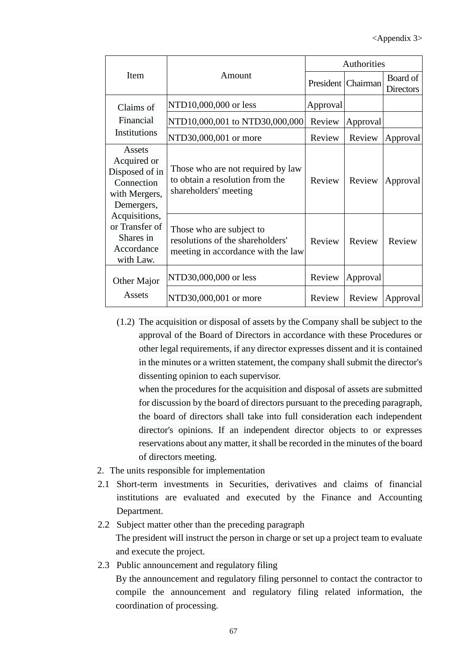|                                                                                      |                                                                                                    | Authorities |                      |                              |
|--------------------------------------------------------------------------------------|----------------------------------------------------------------------------------------------------|-------------|----------------------|------------------------------|
| <b>Item</b>                                                                          | Amount                                                                                             |             | President   Chairman | Board of<br><b>Directors</b> |
| Claims of                                                                            | NTD10,000,000 or less                                                                              | Approval    |                      |                              |
| Financial                                                                            | NTD10,000,001 to NTD30,000,000                                                                     | Review      | Approval             |                              |
| Institutions                                                                         | NTD30,000,001 or more                                                                              | Review      | Review               | Approval                     |
| Assets<br>Acquired or<br>Disposed of in<br>Connection<br>with Mergers,<br>Demergers, | Those who are not required by law<br>to obtain a resolution from the<br>shareholders' meeting      | Review      | Review               | Approval                     |
| Acquisitions,<br>or Transfer of<br>Shares in<br>Accordance<br>with Law.              | Those who are subject to<br>resolutions of the shareholders'<br>meeting in accordance with the law | Review      | Review               | Review                       |
| Other Major                                                                          | NTD30,000,000 or less                                                                              | Review      | Approval             |                              |
| Assets                                                                               | NTD30,000,001 or more                                                                              | Review      | Review               | Approval                     |

(1.2) The acquisition or disposal of assets by the Company shall be subject to the approval of the Board of Directors in accordance with these Procedures or other legal requirements, if any director expresses dissent and it is contained in the minutes or a written statement, the company shall submit the director's dissenting opinion to each supervisor.

when the procedures for the acquisition and disposal of assets are submitted for discussion by the board of directors pursuant to the preceding paragraph, the board of directors shall take into full consideration each independent director's opinions. If an independent director objects to or expresses reservations about any matter, it shall be recorded in the minutes of the board of directors meeting.

- 2. The units responsible for implementation
- 2.1 Short-term investments in Securities, derivatives and claims of financial institutions are evaluated and executed by the Finance and Accounting Department.
- 2.2 Subject matter other than the preceding paragraph The president will instruct the person in charge or set up a project team to evaluate and execute the project.
- 2.3 Public announcement and regulatory filing

By the announcement and regulatory filing personnel to contact the contractor to compile the announcement and regulatory filing related information, the coordination of processing.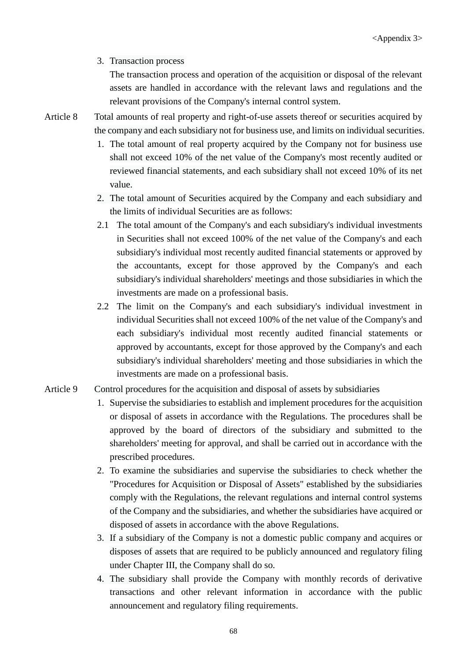## 3. Transaction process

The transaction process and operation of the acquisition or disposal of the relevant assets are handled in accordance with the relevant laws and regulations and the relevant provisions of the Company's internal control system.

Article 8 Total amounts of real property and right-of-use assets thereof or securities acquired by the company and each subsidiary not for business use, and limits on individual securities.

- 1. The total amount of real property acquired by the Company not for business use shall not exceed 10% of the net value of the Company's most recently audited or reviewed financial statements, and each subsidiary shall not exceed 10% of its net value.
- 2. The total amount of Securities acquired by the Company and each subsidiary and the limits of individual Securities are as follows:
- 2.1 The total amount of the Company's and each subsidiary's individual investments in Securities shall not exceed 100% of the net value of the Company's and each subsidiary's individual most recently audited financial statements or approved by the accountants, except for those approved by the Company's and each subsidiary's individual shareholders' meetings and those subsidiaries in which the investments are made on a professional basis.
- 2.2 The limit on the Company's and each subsidiary's individual investment in individual Securities shall not exceed 100% of the net value of the Company's and each subsidiary's individual most recently audited financial statements or approved by accountants, except for those approved by the Company's and each subsidiary's individual shareholders' meeting and those subsidiaries in which the investments are made on a professional basis.

#### Article 9 Control procedures for the acquisition and disposal of assets by subsidiaries

- 1. Supervise the subsidiaries to establish and implement procedures for the acquisition or disposal of assets in accordance with the Regulations. The procedures shall be approved by the board of directors of the subsidiary and submitted to the shareholders' meeting for approval, and shall be carried out in accordance with the prescribed procedures.
- 2. To examine the subsidiaries and supervise the subsidiaries to check whether the "Procedures for Acquisition or Disposal of Assets" established by the subsidiaries comply with the Regulations, the relevant regulations and internal control systems of the Company and the subsidiaries, and whether the subsidiaries have acquired or disposed of assets in accordance with the above Regulations.
- 3. If a subsidiary of the Company is not a domestic public company and acquires or disposes of assets that are required to be publicly announced and regulatory filing under Chapter III, the Company shall do so.
- 4. The subsidiary shall provide the Company with monthly records of derivative transactions and other relevant information in accordance with the public announcement and regulatory filing requirements.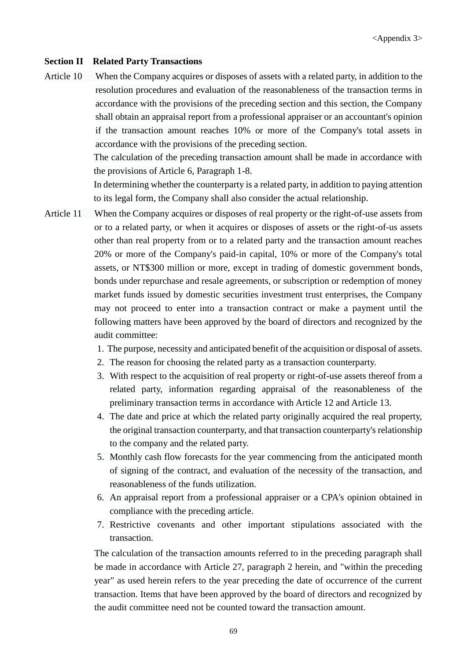#### **Section II Related Party Transactions**

Article 10 When the Company acquires or disposes of assets with a related party, in addition to the resolution procedures and evaluation of the reasonableness of the transaction terms in accordance with the provisions of the preceding section and this section, the Company shall obtain an appraisal report from a professional appraiser or an accountant's opinion if the transaction amount reaches 10% or more of the Company's total assets in accordance with the provisions of the preceding section.

The calculation of the preceding transaction amount shall be made in accordance with the provisions of Article 6, Paragraph 1-8.

In determining whether the counterparty is a related party, in addition to paying attention to its legal form, the Company shall also consider the actual relationship.

- Article 11 When the Company acquires or disposes of real property or the right-of-use assets from or to a related party, or when it acquires or disposes of assets or the right-of-us assets other than real property from or to a related party and the transaction amount reaches 20% or more of the Company's paid-in capital, 10% or more of the Company's total assets, or NT\$300 million or more, except in trading of domestic government bonds, bonds under repurchase and resale agreements, or subscription or redemption of money market funds issued by domestic securities investment trust enterprises, the Company may not proceed to enter into a transaction contract or make a payment until the following matters have been approved by the board of directors and recognized by the audit committee:
	- 1. The purpose, necessity and anticipated benefit of the acquisition or disposal of assets.
	- 2. The reason for choosing the related party as a transaction counterparty.
	- 3. With respect to the acquisition of real property or right-of-use assets thereof from a related party, information regarding appraisal of the reasonableness of the preliminary transaction terms in accordance with Article 12 and Article 13.
	- 4. The date and price at which the related party originally acquired the real property, the original transaction counterparty, and that transaction counterparty's relationship to the company and the related party.
	- 5. Monthly cash flow forecasts for the year commencing from the anticipated month of signing of the contract, and evaluation of the necessity of the transaction, and reasonableness of the funds utilization.
	- 6. An appraisal report from a professional appraiser or a CPA's opinion obtained in compliance with the preceding article.
	- 7. Restrictive covenants and other important stipulations associated with the transaction.

The calculation of the transaction amounts referred to in the preceding paragraph shall be made in accordance with Article 27, paragraph 2 herein, and "within the preceding year" as used herein refers to the year preceding the date of occurrence of the current transaction. Items that have been approved by the board of directors and recognized by the audit committee need not be counted toward the transaction amount.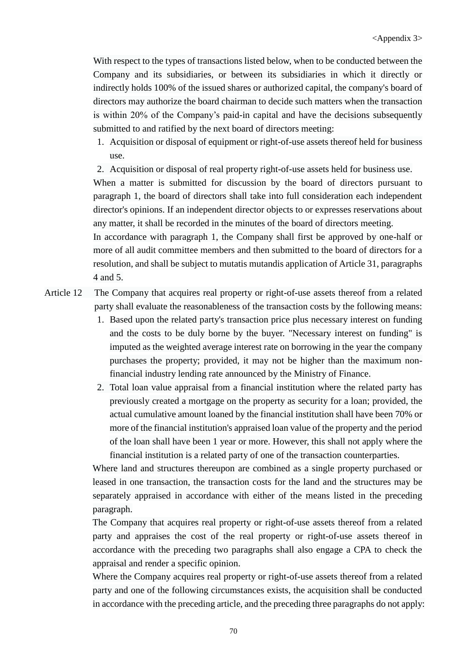With respect to the types of transactions listed below, when to be conducted between the Company and its subsidiaries, or between its subsidiaries in which it directly or indirectly holds 100% of the issued shares or authorized capital, the company's board of directors may authorize the board chairman to decide such matters when the transaction is within 20% of the Company's paid-in capital and have the decisions subsequently submitted to and ratified by the next board of directors meeting:

- 1. Acquisition or disposal of equipment or right-of-use assets thereof held for business use.
- 2. Acquisition or disposal of real property right-of-use assets held for business use.

When a matter is submitted for discussion by the board of directors pursuant to paragraph 1, the board of directors shall take into full consideration each independent director's opinions. If an independent director objects to or expresses reservations about any matter, it shall be recorded in the minutes of the board of directors meeting.

In accordance with paragraph 1, the Company shall first be approved by one-half or more of all audit committee members and then submitted to the board of directors for a resolution, and shall be subject to mutatis mutandis application of Article 31, paragraphs 4 and 5.

- Article 12 The Company that acquires real property or right-of-use assets thereof from a related party shall evaluate the reasonableness of the transaction costs by the following means:
	- 1. Based upon the related party's transaction price plus necessary interest on funding and the costs to be duly borne by the buyer. "Necessary interest on funding" is imputed as the weighted average interest rate on borrowing in the year the company purchases the property; provided, it may not be higher than the maximum nonfinancial industry lending rate announced by the Ministry of Finance.
	- 2. Total loan value appraisal from a financial institution where the related party has previously created a mortgage on the property as security for a loan; provided, the actual cumulative amount loaned by the financial institution shall have been 70% or more of the financial institution's appraised loan value of the property and the period of the loan shall have been 1 year or more. However, this shall not apply where the financial institution is a related party of one of the transaction counterparties.

Where land and structures thereupon are combined as a single property purchased or leased in one transaction, the transaction costs for the land and the structures may be separately appraised in accordance with either of the means listed in the preceding paragraph.

The Company that acquires real property or right-of-use assets thereof from a related party and appraises the cost of the real property or right-of-use assets thereof in accordance with the preceding two paragraphs shall also engage a CPA to check the appraisal and render a specific opinion.

Where the Company acquires real property or right-of-use assets thereof from a related party and one of the following circumstances exists, the acquisition shall be conducted in accordance with the preceding article, and the preceding three paragraphs do not apply: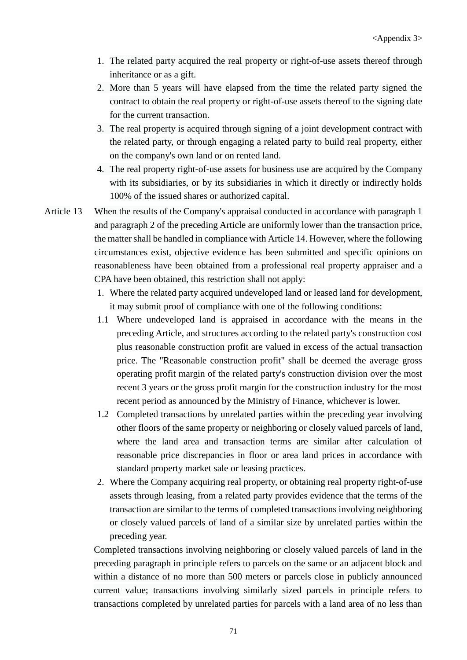- 1. The related party acquired the real property or right-of-use assets thereof through inheritance or as a gift.
- 2. More than 5 years will have elapsed from the time the related party signed the contract to obtain the real property or right-of-use assets thereof to the signing date for the current transaction.
- 3. The real property is acquired through signing of a joint development contract with the related party, or through engaging a related party to build real property, either on the company's own land or on rented land.
- 4. The real property right-of-use assets for business use are acquired by the Company with its subsidiaries, or by its subsidiaries in which it directly or indirectly holds 100% of the issued shares or authorized capital.
- Article 13 When the results of the Company's appraisal conducted in accordance with paragraph 1 and paragraph 2 of the preceding Article are uniformly lower than the transaction price, the matter shall be handled in compliance with Article 14. However, where the following circumstances exist, objective evidence has been submitted and specific opinions on reasonableness have been obtained from a professional real property appraiser and a CPA have been obtained, this restriction shall not apply:
	- 1. Where the related party acquired undeveloped land or leased land for development, it may submit proof of compliance with one of the following conditions:
	- 1.1 Where undeveloped land is appraised in accordance with the means in the preceding Article, and structures according to the related party's construction cost plus reasonable construction profit are valued in excess of the actual transaction price. The "Reasonable construction profit" shall be deemed the average gross operating profit margin of the related party's construction division over the most recent 3 years or the gross profit margin for the construction industry for the most recent period as announced by the Ministry of Finance, whichever is lower.
	- 1.2 Completed transactions by unrelated parties within the preceding year involving other floors of the same property or neighboring or closely valued parcels of land, where the land area and transaction terms are similar after calculation of reasonable price discrepancies in floor or area land prices in accordance with standard property market sale or leasing practices.
	- 2. Where the Company acquiring real property, or obtaining real property right-of-use assets through leasing, from a related party provides evidence that the terms of the transaction are similar to the terms of completed transactions involving neighboring or closely valued parcels of land of a similar size by unrelated parties within the preceding year.

Completed transactions involving neighboring or closely valued parcels of land in the preceding paragraph in principle refers to parcels on the same or an adjacent block and within a distance of no more than 500 meters or parcels close in publicly announced current value; transactions involving similarly sized parcels in principle refers to transactions completed by unrelated parties for parcels with a land area of no less than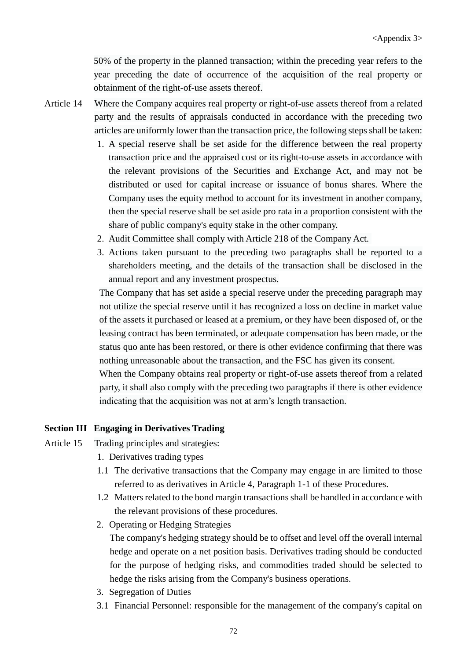50% of the property in the planned transaction; within the preceding year refers to the year preceding the date of occurrence of the acquisition of the real property or obtainment of the right-of-use assets thereof.

- Article 14 Where the Company acquires real property or right-of-use assets thereof from a related party and the results of appraisals conducted in accordance with the preceding two articles are uniformly lower than the transaction price, the following steps shall be taken:
	- 1. A special reserve shall be set aside for the difference between the real property transaction price and the appraised cost or its right-to-use assets in accordance with the relevant provisions of the Securities and Exchange Act, and may not be distributed or used for capital increase or issuance of bonus shares. Where the Company uses the equity method to account for its investment in another company, then the special reserve shall be set aside pro rata in a proportion consistent with the share of public company's equity stake in the other company.
	- 2. Audit Committee shall comply with Article 218 of the Company Act.
	- 3. Actions taken pursuant to the preceding two paragraphs shall be reported to a shareholders meeting, and the details of the transaction shall be disclosed in the annual report and any investment prospectus.

The Company that has set aside a special reserve under the preceding paragraph may not utilize the special reserve until it has recognized a loss on decline in market value of the assets it purchased or leased at a premium, or they have been disposed of, or the leasing contract has been terminated, or adequate compensation has been made, or the status quo ante has been restored, or there is other evidence confirming that there was nothing unreasonable about the transaction, and the FSC has given its consent.

When the Company obtains real property or right-of-use assets thereof from a related party, it shall also comply with the preceding two paragraphs if there is other evidence indicating that the acquisition was not at arm's length transaction.

#### **Section III Engaging in Derivatives Trading**

- Article 15 Trading principles and strategies:
	- 1. Derivatives trading types
	- 1.1 The derivative transactions that the Company may engage in are limited to those referred to as derivatives in Article 4, Paragraph 1-1 of these Procedures.
	- 1.2 Matters related to the bond margin transactions shall be handled in accordance with the relevant provisions of these procedures.
	- 2. Operating or Hedging Strategies

The company's hedging strategy should be to offset and level off the overall internal hedge and operate on a net position basis. Derivatives trading should be conducted for the purpose of hedging risks, and commodities traded should be selected to hedge the risks arising from the Company's business operations.

- 3. Segregation of Duties
- 3.1 Financial Personnel: responsible for the management of the company's capital on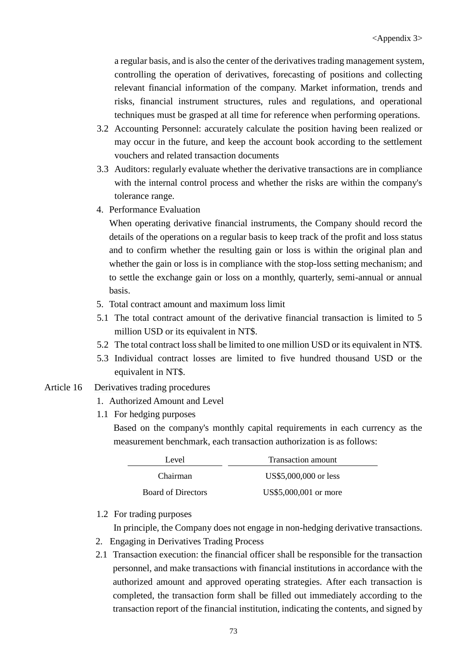a regular basis, and is also the center of the derivatives trading management system, controlling the operation of derivatives, forecasting of positions and collecting relevant financial information of the company. Market information, trends and risks, financial instrument structures, rules and regulations, and operational techniques must be grasped at all time for reference when performing operations.

- 3.2 Accounting Personnel: accurately calculate the position having been realized or may occur in the future, and keep the account book according to the settlement vouchers and related transaction documents
- 3.3 Auditors: regularly evaluate whether the derivative transactions are in compliance with the internal control process and whether the risks are within the company's tolerance range.
- 4. Performance Evaluation

When operating derivative financial instruments, the Company should record the details of the operations on a regular basis to keep track of the profit and loss status and to confirm whether the resulting gain or loss is within the original plan and whether the gain or loss is in compliance with the stop-loss setting mechanism; and to settle the exchange gain or loss on a monthly, quarterly, semi-annual or annual basis.

- 5. Total contract amount and maximum loss limit
- 5.1 The total contract amount of the derivative financial transaction is limited to 5 million USD or its equivalent in NT\$.
- 5.2 The total contract loss shall be limited to one million USD or its equivalent in NT\$.
- 5.3 Individual contract losses are limited to five hundred thousand USD or the equivalent in NT\$.
- Article 16 Derivatives trading procedures
	- 1. Authorized Amount and Level
	- 1.1 For hedging purposes

Based on the company's monthly capital requirements in each currency as the measurement benchmark, each transaction authorization is as follows:

| Level                     | Transaction amount    |  |
|---------------------------|-----------------------|--|
| Chairman                  | US\$5,000,000 or less |  |
| <b>Board of Directors</b> | US\$5,000,001 or more |  |

1.2 For trading purposes

In principle, the Company does not engage in non-hedging derivative transactions.

- 2. Engaging in Derivatives Trading Process
- 2.1 Transaction execution: the financial officer shall be responsible for the transaction personnel, and make transactions with financial institutions in accordance with the authorized amount and approved operating strategies. After each transaction is completed, the transaction form shall be filled out immediately according to the transaction report of the financial institution, indicating the contents, and signed by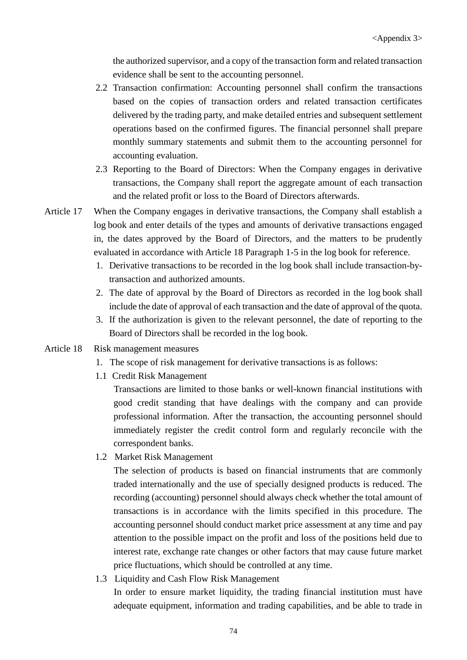the authorized supervisor, and a copy of the transaction form and related transaction evidence shall be sent to the accounting personnel.

- 2.2 Transaction confirmation: Accounting personnel shall confirm the transactions based on the copies of transaction orders and related transaction certificates delivered by the trading party, and make detailed entries and subsequent settlement operations based on the confirmed figures. The financial personnel shall prepare monthly summary statements and submit them to the accounting personnel for accounting evaluation.
- 2.3 Reporting to the Board of Directors: When the Company engages in derivative transactions, the Company shall report the aggregate amount of each transaction and the related profit or loss to the Board of Directors afterwards.
- Article 17 When the Company engages in derivative transactions, the Company shall establish a log book and enter details of the types and amounts of derivative transactions engaged in, the dates approved by the Board of Directors, and the matters to be prudently evaluated in accordance with Article 18 Paragraph 1-5 in the log book for reference.
	- 1. Derivative transactions to be recorded in the log book shall include transaction-bytransaction and authorized amounts.
	- 2. The date of approval by the Board of Directors as recorded in the log book shall include the date of approval of each transaction and the date of approval of the quota.
	- 3. If the authorization is given to the relevant personnel, the date of reporting to the Board of Directors shall be recorded in the log book.
- Article 18 Risk management measures
	- 1. The scope of risk management for derivative transactions is as follows:
	- 1.1 Credit Risk Management

Transactions are limited to those banks or well-known financial institutions with good credit standing that have dealings with the company and can provide professional information. After the transaction, the accounting personnel should immediately register the credit control form and regularly reconcile with the correspondent banks.

1.2 Market Risk Management

The selection of products is based on financial instruments that are commonly traded internationally and the use of specially designed products is reduced. The recording (accounting) personnel should always check whether the total amount of transactions is in accordance with the limits specified in this procedure. The accounting personnel should conduct market price assessment at any time and pay attention to the possible impact on the profit and loss of the positions held due to interest rate, exchange rate changes or other factors that may cause future market price fluctuations, which should be controlled at any time.

1.3 Liquidity and Cash Flow Risk Management

In order to ensure market liquidity, the trading financial institution must have adequate equipment, information and trading capabilities, and be able to trade in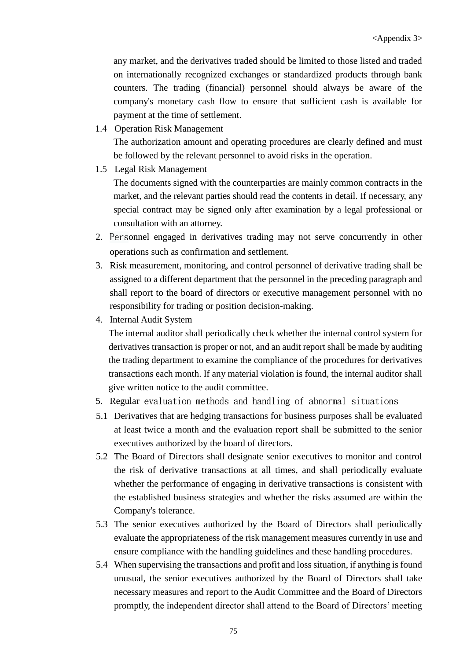any market, and the derivatives traded should be limited to those listed and traded on internationally recognized exchanges or standardized products through bank counters. The trading (financial) personnel should always be aware of the company's monetary cash flow to ensure that sufficient cash is available for payment at the time of settlement.

1.4 Operation Risk Management

The authorization amount and operating procedures are clearly defined and must be followed by the relevant personnel to avoid risks in the operation.

1.5 Legal Risk Management

The documents signed with the counterparties are mainly common contracts in the market, and the relevant parties should read the contents in detail. If necessary, any special contract may be signed only after examination by a legal professional or consultation with an attorney.

- 2. Personnel engaged in derivatives trading may not serve concurrently in other operations such as confirmation and settlement.
- 3. Risk measurement, monitoring, and control personnel of derivative trading shall be assigned to a different department that the personnel in the preceding paragraph and shall report to the board of directors or executive management personnel with no responsibility for trading or position decision-making.
- 4. Internal Audit System

The internal auditor shall periodically check whether the internal control system for derivatives transaction is proper or not, and an audit report shall be made by auditing the trading department to examine the compliance of the procedures for derivatives transactions each month. If any material violation is found, the internal auditor shall give written notice to the audit committee.

- 5. Regular evaluation methods and handling of abnormal situations
- 5.1 Derivatives that are hedging transactions for business purposes shall be evaluated at least twice a month and the evaluation report shall be submitted to the senior executives authorized by the board of directors.
- 5.2 The Board of Directors shall designate senior executives to monitor and control the risk of derivative transactions at all times, and shall periodically evaluate whether the performance of engaging in derivative transactions is consistent with the established business strategies and whether the risks assumed are within the Company's tolerance.
- 5.3 The senior executives authorized by the Board of Directors shall periodically evaluate the appropriateness of the risk management measures currently in use and ensure compliance with the handling guidelines and these handling procedures.
- 5.4 When supervising the transactions and profit and loss situation, if anything is found unusual, the senior executives authorized by the Board of Directors shall take necessary measures and report to the Audit Committee and the Board of Directors promptly, the independent director shall attend to the Board of Directors' meeting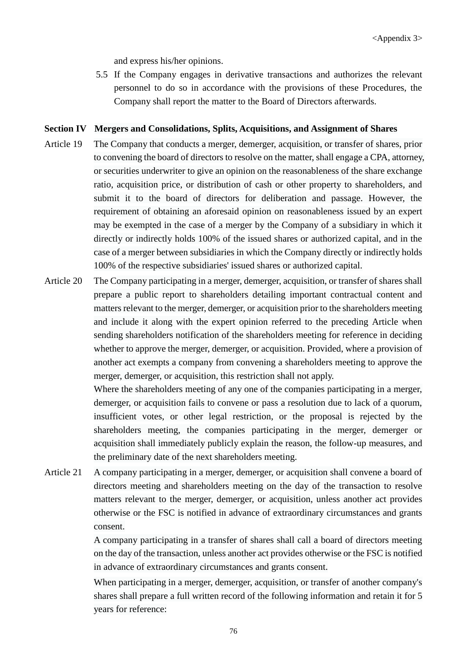and express his/her opinions.

5.5 If the Company engages in derivative transactions and authorizes the relevant personnel to do so in accordance with the provisions of these Procedures, the Company shall report the matter to the Board of Directors afterwards.

#### **Section IV Mergers and Consolidations, Splits, Acquisitions, and Assignment of Shares**

- Article 19 The Company that conducts a merger, demerger, acquisition, or transfer of shares, prior to convening the board of directors to resolve on the matter, shall engage a CPA, attorney, or securities underwriter to give an opinion on the reasonableness of the share exchange ratio, acquisition price, or distribution of cash or other property to shareholders, and submit it to the board of directors for deliberation and passage. However, the requirement of obtaining an aforesaid opinion on reasonableness issued by an expert may be exempted in the case of a merger by the Company of a subsidiary in which it directly or indirectly holds 100% of the issued shares or authorized capital, and in the case of a merger between subsidiaries in which the Company directly or indirectly holds 100% of the respective subsidiaries' issued shares or authorized capital.
- Article 20 The Company participating in a merger, demerger, acquisition, or transfer of shares shall prepare a public report to shareholders detailing important contractual content and matters relevant to the merger, demerger, or acquisition prior to the shareholders meeting and include it along with the expert opinion referred to the preceding Article when sending shareholders notification of the shareholders meeting for reference in deciding whether to approve the merger, demerger, or acquisition. Provided, where a provision of another act exempts a company from convening a shareholders meeting to approve the merger, demerger, or acquisition, this restriction shall not apply.

Where the shareholders meeting of any one of the companies participating in a merger, demerger, or acquisition fails to convene or pass a resolution due to lack of a quorum, insufficient votes, or other legal restriction, or the proposal is rejected by the shareholders meeting, the companies participating in the merger, demerger or acquisition shall immediately publicly explain the reason, the follow-up measures, and the preliminary date of the next shareholders meeting.

Article 21 A company participating in a merger, demerger, or acquisition shall convene a board of directors meeting and shareholders meeting on the day of the transaction to resolve matters relevant to the merger, demerger, or acquisition, unless another act provides otherwise or the FSC is notified in advance of extraordinary circumstances and grants consent.

> A company participating in a transfer of shares shall call a board of directors meeting on the day of the transaction, unless another act provides otherwise or the FSC is notified in advance of extraordinary circumstances and grants consent.

> When participating in a merger, demerger, acquisition, or transfer of another company's shares shall prepare a full written record of the following information and retain it for 5 years for reference: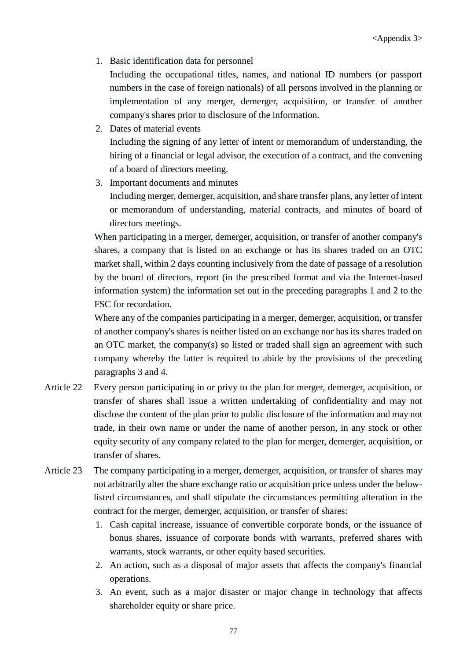1. Basic identification data for personnel

Including the occupational titles, names, and national ID numbers (or passport numbers in the case of foreign nationals) of all persons involved in the planning or implementation of any merger, demerger, acquisition, or transfer of another company's shares prior to disclosure of the information.

- 2. Dates of material events Including the signing of any letter of intent or memorandum of understanding, the hiring of a financial or legal advisor, the execution of a contract, and the convening of a board of directors meeting.
- 3. Important documents and minutes Including merger, demerger, acquisition, and share transfer plans, any letter of intent or memorandum of understanding, material contracts, and minutes of board of directors meetings.

When participating in a merger, demerger, acquisition, or transfer of another company's shares, a company that is listed on an exchange or has its shares traded on an OTC market shall, within 2 days counting inclusively from the date of passage of a resolution by the board of directors, report (in the prescribed format and via the Internet-based information system) the information set out in the preceding paragraphs 1 and 2 to the FSC for recordation.

Where any of the companies participating in a merger, demerger, acquisition, or transfer of another company's shares is neither listed on an exchange nor has its shares traded on an OTC market, the company(s) so listed or traded shall sign an agreement with such company whereby the latter is required to abide by the provisions of the preceding paragraphs 3 and 4.

- Article 22 Every person participating in or privy to the plan for merger, demerger, acquisition, or transfer of shares shall issue a written undertaking of confidentiality and may not disclose the content of the plan prior to public disclosure of the information and may not trade, in their own name or under the name of another person, in any stock or other equity security of any company related to the plan for merger, demerger, acquisition, or transfer of shares.
- Article 23 The company participating in a merger, demerger, acquisition, or transfer of shares may not arbitrarily alter the share exchange ratio or acquisition price unless under the belowlisted circumstances, and shall stipulate the circumstances permitting alteration in the contract for the merger, demerger, acquisition, or transfer of shares:
	- 1. Cash capital increase, issuance of convertible corporate bonds, or the issuance of bonus shares, issuance of corporate bonds with warrants, preferred shares with warrants, stock warrants, or other equity based securities.
	- 2. An action, such as a disposal of major assets that affects the company's financial operations.
	- 3. An event, such as a major disaster or major change in technology that affects shareholder equity or share price.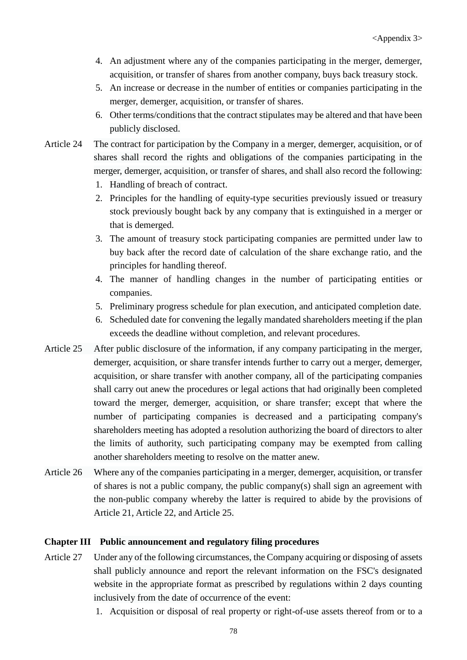- 4. An adjustment where any of the companies participating in the merger, demerger, acquisition, or transfer of shares from another company, buys back treasury stock.
- 5. An increase or decrease in the number of entities or companies participating in the merger, demerger, acquisition, or transfer of shares.
- 6. Other terms/conditions that the contract stipulates may be altered and that have been publicly disclosed.
- Article 24 The contract for participation by the Company in a merger, demerger, acquisition, or of shares shall record the rights and obligations of the companies participating in the merger, demerger, acquisition, or transfer of shares, and shall also record the following:
	- 1. Handling of breach of contract.
	- 2. Principles for the handling of equity-type securities previously issued or treasury stock previously bought back by any company that is extinguished in a merger or that is demerged.
	- 3. The amount of treasury stock participating companies are permitted under law to buy back after the record date of calculation of the share exchange ratio, and the principles for handling thereof.
	- 4. The manner of handling changes in the number of participating entities or companies.
	- 5. Preliminary progress schedule for plan execution, and anticipated completion date.
	- 6. Scheduled date for convening the legally mandated shareholders meeting if the plan exceeds the deadline without completion, and relevant procedures.
- Article 25 After public disclosure of the information, if any company participating in the merger, demerger, acquisition, or share transfer intends further to carry out a merger, demerger, acquisition, or share transfer with another company, all of the participating companies shall carry out anew the procedures or legal actions that had originally been completed toward the merger, demerger, acquisition, or share transfer; except that where the number of participating companies is decreased and a participating company's shareholders meeting has adopted a resolution authorizing the board of directors to alter the limits of authority, such participating company may be exempted from calling another shareholders meeting to resolve on the matter anew.
- Article 26 Where any of the companies participating in a merger, demerger, acquisition, or transfer of shares is not a public company, the public company(s) shall sign an agreement with the non-public company whereby the latter is required to abide by the provisions of Article 21, Article 22, and Article 25.

#### **Chapter III Public announcement and regulatory filing procedures**

- Article 27 Under any of the following circumstances, the Company acquiring or disposing of assets shall publicly announce and report the relevant information on the FSC's designated website in the appropriate format as prescribed by regulations within 2 days counting inclusively from the date of occurrence of the event:
	- 1. Acquisition or disposal of real property or right-of-use assets thereof from or to a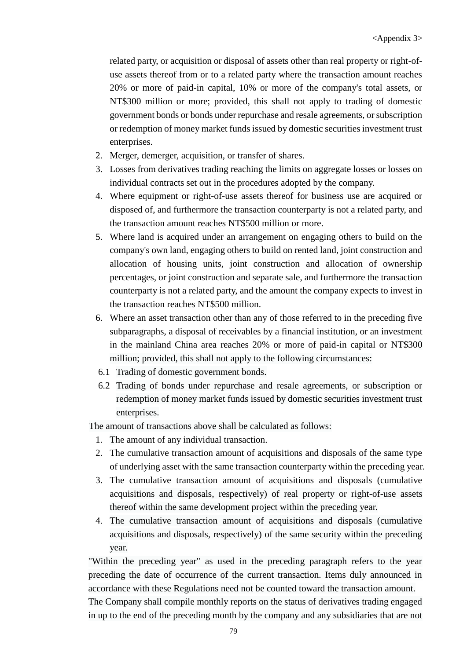related party, or acquisition or disposal of assets other than real property or right-ofuse assets thereof from or to a related party where the transaction amount reaches 20% or more of paid-in capital, 10% or more of the company's total assets, or NT\$300 million or more; provided, this shall not apply to trading of domestic government bonds or bonds under repurchase and resale agreements, or subscription or redemption of money market funds issued by domestic securities investment trust enterprises.

- 2. Merger, demerger, acquisition, or transfer of shares.
- 3. Losses from derivatives trading reaching the limits on aggregate losses or losses on individual contracts set out in the procedures adopted by the company.
- 4. Where equipment or right-of-use assets thereof for business use are acquired or disposed of, and furthermore the transaction counterparty is not a related party, and the transaction amount reaches NT\$500 million or more.
- 5. Where land is acquired under an arrangement on engaging others to build on the company's own land, engaging others to build on rented land, joint construction and allocation of housing units, joint construction and allocation of ownership percentages, or joint construction and separate sale, and furthermore the transaction counterparty is not a related party, and the amount the company expects to invest in the transaction reaches NT\$500 million.
- 6. Where an asset transaction other than any of those referred to in the preceding five subparagraphs, a disposal of receivables by a financial institution, or an investment in the mainland China area reaches 20% or more of paid-in capital or NT\$300 million; provided, this shall not apply to the following circumstances:
- 6.1 Trading of domestic government bonds.
- 6.2 Trading of bonds under repurchase and resale agreements, or subscription or redemption of money market funds issued by domestic securities investment trust enterprises.

The amount of transactions above shall be calculated as follows:

- 1. The amount of any individual transaction.
- 2. The cumulative transaction amount of acquisitions and disposals of the same type of underlying asset with the same transaction counterparty within the preceding year.
- 3. The cumulative transaction amount of acquisitions and disposals (cumulative acquisitions and disposals, respectively) of real property or right-of-use assets thereof within the same development project within the preceding year.
- 4. The cumulative transaction amount of acquisitions and disposals (cumulative acquisitions and disposals, respectively) of the same security within the preceding year.

"Within the preceding year" as used in the preceding paragraph refers to the year preceding the date of occurrence of the current transaction. Items duly announced in accordance with these Regulations need not be counted toward the transaction amount.

The Company shall compile monthly reports on the status of derivatives trading engaged in up to the end of the preceding month by the company and any subsidiaries that are not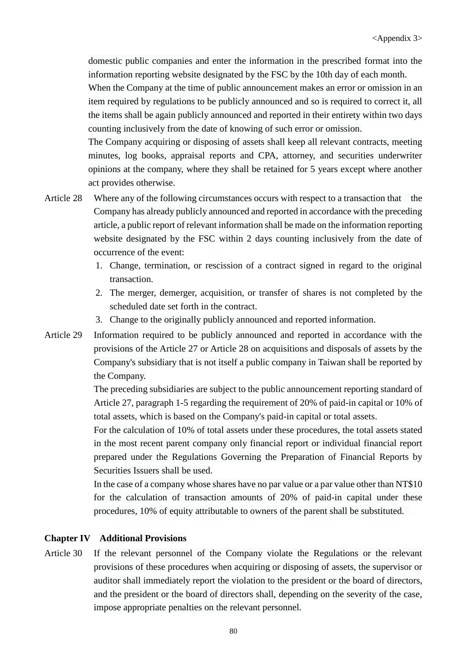domestic public companies and enter the information in the prescribed format into the information reporting website designated by the FSC by the 10th day of each month.

When the Company at the time of public announcement makes an error or omission in an item required by regulations to be publicly announced and so is required to correct it, all the items shall be again publicly announced and reported in their entirety within two days counting inclusively from the date of knowing of such error or omission.

The Company acquiring or disposing of assets shall keep all relevant contracts, meeting minutes, log books, appraisal reports and CPA, attorney, and securities underwriter opinions at the company, where they shall be retained for 5 years except where another act provides otherwise.

- Article 28 Where any of the following circumstances occurs with respect to a transaction that the Company has already publicly announced and reported in accordance with the preceding article, a public report of relevant information shall be made on the information reporting website designated by the FSC within 2 days counting inclusively from the date of occurrence of the event:
	- 1. Change, termination, or rescission of a contract signed in regard to the original transaction.
	- 2. The merger, demerger, acquisition, or transfer of shares is not completed by the scheduled date set forth in the contract.
	- 3. Change to the originally publicly announced and reported information.
- Article 29 Information required to be publicly announced and reported in accordance with the provisions of the Article 27 or Article 28 on acquisitions and disposals of assets by the Company's subsidiary that is not itself a public company in Taiwan shall be reported by the Company.

The preceding subsidiaries are subject to the public announcement reporting standard of Article 27, paragraph 1-5 regarding the requirement of 20% of paid-in capital or 10% of total assets, which is based on the Company's paid-in capital or total assets.

For the calculation of 10% of total assets under these procedures, the total assets stated in the most recent parent company only financial report or individual financial report prepared under the Regulations Governing the Preparation of Financial Reports by Securities Issuers shall be used.

In the case of a company whose shares have no par value or a par value other than NT\$10 for the calculation of transaction amounts of 20% of paid-in capital under these procedures, 10% of equity attributable to owners of the parent shall be substituted.

#### **Chapter IV Additional Provisions**

Article 30 If the relevant personnel of the Company violate the Regulations or the relevant provisions of these procedures when acquiring or disposing of assets, the supervisor or auditor shall immediately report the violation to the president or the board of directors, and the president or the board of directors shall, depending on the severity of the case, impose appropriate penalties on the relevant personnel.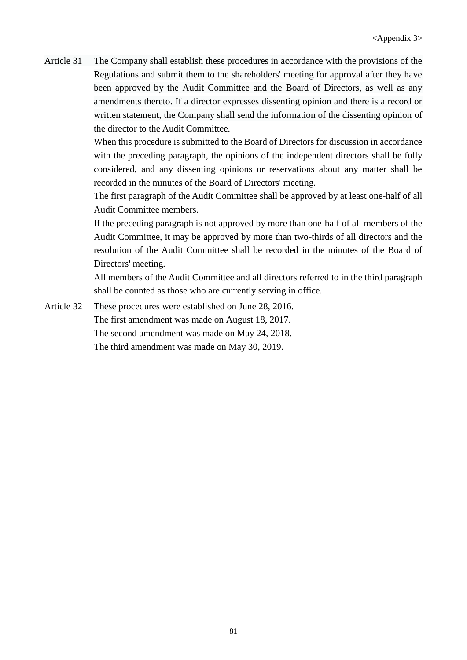Article 31 The Company shall establish these procedures in accordance with the provisions of the Regulations and submit them to the shareholders' meeting for approval after they have been approved by the Audit Committee and the Board of Directors, as well as any amendments thereto. If a director expresses dissenting opinion and there is a record or written statement, the Company shall send the information of the dissenting opinion of the director to the Audit Committee.

> When this procedure is submitted to the Board of Directors for discussion in accordance with the preceding paragraph, the opinions of the independent directors shall be fully considered, and any dissenting opinions or reservations about any matter shall be recorded in the minutes of the Board of Directors' meeting.

> The first paragraph of the Audit Committee shall be approved by at least one-half of all Audit Committee members.

> If the preceding paragraph is not approved by more than one-half of all members of the Audit Committee, it may be approved by more than two-thirds of all directors and the resolution of the Audit Committee shall be recorded in the minutes of the Board of Directors' meeting.

> All members of the Audit Committee and all directors referred to in the third paragraph shall be counted as those who are currently serving in office.

Article 32 These procedures were established on June 28, 2016. The first amendment was made on August 18, 2017. The second amendment was made on May 24, 2018. The third amendment was made on May 30, 2019.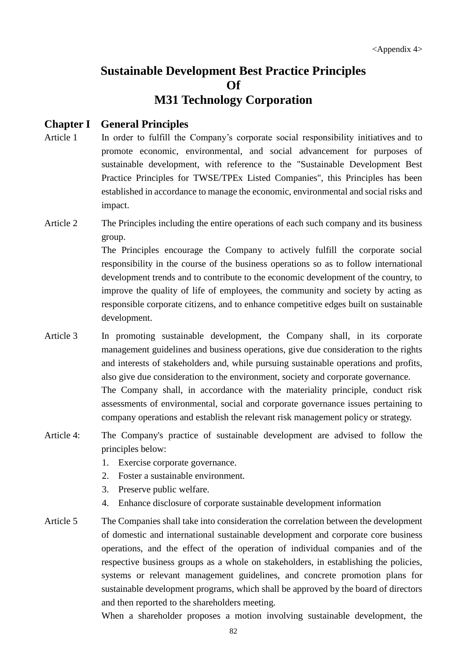# **[Sustainable Development Best Practice Principles](http://eng.selaw.com.tw/LawArticle.aspx?LawID=FL052368&ModifyDate=1090213) Of M31 Technology Corporation**

#### **Chapter I General Principles**

- Article 1 In order to fulfill the Company's corporate social responsibility initiatives and to promote economic, environmental, and social advancement for purposes of sustainable development, with reference to the "Sustainable Development Best Practice Principles for TWSE/TPEx Listed Companies", this Principles has been established in accordance to manage the economic, environmental and social risks and impact.
- Article 2 The Principles including the entire operations of each such company and its business group.

The Principles encourage the Company to actively fulfill the corporate social responsibility in the course of the business operations so as to follow international development trends and to contribute to the economic development of the country, to improve the quality of life of employees, the community and society by acting as responsible corporate citizens, and to enhance competitive edges built on sustainable development.

- Article 3 In promoting sustainable development, the Company shall, in its corporate management guidelines and business operations, give due consideration to the rights and interests of stakeholders and, while pursuing sustainable operations and profits, also give due consideration to the environment, society and corporate governance. The Company shall, in accordance with the materiality principle, conduct risk assessments of environmental, social and corporate governance issues pertaining to company operations and establish the relevant risk management policy or strategy.
- Article 4: The Company's practice of sustainable development are advised to follow the principles below:
	- 1. Exercise corporate governance.
	- 2. Foster a sustainable environment.
	- 3. Preserve public welfare.
	- 4. Enhance disclosure of corporate sustainable development information
- Article 5 The Companies shall take into consideration the correlation between the development of domestic and international sustainable development and corporate core business operations, and the effect of the operation of individual companies and of the respective business groups as a whole on stakeholders, in establishing the policies, systems or relevant management guidelines, and concrete promotion plans for sustainable development programs, which shall be approved by the board of directors and then reported to the shareholders meeting.

When a shareholder proposes a motion involving sustainable development, the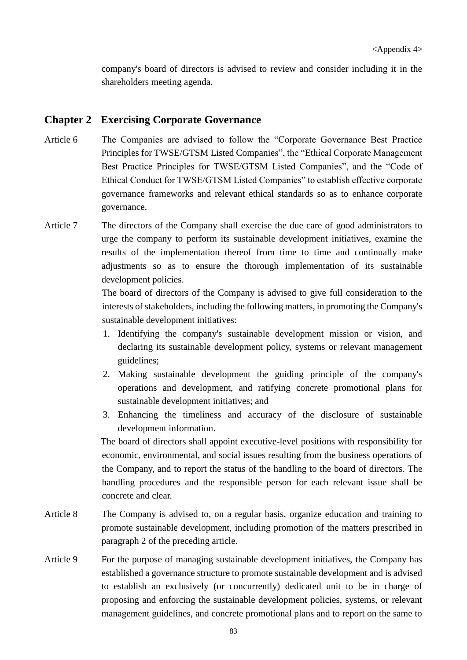company's board of directors is advised to review and consider including it in the shareholders meeting agenda.

#### **Chapter 2 Exercising Corporate Governance**

- Article 6 The Companies are advised to follow the "Corporate Governance Best Practice Principles for TWSE/GTSM Listed Companies", the "Ethical Corporate Management Best Practice Principles for TWSE/GTSM Listed Companies", and the "Code of Ethical Conduct for TWSE/GTSM Listed Companies" to establish effective corporate governance frameworks and relevant ethical standards so as to enhance corporate governance.
- Article 7 The directors of the Company shall exercise the due care of good administrators to urge the company to perform its sustainable development initiatives, examine the results of the implementation thereof from time to time and continually make adjustments so as to ensure the thorough implementation of its sustainable development policies.

The board of directors of the Company is advised to give full consideration to the interests of stakeholders, including the following matters, in promoting the Company's sustainable development initiatives:

- 1. Identifying the company's sustainable development mission or vision, and declaring its sustainable development policy, systems or relevant management guidelines;
- 2. Making sustainable development the guiding principle of the company's operations and development, and ratifying concrete promotional plans for sustainable development initiatives; and
- 3. Enhancing the timeliness and accuracy of the disclosure of sustainable development information.

The board of directors shall appoint executive-level positions with responsibility for economic, environmental, and social issues resulting from the business operations of the Company, and to report the status of the handling to the board of directors. The handling procedures and the responsible person for each relevant issue shall be concrete and clear.

- Article 8 The Company is advised to, on a regular basis, organize education and training to promote sustainable development, including promotion of the matters prescribed in paragraph 2 of the preceding article.
- Article 9 For the purpose of managing sustainable development initiatives, the Company has established a governance structure to promote sustainable development and is advised to establish an exclusively (or concurrently) dedicated unit to be in charge of proposing and enforcing the sustainable development policies, systems, or relevant management guidelines, and concrete promotional plans and to report on the same to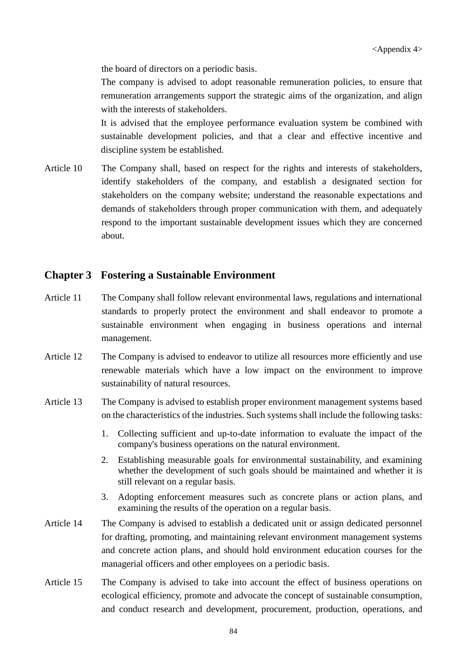the board of directors on a periodic basis.

The company is advised to adopt reasonable remuneration policies, to ensure that remuneration arrangements support the strategic aims of the organization, and align with the interests of stakeholders.

It is advised that the employee performance evaluation system be combined with sustainable development policies, and that a clear and effective incentive and discipline system be established.

Article 10 The Company shall, based on respect for the rights and interests of stakeholders, identify stakeholders of the company, and establish a designated section for stakeholders on the company website; understand the reasonable expectations and demands of stakeholders through proper communication with them, and adequately respond to the important sustainable development issues which they are concerned about.

## **Chapter 3 Fostering a Sustainable Environment**

- Article 11 The Company shall follow relevant environmental laws, regulations and international standards to properly protect the environment and shall endeavor to promote a sustainable environment when engaging in business operations and internal management.
- Article 12 The Company is advised to endeavor to utilize all resources more efficiently and use renewable materials which have a low impact on the environment to improve sustainability of natural resources.
- Article 13 The Company is advised to establish proper environment management systems based on the characteristics of the industries. Such systems shall include the following tasks:
	- 1. Collecting sufficient and up-to-date information to evaluate the impact of the company's business operations on the natural environment.
	- 2. Establishing measurable goals for environmental sustainability, and examining whether the development of such goals should be maintained and whether it is still relevant on a regular basis.
	- 3. Adopting enforcement measures such as concrete plans or action plans, and examining the results of the operation on a regular basis.
- Article 14 The Company is advised to establish a dedicated unit or assign dedicated personnel for drafting, promoting, and maintaining relevant environment management systems and concrete action plans, and should hold environment education courses for the managerial officers and other employees on a periodic basis.
- Article 15 The Company is advised to take into account the effect of business operations on ecological efficiency, promote and advocate the concept of sustainable consumption, and conduct research and development, procurement, production, operations, and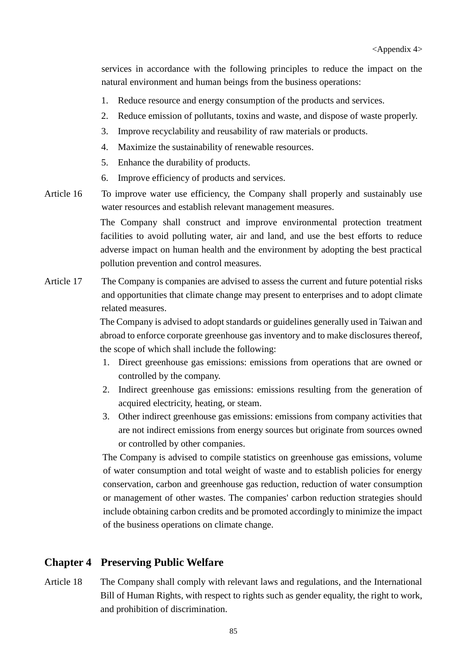services in accordance with the following principles to reduce the impact on the natural environment and human beings from the business operations:

- 1. Reduce resource and energy consumption of the products and services.
- 2. Reduce emission of pollutants, toxins and waste, and dispose of waste properly.
- 3. Improve recyclability and reusability of raw materials or products.
- 4. Maximize the sustainability of renewable resources.
- 5. Enhance the durability of products.
- 6. Improve efficiency of products and services.
- Article 16 To improve water use efficiency, the Company shall properly and sustainably use water resources and establish relevant management measures.

The Company shall construct and improve environmental protection treatment facilities to avoid polluting water, air and land, and use the best efforts to reduce adverse impact on human health and the environment by adopting the best practical pollution prevention and control measures.

Article 17 The Company is companies are advised to assess the current and future potential risks and opportunities that climate change may present to enterprises and to adopt climate related measures.

> The Company is advised to adopt standards or guidelines generally used in Taiwan and abroad to enforce corporate greenhouse gas inventory and to make disclosures thereof, the scope of which shall include the following:

- 1. Direct greenhouse gas emissions: emissions from operations that are owned or controlled by the company.
- 2. Indirect greenhouse gas emissions: emissions resulting from the generation of acquired electricity, heating, or steam.
- 3. Other indirect greenhouse gas emissions: emissions from company activities that are not indirect emissions from energy sources but originate from sources owned or controlled by other companies.

The Company is advised to compile statistics on greenhouse gas emissions, volume of water consumption and total weight of waste and to establish policies for energy conservation, carbon and greenhouse gas reduction, reduction of water consumption or management of other wastes. The companies' carbon reduction strategies should include obtaining carbon credits and be promoted accordingly to minimize the impact of the business operations on climate change.

#### **Chapter 4 Preserving Public Welfare**

Article 18 The Company shall comply with relevant laws and regulations, and the International Bill of Human Rights, with respect to rights such as gender equality, the right to work, and prohibition of discrimination.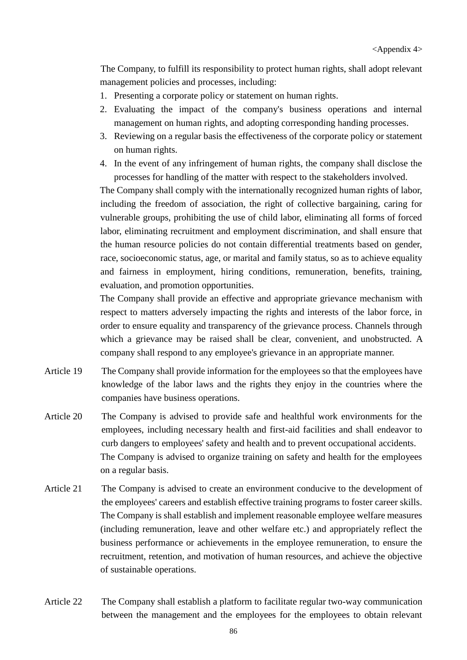The Company, to fulfill its responsibility to protect human rights, shall adopt relevant management policies and processes, including:

- 1. Presenting a corporate policy or statement on human rights.
- 2. Evaluating the impact of the company's business operations and internal management on human rights, and adopting corresponding handing processes.
- 3. Reviewing on a regular basis the effectiveness of the corporate policy or statement on human rights.
- 4. In the event of any infringement of human rights, the company shall disclose the processes for handling of the matter with respect to the stakeholders involved.

The Company shall comply with the internationally recognized human rights of labor, including the freedom of association, the right of collective bargaining, caring for vulnerable groups, prohibiting the use of child labor, eliminating all forms of forced labor, eliminating recruitment and employment discrimination, and shall ensure that the human resource policies do not contain differential treatments based on gender, race, socioeconomic status, age, or marital and family status, so as to achieve equality and fairness in employment, hiring conditions, remuneration, benefits, training, evaluation, and promotion opportunities.

The Company shall provide an effective and appropriate grievance mechanism with respect to matters adversely impacting the rights and interests of the labor force, in order to ensure equality and transparency of the grievance process. Channels through which a grievance may be raised shall be clear, convenient, and unobstructed. A company shall respond to any employee's grievance in an appropriate manner.

- Article 19 The Company shall provide information for the employees so that the employees have knowledge of the labor laws and the rights they enjoy in the countries where the companies have business operations.
- Article 20 The Company is advised to provide safe and healthful work environments for the employees, including necessary health and first-aid facilities and shall endeavor to curb dangers to employees' safety and health and to prevent occupational accidents. The Company is advised to organize training on safety and health for the employees on a regular basis.
- Article 21 The Company is advised to create an environment conducive to the development of the employees' careers and establish effective training programs to foster career skills. The Company is shall establish and implement reasonable employee welfare measures (including remuneration, leave and other welfare etc.) and appropriately reflect the business performance or achievements in the employee remuneration, to ensure the recruitment, retention, and motivation of human resources, and achieve the objective of sustainable operations.
- Article 22 The Company shall establish a platform to facilitate regular two-way communication between the management and the employees for the employees to obtain relevant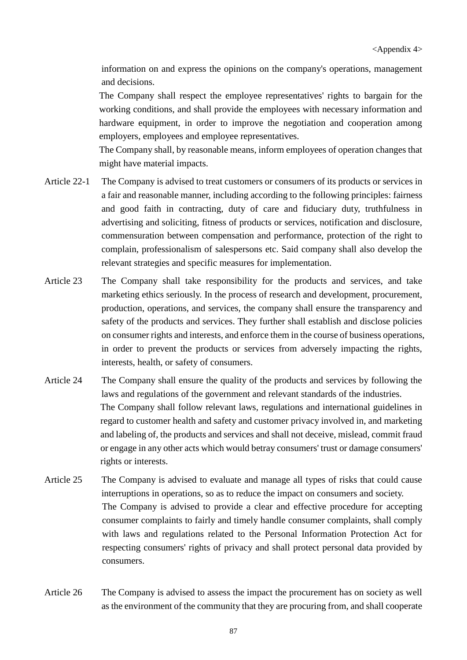information on and express the opinions on the company's operations, management and decisions.

The Company shall respect the employee representatives' rights to bargain for the working conditions, and shall provide the employees with necessary information and hardware equipment, in order to improve the negotiation and cooperation among employers, employees and employee representatives.

The Company shall, by reasonable means, inform employees of operation changes that might have material impacts.

- Article 22-1 The Company is advised to treat customers or consumers of its products or services in a fair and reasonable manner, including according to the following principles: fairness and good faith in contracting, duty of care and fiduciary duty, truthfulness in advertising and soliciting, fitness of products or services, notification and disclosure, commensuration between compensation and performance, protection of the right to complain, professionalism of salespersons etc. Said company shall also develop the relevant strategies and specific measures for implementation.
- Article 23 The Company shall take responsibility for the products and services, and take marketing ethics seriously. In the process of research and development, procurement, production, operations, and services, the company shall ensure the transparency and safety of the products and services. They further shall establish and disclose policies on consumer rights and interests, and enforce them in the course of business operations, in order to prevent the products or services from adversely impacting the rights, interests, health, or safety of consumers.
- Article 24 The Company shall ensure the quality of the products and services by following the laws and regulations of the government and relevant standards of the industries. The Company shall follow relevant laws, regulations and international guidelines in regard to customer health and safety and customer privacy involved in, and marketing and labeling of, the products and services and shall not deceive, mislead, commit fraud or engage in any other acts which would betray consumers' trust or damage consumers' rights or interests.
- Article 25 The Company is advised to evaluate and manage all types of risks that could cause interruptions in operations, so as to reduce the impact on consumers and society. The Company is advised to provide a clear and effective procedure for accepting consumer complaints to fairly and timely handle consumer complaints, shall comply with laws and regulations related to the Personal Information Protection Act for respecting consumers' rights of privacy and shall protect personal data provided by consumers.
- Article 26 The Company is advised to assess the impact the procurement has on society as well as the environment of the community that they are procuring from, and shall cooperate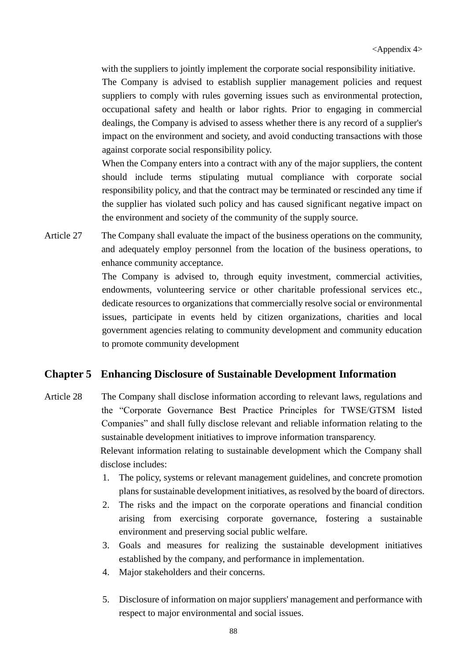with the suppliers to jointly implement the corporate social responsibility initiative.

The Company is advised to establish supplier management policies and request suppliers to comply with rules governing issues such as environmental protection, occupational safety and health or labor rights. Prior to engaging in commercial dealings, the Company is advised to assess whether there is any record of a supplier's impact on the environment and society, and avoid conducting transactions with those against corporate social responsibility policy.

When the Company enters into a contract with any of the major suppliers, the content should include terms stipulating mutual compliance with corporate social responsibility policy, and that the contract may be terminated or rescinded any time if the supplier has violated such policy and has caused significant negative impact on the environment and society of the community of the supply source.

Article 27 The Company shall evaluate the impact of the business operations on the community, and adequately employ personnel from the location of the business operations, to enhance community acceptance.

> The Company is advised to, through equity investment, commercial activities, endowments, volunteering service or other charitable professional services etc., dedicate resources to organizations that commercially resolve social or environmental issues, participate in events held by citizen organizations, charities and local government agencies relating to community development and community education to promote community development

#### **Chapter 5 Enhancing Disclosure of Sustainable Development Information**

- Article 28 The Company shall disclose information according to relevant laws, regulations and the "Corporate Governance Best Practice Principles for TWSE/GTSM listed Companies" and shall fully disclose relevant and reliable information relating to the sustainable development initiatives to improve information transparency. Relevant information relating to sustainable development which the Company shall disclose includes:
	- 1. The policy, systems or relevant management guidelines, and concrete promotion plans for sustainable development initiatives, as resolved by the board of directors.
	- 2. The risks and the impact on the corporate operations and financial condition arising from exercising corporate governance, fostering a sustainable environment and preserving social public welfare.
	- 3. Goals and measures for realizing the sustainable development initiatives established by the company, and performance in implementation.
	- 4. Major stakeholders and their concerns.
	- 5. Disclosure of information on major suppliers' management and performance with respect to major environmental and social issues.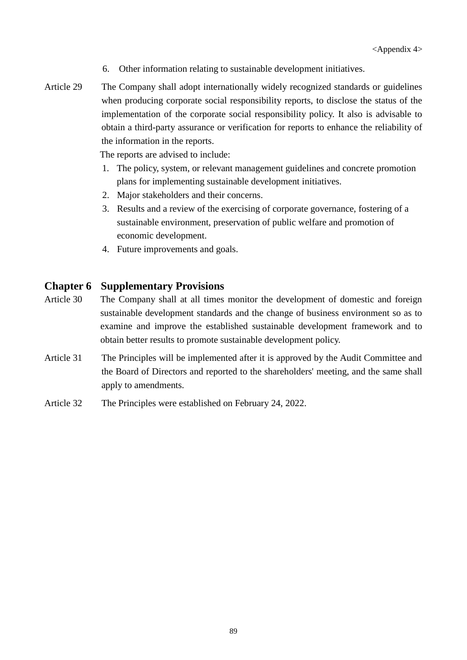- 6. Other information relating to sustainable development initiatives.
- Article 29 The Company shall adopt internationally widely recognized standards or guidelines when producing corporate social responsibility reports, to disclose the status of the implementation of the corporate social responsibility policy. It also is advisable to obtain a third-party assurance or verification for reports to enhance the reliability of the information in the reports.

The reports are advised to include:

- 1. The policy, system, or relevant management guidelines and concrete promotion plans for implementing sustainable development initiatives.
- 2. Major stakeholders and their concerns.
- 3. Results and a review of the exercising of corporate governance, fostering of a sustainable environment, preservation of public welfare and promotion of economic development.
- 4. Future improvements and goals.

## **Chapter 6 Supplementary Provisions**

- Article 30 The Company shall at all times monitor the development of domestic and foreign sustainable development standards and the change of business environment so as to examine and improve the established sustainable development framework and to obtain better results to promote sustainable development policy.
- Article 31 The Principles will be implemented after it is approved by the Audit Committee and the Board of Directors and reported to the shareholders' meeting, and the same shall apply to amendments.
- Article 32 The Principles were established on February 24, 2022.